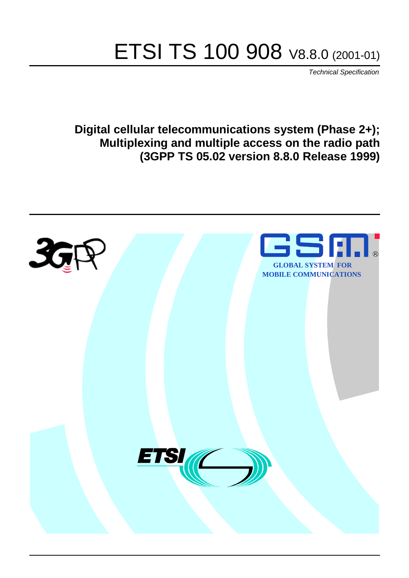# ETSI TS 100 908 V8.8.0 (2001-01)

Technical Specification

**Digital cellular telecommunications system (Phase 2+); Multiplexing and multiple access on the radio path (3GPP TS 05.02 version 8.8.0 Release 1999)**

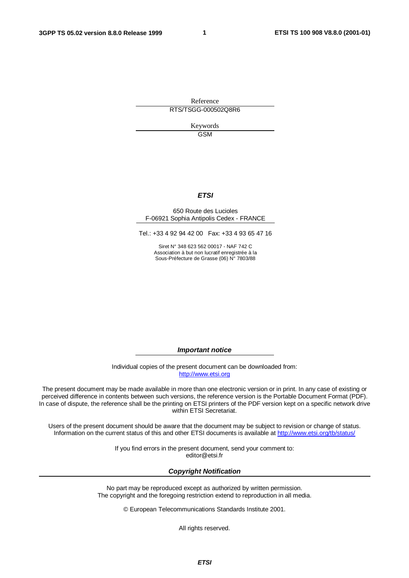**1**

Reference RTS/TSGG-000502Q8R6

> Keywords GSM

#### **ETSI**

#### 650 Route des Lucioles F-06921 Sophia Antipolis Cedex - FRANCE

Tel.: +33 4 92 94 42 00 Fax: +33 4 93 65 47 16

Siret N° 348 623 562 00017 - NAF 742 C Association à but non lucratif enregistrée à la Sous-Préfecture de Grasse (06) N° 7803/88

**Important notice**

Individual copies of the present document can be downloaded from: [http://www.etsi.org](http://www.etsi.org/)

The present document may be made available in more than one electronic version or in print. In any case of existing or perceived difference in contents between such versions, the reference version is the Portable Document Format (PDF). In case of dispute, the reference shall be the printing on ETSI printers of the PDF version kept on a specific network drive within ETSI Secretariat.

Users of the present document should be aware that the document may be subject to revision or change of status. Information on the current status of this and other ETSI documents is available at [http://www.etsi.org/tb/status/](http://www.etsi.org/tb/status)

> If you find errors in the present document, send your comment to: <editor@etsi.fr>

#### **Copyright Notification**

No part may be reproduced except as authorized by written permission. The copyright and the foregoing restriction extend to reproduction in all media.

© European Telecommunications Standards Institute 2001.

All rights reserved.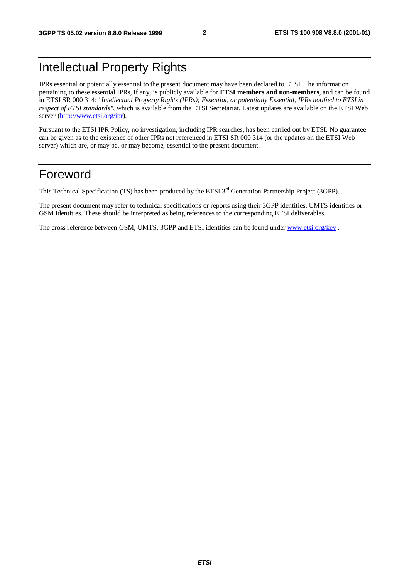# Intellectual Property Rights

IPRs essential or potentially essential to the present document may have been declared to ETSI. The information pertaining to these essential IPRs, if any, is publicly available for **ETSI members and non-members**, and can be found in ETSI SR 000 314: *"Intellectual Property Rights (IPRs); Essential, or potentially Essential, IPRs notified to ETSI in respect of ETSI standards"*, which is available from the ETSI Secretariat. Latest updates are available on the ETSI Web server [\(http://www.etsi.org/ipr](http://www.etsi.org/ipr)).

Pursuant to the ETSI IPR Policy, no investigation, including IPR searches, has been carried out by ETSI. No guarantee can be given as to the existence of other IPRs not referenced in ETSI SR 000 314 (or the updates on the ETSI Web server) which are, or may be, or may become, essential to the present document.

# Foreword

This Technical Specification (TS) has been produced by the ETSI 3<sup>rd</sup> Generation Partnership Project (3GPP).

The present document may refer to technical specifications or reports using their 3GPP identities, UMTS identities or GSM identities. These should be interpreted as being references to the corresponding ETSI deliverables.

The cross reference between GSM, UMTS, 3GPP and ETSI identities can be found under [www.etsi.org/key](http://www.etsi.org/key) .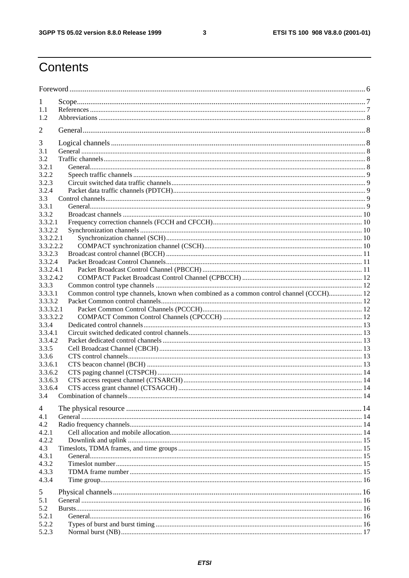$\mathbf{3}$ 

# Contents

| 1<br>1.1<br>1.2<br>2<br>3<br>3.1<br>3.2<br>3.2.1<br>3.2.2<br>3.2.3<br>3.2.4<br>3.3<br>3.3.1<br>3.3.2<br>3.3.2.1<br>3.3.2.2<br>3.3.2.2.1<br>3.3.2.2.2<br>3.3.2.3<br>3.3.2.4<br>3.3.2.4.1<br>3.3.2.4.2<br>3.3.3<br>Common control type channels, known when combined as a common control channel (CCCH) 12<br>3.3.3.1<br>3.3.3.2<br>3.3.3.2.1<br>3.3.3.2.2<br>3.3.4<br>3.3.4.1<br>3.3.4.2<br>3.3.5<br>3.3.6<br>3.3.6.1<br>3.3.6.2<br>3.3.6.3<br>3.3.6.4<br>3.4<br>4<br>4.1<br>4.2<br>4.2.1<br>4.2.2<br>4.3<br>4.3.1<br>4.3.2<br>4.3.3<br>4.3.4<br>5<br>5.1<br>5.2<br>5.2.1<br>5.2.2<br>5.2.3 |  |  |  |  |  |  |
|--------------------------------------------------------------------------------------------------------------------------------------------------------------------------------------------------------------------------------------------------------------------------------------------------------------------------------------------------------------------------------------------------------------------------------------------------------------------------------------------------------------------------------------------------------------------------------------------|--|--|--|--|--|--|
|                                                                                                                                                                                                                                                                                                                                                                                                                                                                                                                                                                                            |  |  |  |  |  |  |
|                                                                                                                                                                                                                                                                                                                                                                                                                                                                                                                                                                                            |  |  |  |  |  |  |
|                                                                                                                                                                                                                                                                                                                                                                                                                                                                                                                                                                                            |  |  |  |  |  |  |
|                                                                                                                                                                                                                                                                                                                                                                                                                                                                                                                                                                                            |  |  |  |  |  |  |
|                                                                                                                                                                                                                                                                                                                                                                                                                                                                                                                                                                                            |  |  |  |  |  |  |
|                                                                                                                                                                                                                                                                                                                                                                                                                                                                                                                                                                                            |  |  |  |  |  |  |
|                                                                                                                                                                                                                                                                                                                                                                                                                                                                                                                                                                                            |  |  |  |  |  |  |
|                                                                                                                                                                                                                                                                                                                                                                                                                                                                                                                                                                                            |  |  |  |  |  |  |
|                                                                                                                                                                                                                                                                                                                                                                                                                                                                                                                                                                                            |  |  |  |  |  |  |
|                                                                                                                                                                                                                                                                                                                                                                                                                                                                                                                                                                                            |  |  |  |  |  |  |
|                                                                                                                                                                                                                                                                                                                                                                                                                                                                                                                                                                                            |  |  |  |  |  |  |
|                                                                                                                                                                                                                                                                                                                                                                                                                                                                                                                                                                                            |  |  |  |  |  |  |
|                                                                                                                                                                                                                                                                                                                                                                                                                                                                                                                                                                                            |  |  |  |  |  |  |
|                                                                                                                                                                                                                                                                                                                                                                                                                                                                                                                                                                                            |  |  |  |  |  |  |
|                                                                                                                                                                                                                                                                                                                                                                                                                                                                                                                                                                                            |  |  |  |  |  |  |
|                                                                                                                                                                                                                                                                                                                                                                                                                                                                                                                                                                                            |  |  |  |  |  |  |
|                                                                                                                                                                                                                                                                                                                                                                                                                                                                                                                                                                                            |  |  |  |  |  |  |
|                                                                                                                                                                                                                                                                                                                                                                                                                                                                                                                                                                                            |  |  |  |  |  |  |
|                                                                                                                                                                                                                                                                                                                                                                                                                                                                                                                                                                                            |  |  |  |  |  |  |
|                                                                                                                                                                                                                                                                                                                                                                                                                                                                                                                                                                                            |  |  |  |  |  |  |
|                                                                                                                                                                                                                                                                                                                                                                                                                                                                                                                                                                                            |  |  |  |  |  |  |
|                                                                                                                                                                                                                                                                                                                                                                                                                                                                                                                                                                                            |  |  |  |  |  |  |
|                                                                                                                                                                                                                                                                                                                                                                                                                                                                                                                                                                                            |  |  |  |  |  |  |
|                                                                                                                                                                                                                                                                                                                                                                                                                                                                                                                                                                                            |  |  |  |  |  |  |
|                                                                                                                                                                                                                                                                                                                                                                                                                                                                                                                                                                                            |  |  |  |  |  |  |
|                                                                                                                                                                                                                                                                                                                                                                                                                                                                                                                                                                                            |  |  |  |  |  |  |
|                                                                                                                                                                                                                                                                                                                                                                                                                                                                                                                                                                                            |  |  |  |  |  |  |
|                                                                                                                                                                                                                                                                                                                                                                                                                                                                                                                                                                                            |  |  |  |  |  |  |
|                                                                                                                                                                                                                                                                                                                                                                                                                                                                                                                                                                                            |  |  |  |  |  |  |
|                                                                                                                                                                                                                                                                                                                                                                                                                                                                                                                                                                                            |  |  |  |  |  |  |
|                                                                                                                                                                                                                                                                                                                                                                                                                                                                                                                                                                                            |  |  |  |  |  |  |
|                                                                                                                                                                                                                                                                                                                                                                                                                                                                                                                                                                                            |  |  |  |  |  |  |
|                                                                                                                                                                                                                                                                                                                                                                                                                                                                                                                                                                                            |  |  |  |  |  |  |
|                                                                                                                                                                                                                                                                                                                                                                                                                                                                                                                                                                                            |  |  |  |  |  |  |
|                                                                                                                                                                                                                                                                                                                                                                                                                                                                                                                                                                                            |  |  |  |  |  |  |
|                                                                                                                                                                                                                                                                                                                                                                                                                                                                                                                                                                                            |  |  |  |  |  |  |
|                                                                                                                                                                                                                                                                                                                                                                                                                                                                                                                                                                                            |  |  |  |  |  |  |
|                                                                                                                                                                                                                                                                                                                                                                                                                                                                                                                                                                                            |  |  |  |  |  |  |
|                                                                                                                                                                                                                                                                                                                                                                                                                                                                                                                                                                                            |  |  |  |  |  |  |
|                                                                                                                                                                                                                                                                                                                                                                                                                                                                                                                                                                                            |  |  |  |  |  |  |
|                                                                                                                                                                                                                                                                                                                                                                                                                                                                                                                                                                                            |  |  |  |  |  |  |
|                                                                                                                                                                                                                                                                                                                                                                                                                                                                                                                                                                                            |  |  |  |  |  |  |
|                                                                                                                                                                                                                                                                                                                                                                                                                                                                                                                                                                                            |  |  |  |  |  |  |
|                                                                                                                                                                                                                                                                                                                                                                                                                                                                                                                                                                                            |  |  |  |  |  |  |
|                                                                                                                                                                                                                                                                                                                                                                                                                                                                                                                                                                                            |  |  |  |  |  |  |
|                                                                                                                                                                                                                                                                                                                                                                                                                                                                                                                                                                                            |  |  |  |  |  |  |
|                                                                                                                                                                                                                                                                                                                                                                                                                                                                                                                                                                                            |  |  |  |  |  |  |
|                                                                                                                                                                                                                                                                                                                                                                                                                                                                                                                                                                                            |  |  |  |  |  |  |
|                                                                                                                                                                                                                                                                                                                                                                                                                                                                                                                                                                                            |  |  |  |  |  |  |
|                                                                                                                                                                                                                                                                                                                                                                                                                                                                                                                                                                                            |  |  |  |  |  |  |
|                                                                                                                                                                                                                                                                                                                                                                                                                                                                                                                                                                                            |  |  |  |  |  |  |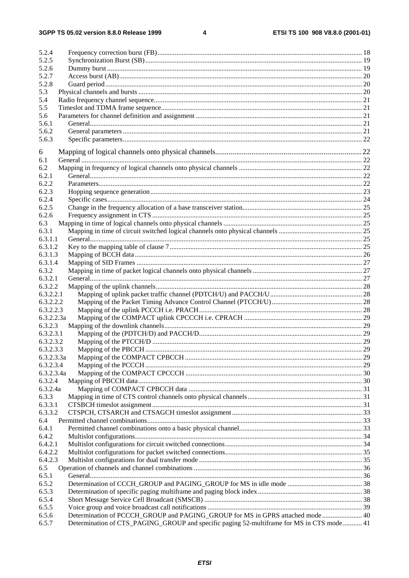$\overline{\mathbf{4}}$ 

| 5.2.4      |                                                                                           |  |
|------------|-------------------------------------------------------------------------------------------|--|
| 5.2.5      |                                                                                           |  |
| 5.2.6      |                                                                                           |  |
| 5.2.7      |                                                                                           |  |
| 5.2.8      |                                                                                           |  |
| 5.3        |                                                                                           |  |
| 5.4        |                                                                                           |  |
| 5.5        |                                                                                           |  |
| 5.6        |                                                                                           |  |
| 5.6.1      |                                                                                           |  |
| 5.6.2      |                                                                                           |  |
| 5.6.3      |                                                                                           |  |
|            |                                                                                           |  |
| 6          |                                                                                           |  |
| 6.1        |                                                                                           |  |
| 6.2        |                                                                                           |  |
| 6.2.1      |                                                                                           |  |
| 6.2.2      |                                                                                           |  |
| 6.2.3      |                                                                                           |  |
| 6.2.4      |                                                                                           |  |
| 6.2.5      |                                                                                           |  |
| 6.2.6      |                                                                                           |  |
| 6.3        |                                                                                           |  |
| 6.3.1      |                                                                                           |  |
| 6.3.1.1    |                                                                                           |  |
| 6.3.1.2    |                                                                                           |  |
| 6.3.1.3    |                                                                                           |  |
| 6.3.1.4    |                                                                                           |  |
| 6.3.2      |                                                                                           |  |
| 6.3.2.1    |                                                                                           |  |
| 6.3.2.2    |                                                                                           |  |
| 6.3.2.2.1  |                                                                                           |  |
| 6.3.2.2.2  |                                                                                           |  |
| 6.3.2.2.3  |                                                                                           |  |
| 6.3.2.2.3a |                                                                                           |  |
| 6.3.2.3    |                                                                                           |  |
| 6.3.2.3.1  |                                                                                           |  |
| 6.3.2.3.2  |                                                                                           |  |
| 6.3.2.3.3  |                                                                                           |  |
| 6.3.2.3.3a |                                                                                           |  |
| 6.3.2.3.4  |                                                                                           |  |
| 6.3.2.3.4a |                                                                                           |  |
| 6.3.2.4    |                                                                                           |  |
| 6.3.2.4a   |                                                                                           |  |
| 6.3.3      |                                                                                           |  |
| 6.3.3.1    |                                                                                           |  |
| 6.3.3.2    |                                                                                           |  |
| 6.4        |                                                                                           |  |
| 6.4.1      |                                                                                           |  |
| 6.4.2      |                                                                                           |  |
| 6.4.2.1    |                                                                                           |  |
| 6.4.2.2    |                                                                                           |  |
| 6.4.2.3    |                                                                                           |  |
| 6.5        |                                                                                           |  |
| 6.5.1      |                                                                                           |  |
| 6.5.2      |                                                                                           |  |
| 6.5.3      |                                                                                           |  |
| 6.5.4      |                                                                                           |  |
| 6.5.5      |                                                                                           |  |
| 6.5.6      | Determination of PCCCH_GROUP and PAGING_GROUP for MS in GPRS attached mode 40             |  |
| 6.5.7      | Determination of CTS_PAGING_GROUP and specific paging 52-multiframe for MS in CTS mode 41 |  |
|            |                                                                                           |  |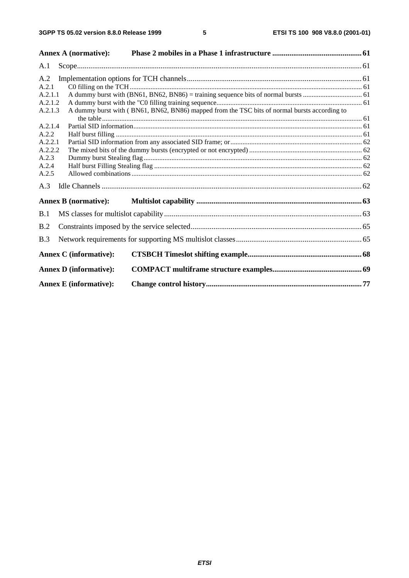|                    | <b>Annex A (normative):</b>   |                                                                                              |  |
|--------------------|-------------------------------|----------------------------------------------------------------------------------------------|--|
| A.1                |                               |                                                                                              |  |
| A.2                |                               |                                                                                              |  |
| A.2.1              |                               |                                                                                              |  |
| A.2.1.1            |                               |                                                                                              |  |
| A.2.1.2            |                               |                                                                                              |  |
| A.2.1.3            |                               | A dummy burst with (BN61, BN62, BN86) mapped from the TSC bits of normal bursts according to |  |
|                    |                               |                                                                                              |  |
| A.2.1.4            |                               |                                                                                              |  |
| A.2.2              |                               |                                                                                              |  |
| A.2.2.1<br>A.2.2.2 |                               |                                                                                              |  |
| A.2.3              |                               |                                                                                              |  |
| A.2.4              |                               |                                                                                              |  |
| A.2.5              |                               |                                                                                              |  |
| A.3                |                               |                                                                                              |  |
|                    | <b>Annex B (normative):</b>   |                                                                                              |  |
| B.1                |                               |                                                                                              |  |
| B.2                |                               |                                                                                              |  |
| B.3                |                               |                                                                                              |  |
|                    | <b>Annex C</b> (informative): |                                                                                              |  |
|                    | <b>Annex D</b> (informative): |                                                                                              |  |
|                    | <b>Annex E</b> (informative): |                                                                                              |  |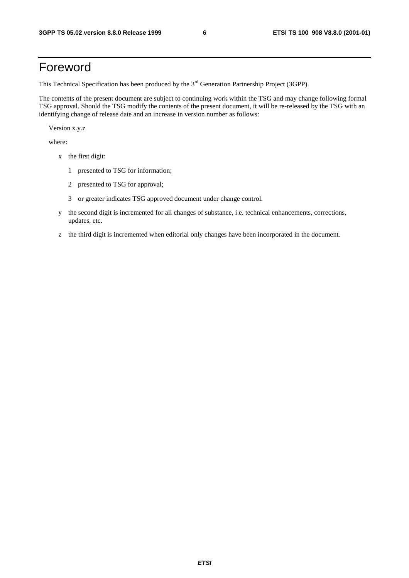# Foreword

This Technical Specification has been produced by the 3<sup>rd</sup> Generation Partnership Project (3GPP).

The contents of the present document are subject to continuing work within the TSG and may change following formal TSG approval. Should the TSG modify the contents of the present document, it will be re-released by the TSG with an identifying change of release date and an increase in version number as follows:

Version x.y.z

where:

- x the first digit:
	- 1 presented to TSG for information;
	- 2 presented to TSG for approval;
	- 3 or greater indicates TSG approved document under change control.
- y the second digit is incremented for all changes of substance, i.e. technical enhancements, corrections, updates, etc.
- z the third digit is incremented when editorial only changes have been incorporated in the document.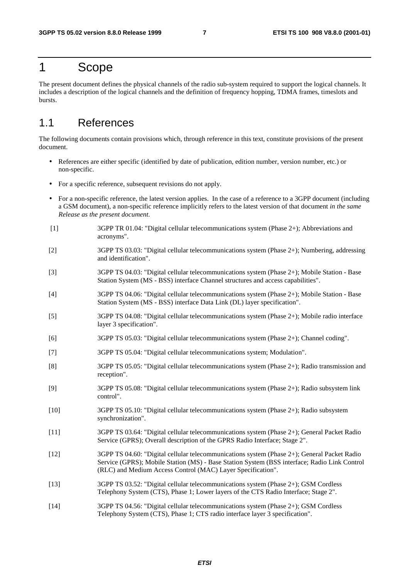# 1 Scope

The present document defines the physical channels of the radio sub-system required to support the logical channels. It includes a description of the logical channels and the definition of frequency hopping, TDMA frames, timeslots and bursts.

# 1.1 References

The following documents contain provisions which, through reference in this text, constitute provisions of the present document.

- References are either specific (identified by date of publication, edition number, version number, etc.) or non-specific.
- For a specific reference, subsequent revisions do not apply.
- For a non-specific reference, the latest version applies. In the case of a reference to a 3GPP document (including a GSM document), a non-specific reference implicitly refers to the latest version of that document *in the same Release as the present document*.
- [1] 3GPP TR 01.04: "Digital cellular telecommunications system (Phase 2+); Abbreviations and acronyms".
- [2] 3GPP TS 03.03: "Digital cellular telecommunications system (Phase 2+); Numbering, addressing and identification".
- [3] 3GPP TS 04.03: "Digital cellular telecommunications system (Phase 2+); Mobile Station Base Station System (MS - BSS) interface Channel structures and access capabilities".
- [4] 3GPP TS 04.06: "Digital cellular telecommunications system (Phase 2+); Mobile Station Base Station System (MS - BSS) interface Data Link (DL) layer specification".
- [5] 3GPP TS 04.08: "Digital cellular telecommunications system (Phase 2+); Mobile radio interface layer 3 specification".
- [6] 3GPP TS 05.03: "Digital cellular telecommunications system (Phase 2+); Channel coding".
- [7] 3GPP TS 05.04: "Digital cellular telecommunications system; Modulation".
- [8] 3GPP TS 05.05: "Digital cellular telecommunications system (Phase 2+); Radio transmission and reception".
- [9] 3GPP TS 05.08: "Digital cellular telecommunications system (Phase 2+); Radio subsystem link control".
- [10] 3GPP TS 05.10: "Digital cellular telecommunications system (Phase 2+); Radio subsystem synchronization".
- [11] 3GPP TS 03.64: "Digital cellular telecommunications system (Phase 2+); General Packet Radio Service (GPRS); Overall description of the GPRS Radio Interface; Stage 2".
- [12] 3GPP TS 04.60: "Digital cellular telecommunications system (Phase 2+); General Packet Radio Service (GPRS); Mobile Station (MS) - Base Station System (BSS interface; Radio Link Control (RLC) and Medium Access Control (MAC) Layer Specification".
- [13] 3GPP TS 03.52: "Digital cellular telecommunications system (Phase 2+); GSM Cordless Telephony System (CTS), Phase 1; Lower layers of the CTS Radio Interface; Stage 2".
- [14] 3GPP TS 04.56: "Digital cellular telecommunications system (Phase 2+); GSM Cordless Telephony System (CTS), Phase 1; CTS radio interface layer 3 specification".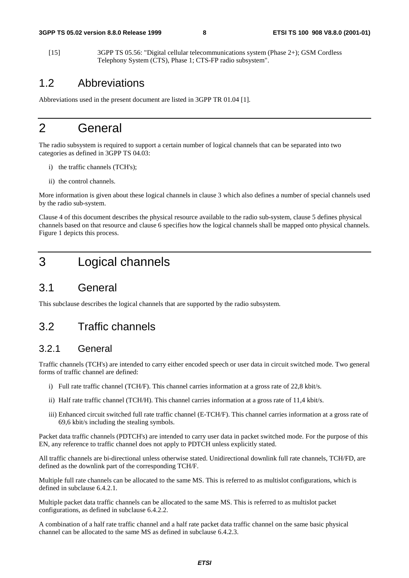[15] 3GPP TS 05.56: "Digital cellular telecommunications system (Phase 2+); GSM Cordless Telephony System (CTS), Phase 1; CTS-FP radio subsystem".

# 1.2 Abbreviations

Abbreviations used in the present document are listed in 3GPP TR 01.04 [1].

# 2 General

The radio subsystem is required to support a certain number of logical channels that can be separated into two categories as defined in 3GPP TS 04.03:

- i) the traffic channels (TCH's);
- ii) the control channels.

More information is given about these logical channels in clause 3 which also defines a number of special channels used by the radio sub-system.

Clause 4 of this document describes the physical resource available to the radio sub-system, clause 5 defines physical channels based on that resource and clause 6 specifies how the logical channels shall be mapped onto physical channels. Figure 1 depicts this process.

# 3 Logical channels

# 3.1 General

This subclause describes the logical channels that are supported by the radio subsystem.

# 3.2 Traffic channels

### 3.2.1 General

Traffic channels (TCH's) are intended to carry either encoded speech or user data in circuit switched mode. Two general forms of traffic channel are defined:

- i) Full rate traffic channel (TCH/F). This channel carries information at a gross rate of 22,8 kbit/s.
- ii) Half rate traffic channel (TCH/H). This channel carries information at a gross rate of 11,4 kbit/s.
- iii) Enhanced circuit switched full rate traffic channel (E-TCH/F). This channel carries information at a gross rate of 69,6 kbit/s including the stealing symbols.

Packet data traffic channels (PDTCH's) are intended to carry user data in packet switched mode. For the purpose of this EN, any reference to traffic channel does not apply to PDTCH unless explicitly stated.

All traffic channels are bi-directional unless otherwise stated. Unidirectional downlink full rate channels, TCH/FD, are defined as the downlink part of the corresponding TCH/F.

Multiple full rate channels can be allocated to the same MS. This is referred to as multislot configurations, which is defined in subclause 6.4.2.1.

Multiple packet data traffic channels can be allocated to the same MS. This is referred to as multislot packet configurations, as defined in subclause 6.4.2.2.

A combination of a half rate traffic channel and a half rate packet data traffic channel on the same basic physical channel can be allocated to the same MS as defined in subclause 6.4.2.3.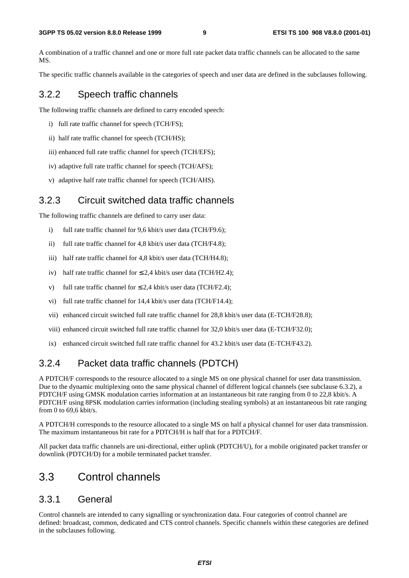A combination of a traffic channel and one or more full rate packet data traffic channels can be allocated to the same MS.

The specific traffic channels available in the categories of speech and user data are defined in the subclauses following.

### 3.2.2 Speech traffic channels

The following traffic channels are defined to carry encoded speech:

- i) full rate traffic channel for speech (TCH/FS);
- ii) half rate traffic channel for speech (TCH/HS);
- iii) enhanced full rate traffic channel for speech (TCH/EFS);
- iv) adaptive full rate traffic channel for speech (TCH/AFS);
- v) adaptive half rate traffic channel for speech (TCH/AHS).

### 3.2.3 Circuit switched data traffic channels

The following traffic channels are defined to carry user data:

- i) full rate traffic channel for 9,6 kbit/s user data (TCH/F9.6);
- ii) full rate traffic channel for 4,8 kbit/s user data (TCH/F4.8);
- iii) half rate traffic channel for 4,8 kbit/s user data (TCH/H4.8);
- iv) half rate traffic channel for  $\leq 2.4$  kbit/s user data (TCH/H2.4);
- v) full rate traffic channel for  $\leq 2.4$  kbit/s user data (TCH/F2.4):
- vi) full rate traffic channel for 14,4 kbit/s user data (TCH/F14.4);
- vii) enhanced circuit switched full rate traffic channel for 28,8 kbit/s user data (E-TCH/F28.8);
- viii) enhanced circuit switched full rate traffic channel for 32,0 kbit/s user data (E-TCH/F32.0);
- ix) enhanced circuit switched full rate traffic channel for 43.2 kbit/s user data (E-TCH/F43.2).

# 3.2.4 Packet data traffic channels (PDTCH)

A PDTCH/F corresponds to the resource allocated to a single MS on one physical channel for user data transmission. Due to the dynamic multiplexing onto the same physical channel of different logical channels (see subclause 6.3.2), a PDTCH/F using GMSK modulation carries information at an instantaneous bit rate ranging from 0 to 22,8 kbit/s. A PDTCH/F using 8PSK modulation carries information (including stealing symbols) at an instantaneous bit rate ranging from 0 to 69,6 kbit/s.

A PDTCH/H corresponds to the resource allocated to a single MS on half a physical channel for user data transmission. The maximum instantaneous bit rate for a PDTCH/H is half that for a PDTCH/F.

All packet data traffic channels are uni-directional, either uplink (PDTCH/U), for a mobile originated packet transfer or downlink (PDTCH/D) for a mobile terminated packet transfer.

# 3.3 Control channels

### 3.3.1 General

Control channels are intended to carry signalling or synchronization data. Four categories of control channel are defined: broadcast, common, dedicated and CTS control channels. Specific channels within these categories are defined in the subclauses following.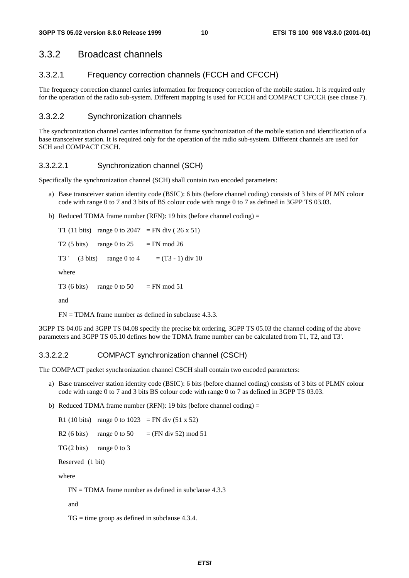# 3.3.2 Broadcast channels

### 3.3.2.1 Frequency correction channels (FCCH and CFCCH)

The frequency correction channel carries information for frequency correction of the mobile station. It is required only for the operation of the radio sub-system. Different mapping is used for FCCH and COMPACT CFCCH (see clause 7).

### 3.3.2.2 Synchronization channels

The synchronization channel carries information for frame synchronization of the mobile station and identification of a base transceiver station. It is required only for the operation of the radio sub-system. Different channels are used for SCH and COMPACT CSCH.

### 3.3.2.2.1 Synchronization channel (SCH)

Specifically the synchronization channel (SCH) shall contain two encoded parameters:

- a) Base transceiver station identity code (BSIC): 6 bits (before channel coding) consists of 3 bits of PLMN colour code with range 0 to 7 and 3 bits of BS colour code with range 0 to 7 as defined in 3GPP TS 03.03.
- b) Reduced TDMA frame number (RFN): 19 bits (before channel coding)  $=$

T1 (11 bits) range 0 to 2047 = FN div (26 x 51) T2 (5 bits) range 0 to  $25 = FN$  mod 26 T3 ' (3 bits) range 0 to 4 =  $(T3 - 1)$  div 10 where T3 (6 bits) range 0 to 50 = FN mod 51 and

 $FN = TDMA$  frame number as defined in subclause 4.3.3.

3GPP TS 04.06 and 3GPP TS 04.08 specify the precise bit ordering, 3GPP TS 05.03 the channel coding of the above parameters and 3GPP TS 05.10 defines how the TDMA frame number can be calculated from T1, T2, and T3'.

### 3.3.2.2.2 COMPACT synchronization channel (CSCH)

The COMPACT packet synchronization channel CSCH shall contain two encoded parameters:

- a) Base transceiver station identity code (BSIC): 6 bits (before channel coding) consists of 3 bits of PLMN colour code with range 0 to 7 and 3 bits BS colour code with range 0 to 7 as defined in 3GPP TS 03.03.
- b) Reduced TDMA frame number (RFN): 19 bits (before channel coding) =

R1 (10 bits) range 0 to 1023 = FN div  $(51 \times 52)$ R2 (6 bits) range 0 to 50 = (FN div 52) mod 51  $TG(2 \text{ bits})$  range 0 to 3 Reserved (1 bit)

where

 $FN = TDMA$  frame number as defined in subclause 4.3.3

and

 $TG = time$  group as defined in subclause 4.3.4.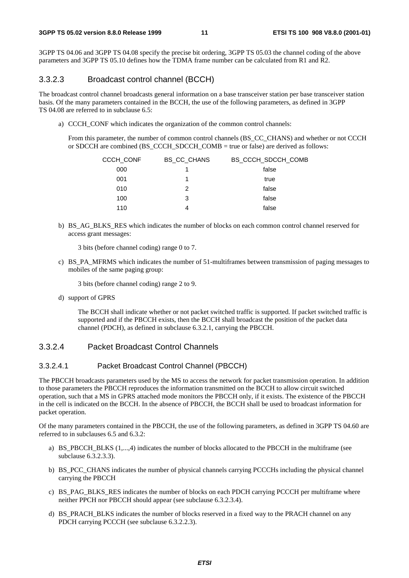3GPP TS 04.06 and 3GPP TS 04.08 specify the precise bit ordering, 3GPP TS 05.03 the channel coding of the above parameters and 3GPP TS 05.10 defines how the TDMA frame number can be calculated from R1 and R2.

#### 3.3.2.3 Broadcast control channel (BCCH)

The broadcast control channel broadcasts general information on a base transceiver station per base transceiver station basis. Of the many parameters contained in the BCCH, the use of the following parameters, as defined in 3GPP TS 04.08 are referred to in subclause 6.5:

a) CCCH CONF which indicates the organization of the common control channels:

From this parameter, the number of common control channels (BS\_CC\_CHANS) and whether or not CCCH or SDCCH are combined (BS\_CCCH\_SDCCH\_COMB = true or false) are derived as follows:

| CCCH CONF | BS CC CHANS | BS CCCH SDCCH COMB |
|-----------|-------------|--------------------|
| 000       |             | false              |
| 001       | 1           | true               |
| 010       | 2           | false              |
| 100       | 3           | false              |
| 110       | 4           | false              |

b) BS\_AG\_BLKS\_RES which indicates the number of blocks on each common control channel reserved for access grant messages:

3 bits (before channel coding) range 0 to 7.

c) BS\_PA\_MFRMS which indicates the number of 51-multiframes between transmission of paging messages to mobiles of the same paging group:

3 bits (before channel coding) range 2 to 9.

d) support of GPRS

The BCCH shall indicate whether or not packet switched traffic is supported. If packet switched traffic is supported and if the PBCCH exists, then the BCCH shall broadcast the position of the packet data channel (PDCH), as defined in subclause 6.3.2.1, carrying the PBCCH.

#### 3.3.2.4 Packet Broadcast Control Channels

#### 3.3.2.4.1 Packet Broadcast Control Channel (PBCCH)

The PBCCH broadcasts parameters used by the MS to access the network for packet transmission operation. In addition to those parameters the PBCCH reproduces the information transmitted on the BCCH to allow circuit switched operation, such that a MS in GPRS attached mode monitors the PBCCH only, if it exists. The existence of the PBCCH in the cell is indicated on the BCCH. In the absence of PBCCH, the BCCH shall be used to broadcast information for packet operation.

Of the many parameters contained in the PBCCH, the use of the following parameters, as defined in 3GPP TS 04.60 are referred to in subclauses 6.5 and 6.3.2:

- a) BS\_PBCCH\_BLKS (1,...,4) indicates the number of blocks allocated to the PBCCH in the multiframe (see subclause 6.3.2.3.3).
- b) BS PCC CHANS indicates the number of physical channels carrying PCCCHs including the physical channel carrying the PBCCH
- c) BS\_PAG\_BLKS\_RES indicates the number of blocks on each PDCH carrying PCCCH per multiframe where neither PPCH nor PBCCH should appear (see subclause 6.3.2.3.4).
- d) BS\_PRACH\_BLKS indicates the number of blocks reserved in a fixed way to the PRACH channel on any PDCH carrying PCCCH (see subclause 6.3.2.2.3).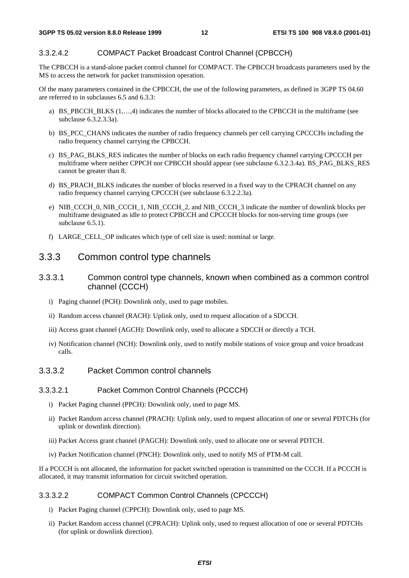#### 3.3.2.4.2 COMPACT Packet Broadcast Control Channel (CPBCCH)

The CPBCCH is a stand-alone packet control channel for COMPACT. The CPBCCH broadcasts parameters used by the MS to access the network for packet transmission operation.

Of the many parameters contained in the CPBCCH, the use of the following parameters, as defined in 3GPP TS 04.60 are referred to in subclauses 6.5 and 6.3.3:

- a) BS\_PBCCH\_BLKS (1,…,4) indicates the number of blocks allocated to the CPBCCH in the multiframe (see subclause 6.3.2.3.3a).
- b) BS\_PCC\_CHANS indicates the number of radio frequency channels per cell carrying CPCCCHs including the radio frequency channel carrying the CPBCCH.
- c) BS\_PAG\_BLKS\_RES indicates the number of blocks on each radio frequency channel carrying CPCCCH per multiframe where neither CPPCH nor CPBCCH should appear (see subclause 6.3.2.3.4a). BS\_PAG\_BLKS\_RES cannot be greater than 8.
- d) BS\_PRACH\_BLKS indicates the number of blocks reserved in a fixed way to the CPRACH channel on any radio frequency channel carrying CPCCCH (see subclause 6.3.2.2.3a).
- e) NIB\_CCCH\_0, NIB\_CCCH\_1, NIB\_CCCH\_2, and NIB\_CCCH\_3 indicate the number of downlink blocks per multiframe designated as idle to protect CPBCCH and CPCCCH blocks for non-serving time groups (see subclause  $6.5.1$ ).
- f) LARGE\_CELL\_OP indicates which type of cell size is used: nominal or large.

#### 3.3.3 Common control type channels

- 3.3.3.1 Common control type channels, known when combined as a common control channel (CCCH)
	- i) Paging channel (PCH): Downlink only, used to page mobiles.
	- ii) Random access channel (RACH): Uplink only, used to request allocation of a SDCCH.
	- iii) Access grant channel (AGCH): Downlink only, used to allocate a SDCCH or directly a TCH.
	- iv) Notification channel (NCH): Downlink only, used to notify mobile stations of voice group and voice broadcast calls.

#### 3.3.3.2 Packet Common control channels

#### 3.3.3.2.1 Packet Common Control Channels (PCCCH)

- i) Packet Paging channel (PPCH): Downlink only, used to page MS.
- ii) Packet Random access channel (PRACH): Uplink only, used to request allocation of one or several PDTCHs (for uplink or downlink direction).
- iii) Packet Access grant channel (PAGCH): Downlink only, used to allocate one or several PDTCH.
- iv) Packet Notification channel (PNCH): Downlink only, used to notify MS of PTM-M call.

If a PCCCH is not allocated, the information for packet switched operation is transmitted on the CCCH. If a PCCCH is allocated, it may transmit information for circuit switched operation.

#### 3.3.3.2.2 COMPACT Common Control Channels (CPCCCH)

- i) Packet Paging channel (CPPCH): Downlink only, used to page MS.
- ii) Packet Random access channel (CPRACH): Uplink only, used to request allocation of one or several PDTCHs (for uplink or downlink direction).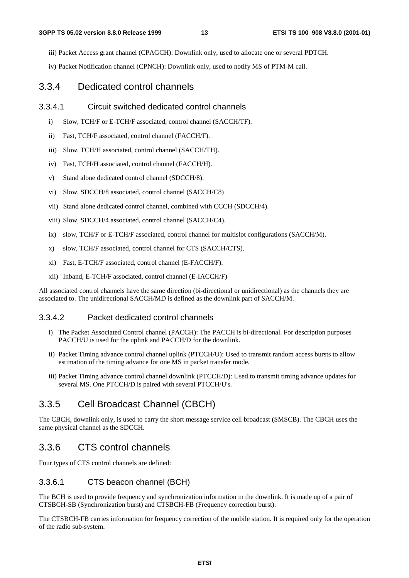iii) Packet Access grant channel (CPAGCH): Downlink only, used to allocate one or several PDTCH.

iv) Packet Notification channel (CPNCH): Downlink only, used to notify MS of PTM-M call.

#### 3.3.4 Dedicated control channels

#### 3.3.4.1 Circuit switched dedicated control channels

- i) Slow, TCH/F or E-TCH/F associated, control channel (SACCH/TF).
- ii) Fast, TCH/F associated, control channel (FACCH/F).
- iii) Slow, TCH/H associated, control channel (SACCH/TH).
- iv) Fast, TCH/H associated, control channel (FACCH/H).
- v) Stand alone dedicated control channel (SDCCH/8).
- vi) Slow, SDCCH/8 associated, control channel (SACCH/C8)
- vii) Stand alone dedicated control channel, combined with CCCH (SDCCH/4).
- viii) Slow, SDCCH/4 associated, control channel (SACCH/C4).
- ix) slow, TCH/F or E-TCH/F associated, control channel for multislot configurations (SACCH/M).
- x) slow, TCH/F associated, control channel for CTS (SACCH/CTS).
- xi) Fast, E-TCH/F associated, control channel (E-FACCH/F).
- xii) Inband, E-TCH/F associated, control channel (E-IACCH/F)

All associated control channels have the same direction (bi-directional or unidirectional) as the channels they are associated to. The unidirectional SACCH/MD is defined as the downlink part of SACCH/M.

#### 3.3.4.2 Packet dedicated control channels

- i) The Packet Associated Control channel (PACCH): The PACCH is bi-directional. For description purposes PACCH/U is used for the uplink and PACCH/D for the downlink.
- ii) Packet Timing advance control channel uplink (PTCCH/U): Used to transmit random access bursts to allow estimation of the timing advance for one MS in packet transfer mode.
- iii) Packet Timing advance control channel downlink (PTCCH/D): Used to transmit timing advance updates for several MS. One PTCCH/D is paired with several PTCCH/U's.

# 3.3.5 Cell Broadcast Channel (CBCH)

The CBCH, downlink only, is used to carry the short message service cell broadcast (SMSCB). The CBCH uses the same physical channel as the SDCCH.

### 3.3.6 CTS control channels

Four types of CTS control channels are defined:

#### 3.3.6.1 CTS beacon channel (BCH)

The BCH is used to provide frequency and synchronization information in the downlink. It is made up of a pair of CTSBCH-SB (Synchronization burst) and CTSBCH-FB (Frequency correction burst).

The CTSBCH-FB carries information for frequency correction of the mobile station. It is required only for the operation of the radio sub-system.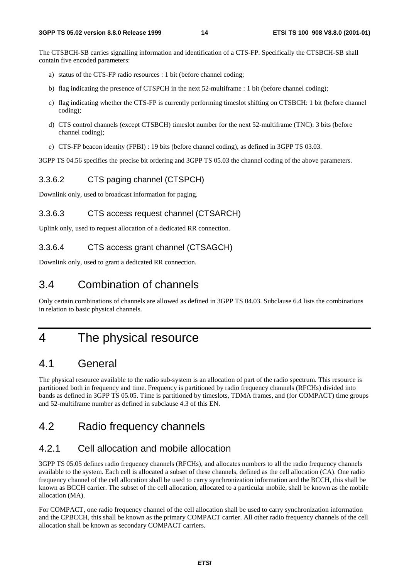The CTSBCH-SB carries signalling information and identification of a CTS-FP. Specifically the CTSBCH-SB shall contain five encoded parameters:

- a) status of the CTS-FP radio resources : 1 bit (before channel coding;
- b) flag indicating the presence of CTSPCH in the next 52-multiframe : 1 bit (before channel coding);
- c) flag indicating whether the CTS-FP is currently performing timeslot shifting on CTSBCH: 1 bit (before channel coding);
- d) CTS control channels (except CTSBCH) timeslot number for the next 52-multiframe (TNC): 3 bits (before channel coding);
- e) CTS-FP beacon identity (FPBI) : 19 bits (before channel coding), as defined in 3GPP TS 03.03.

3GPP TS 04.56 specifies the precise bit ordering and 3GPP TS 05.03 the channel coding of the above parameters.

#### 3.3.6.2 CTS paging channel (CTSPCH)

Downlink only, used to broadcast information for paging.

#### 3.3.6.3 CTS access request channel (CTSARCH)

Uplink only, used to request allocation of a dedicated RR connection.

#### 3.3.6.4 CTS access grant channel (CTSAGCH)

Downlink only, used to grant a dedicated RR connection.

# 3.4 Combination of channels

Only certain combinations of channels are allowed as defined in 3GPP TS 04.03. Subclause 6.4 lists the combinations in relation to basic physical channels.

# 4 The physical resource

# 4.1 General

The physical resource available to the radio sub-system is an allocation of part of the radio spectrum. This resource is partitioned both in frequency and time. Frequency is partitioned by radio frequency channels (RFCHs) divided into bands as defined in 3GPP TS 05.05. Time is partitioned by timeslots, TDMA frames, and (for COMPACT) time groups and 52-multiframe number as defined in subclause 4.3 of this EN.

# 4.2 Radio frequency channels

# 4.2.1 Cell allocation and mobile allocation

3GPP TS 05.05 defines radio frequency channels (RFCHs), and allocates numbers to all the radio frequency channels available to the system. Each cell is allocated a subset of these channels, defined as the cell allocation (CA). One radio frequency channel of the cell allocation shall be used to carry synchronization information and the BCCH, this shall be known as BCCH carrier. The subset of the cell allocation, allocated to a particular mobile, shall be known as the mobile allocation (MA).

For COMPACT, one radio frequency channel of the cell allocation shall be used to carry synchronization information and the CPBCCH, this shall be known as the primary COMPACT carrier. All other radio frequency channels of the cell allocation shall be known as secondary COMPACT carriers.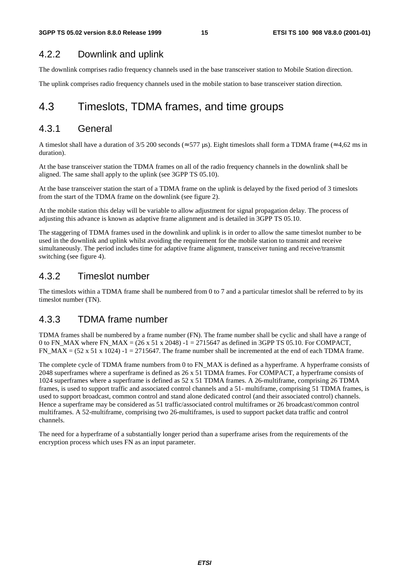# 4.2.2 Downlink and uplink

The downlink comprises radio frequency channels used in the base transceiver station to Mobile Station direction.

The uplink comprises radio frequency channels used in the mobile station to base transceiver station direction.

# 4.3 Timeslots, TDMA frames, and time groups

# 4.3.1 General

A timeslot shall have a duration of 3/5 200 seconds ( $\approx$  577 µs). Eight timeslots shall form a TDMA frame ( $\approx$  4,62 ms in duration).

At the base transceiver station the TDMA frames on all of the radio frequency channels in the downlink shall be aligned. The same shall apply to the uplink (see 3GPP TS 05.10).

At the base transceiver station the start of a TDMA frame on the uplink is delayed by the fixed period of 3 timeslots from the start of the TDMA frame on the downlink (see figure 2).

At the mobile station this delay will be variable to allow adjustment for signal propagation delay. The process of adjusting this advance is known as adaptive frame alignment and is detailed in 3GPP TS 05.10.

The staggering of TDMA frames used in the downlink and uplink is in order to allow the same timeslot number to be used in the downlink and uplink whilst avoiding the requirement for the mobile station to transmit and receive simultaneously. The period includes time for adaptive frame alignment, transceiver tuning and receive/transmit switching (see figure 4).

# 4.3.2 Timeslot number

The timeslots within a TDMA frame shall be numbered from 0 to 7 and a particular timeslot shall be referred to by its timeslot number (TN).

# 4.3.3 TDMA frame number

TDMA frames shall be numbered by a frame number (FN). The frame number shall be cyclic and shall have a range of 0 to FN\_MAX where FN\_MAX =  $(26 \times 51 \times 2048)$  -1 = 2715647 as defined in 3GPP TS 05.10. For COMPACT, FN\_MAX =  $(52 \times 51 \times 1024)$  -1 = 2715647. The frame number shall be incremented at the end of each TDMA frame.

The complete cycle of TDMA frame numbers from 0 to FN\_MAX is defined as a hyperframe. A hyperframe consists of 2048 superframes where a superframe is defined as 26 x 51 TDMA frames. For COMPACT, a hyperframe consists of 1024 superframes where a superframe is defined as 52 x 51 TDMA frames. A 26-multiframe, comprising 26 TDMA frames, is used to support traffic and associated control channels and a 51- multiframe, comprising 51 TDMA frames, is used to support broadcast, common control and stand alone dedicated control (and their associated control) channels. Hence a superframe may be considered as 51 traffic/associated control multiframes or 26 broadcast/common control multiframes. A 52-multiframe, comprising two 26-multiframes, is used to support packet data traffic and control channels.

The need for a hyperframe of a substantially longer period than a superframe arises from the requirements of the encryption process which uses FN as an input parameter.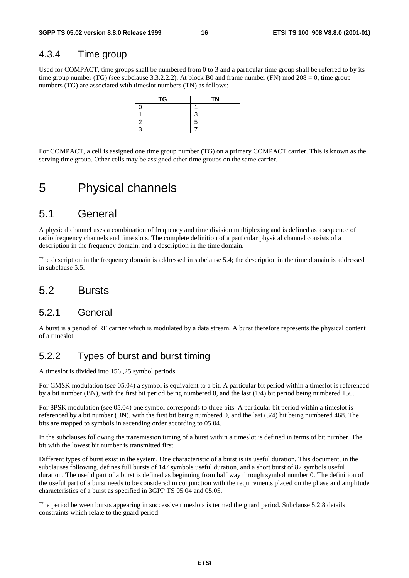# 4.3.4 Time group

Used for COMPACT, time groups shall be numbered from 0 to 3 and a particular time group shall be referred to by its time group number (TG) (see subclause 3.3.2.2.2). At block B0 and frame number (FN) mod 208 = 0, time group numbers (TG) are associated with timeslot numbers (TN) as follows:

| TG | <b>TN</b> |
|----|-----------|
|    |           |
|    |           |
|    |           |
|    |           |

For COMPACT, a cell is assigned one time group number (TG) on a primary COMPACT carrier. This is known as the serving time group. Other cells may be assigned other time groups on the same carrier.

# 5 Physical channels

# 5.1 General

A physical channel uses a combination of frequency and time division multiplexing and is defined as a sequence of radio frequency channels and time slots. The complete definition of a particular physical channel consists of a description in the frequency domain, and a description in the time domain.

The description in the frequency domain is addressed in subclause 5.4; the description in the time domain is addressed in subclause 5.5.

# 5.2 Bursts

### 5.2.1 General

A burst is a period of RF carrier which is modulated by a data stream. A burst therefore represents the physical content of a timeslot.

# 5.2.2 Types of burst and burst timing

A timeslot is divided into 156.,25 symbol periods.

For GMSK modulation (see 05.04) a symbol is equivalent to a bit. A particular bit period within a timeslot is referenced by a bit number (BN), with the first bit period being numbered 0, and the last (1/4) bit period being numbered 156.

For 8PSK modulation (see 05.04) one symbol corresponds to three bits. A particular bit period within a timeslot is referenced by a bit number (BN), with the first bit being numbered 0, and the last (3/4) bit being numbered 468. The bits are mapped to symbols in ascending order according to 05.04.

In the subclauses following the transmission timing of a burst within a timeslot is defined in terms of bit number. The bit with the lowest bit number is transmitted first.

Different types of burst exist in the system. One characteristic of a burst is its useful duration. This document, in the subclauses following, defines full bursts of 147 symbols useful duration, and a short burst of 87 symbols useful duration. The useful part of a burst is defined as beginning from half way through symbol number 0. The definition of the useful part of a burst needs to be considered in conjunction with the requirements placed on the phase and amplitude characteristics of a burst as specified in 3GPP TS 05.04 and 05.05.

The period between bursts appearing in successive timeslots is termed the guard period. Subclause 5.2.8 details constraints which relate to the guard period.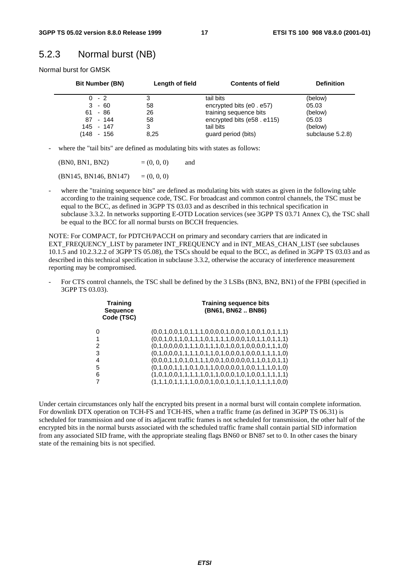# 5.2.3 Normal burst (NB)

Normal burst for GMSK

| <b>Bit Number (BN)</b> | Length of field | <b>Contents of field</b>   | <b>Definition</b> |
|------------------------|-----------------|----------------------------|-------------------|
| $0 - 2$                |                 | tail bits                  | (below)           |
| $3 - 60$               | 58              | encrypted bits (e0 . e57)  | 05.03             |
| $61 - 86$              | 26              | training sequence bits     | (below)           |
| 87 - 144               | 58              | encrypted bits (e58. e115) | 05.03             |
| 145 - 147              | 3               | tail bits                  | (below)           |
| 148  <br>- 156         | 8,25            | guard period (bits)        | subclause 5.2.8)  |

- where the "tail bits" are defined as modulating bits with states as follows:

| (BN0, BN1, BN2)       | $= (0, 0, 0)$ | and |
|-----------------------|---------------|-----|
| (BN145, BN146, BN147) | $= (0, 0, 0)$ |     |

where the "training sequence bits" are defined as modulating bits with states as given in the following table according to the training sequence code, TSC. For broadcast and common control channels, the TSC must be equal to the BCC, as defined in 3GPP TS 03.03 and as described in this technical specification in subclause 3.3.2. In networks supporting E-OTD Location services (see 3GPP TS 03.71 Annex C), the TSC shall be equal to the BCC for all normal bursts on BCCH frequencies.

NOTE: For COMPACT, for PDTCH/PACCH on primary and secondary carriers that are indicated in EXT\_FREQUENCY\_LIST by parameter INT\_FREQUENCY and in INT\_MEAS\_CHAN\_LIST (see subclauses 10.1.5 and 10.2.3.2.2 of 3GPP TS 05.08), the TSCs should be equal to the BCC, as defined in 3GPP TS 03.03 and as described in this technical specification in subclause 3.3.2, otherwise the accuracy of interference measurement reporting may be compromised.

For CTS control channels, the TSC shall be defined by the 3 LSBs (BN3, BN2, BN1) of the FPBI (specified in 3GPP TS 03.03).

| <b>Training</b><br><b>Sequence</b><br>Code (TSC) | <b>Training sequence bits</b><br>(BN61, BN62 BN86)      |
|--------------------------------------------------|---------------------------------------------------------|
| 0                                                | $(0,0,1,0,0,1,0,1,1,1,0,0,0,0,1,0,0,1,0,0,1,0,1,1,1)$   |
| 1                                                | $(0,0,1,0,1,1,0,1,1,1,0,1,1,1,1,0,0,0,1,0,1,1,0,1,1,1)$ |
| 2                                                | $(0,1,0,0,0,0,1,1,1,0,1,1,1,0,1,0,0,1,0,0,0,0,1,1,1,0)$ |
| 3                                                | $(0,1,0,0,0,1,1,1,1,0,1,1,0,1,0,0,0,1,0,0,0,1,1,1,1,0)$ |
| 4                                                | $(0,0,0,1,1,0,1,0,1,1,1,0,0,1,0,0,0,0,1,1,0,1,0,1,1)$   |
| 5                                                | $(0,1,0,0,1,1,1,0,1,0,1,1,0,0,0,0,0,1,0,0,1,1,1,0,1,0)$ |
| 6                                                | $(1,0,1,0,0,1,1,1,1,1,0,0,1,1,0,0,0,1,0,0,1,1,1,1,1)$   |
| 7                                                | $(1,1,1,0,1,1,1,1,0,0,0,1,0,0,1,0,1,1,1,0,1,1,1,0,0)$   |
|                                                  |                                                         |

Under certain circumstances only half the encrypted bits present in a normal burst will contain complete information. For downlink DTX operation on TCH-FS and TCH-HS, when a traffic frame (as defined in 3GPP TS 06.31) is scheduled for transmission and one of its adjacent traffic frames is not scheduled for transmission, the other half of the encrypted bits in the normal bursts associated with the scheduled traffic frame shall contain partial SID information from any associated SID frame, with the appropriate stealing flags BN60 or BN87 set to 0. In other cases the binary state of the remaining bits is not specified.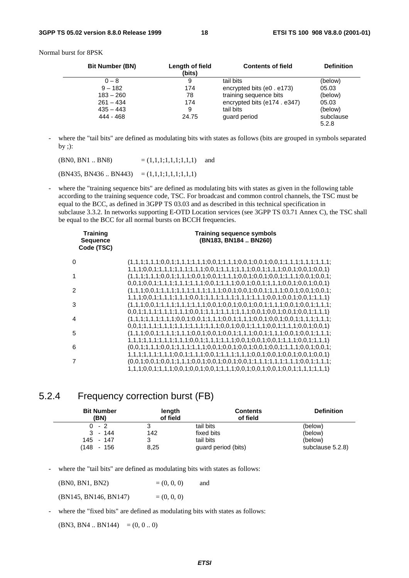Normal burst for 8PSK

| <b>Bit Number (BN)</b> | Length of field<br>(bits) | <b>Contents of field</b>   | <b>Definition</b> |
|------------------------|---------------------------|----------------------------|-------------------|
| $0 - 8$                | 9                         | tail bits                  | (below)           |
| $9 - 182$              | 174                       | encrypted bits (e0 . e173) | 05.03             |
| $183 - 260$            | 78                        | training sequence bits     | (below)           |
| $261 - 434$            | 174                       | encrypted bits (e174.e347) | 05.03             |
| $435 - 443$            | 9                         | tail bits                  | (below)           |
| 444 - 468              | 24.75                     | quard period               | subclause         |
|                        |                           |                            | 5.2.8             |

where the "tail bits" are defined as modulating bits with states as follows (bits are grouped in symbols separated by ;):

 $(BN0, BN1 \dots BN8)$  =  $(1,1,1,1,1,1,1,1)$  and

 $(BN435, BN436..BN443) = (1,1,1;1,1,1;1,1,1)$ 

where the "training sequence bits" are defined as modulating bits with states as given in the following table according to the training sequence code, TSC. For broadcast and common control channels, the TSC must be equal to the BCC, as defined in 3GPP TS 03.03 and as described in this technical specification in subclause 3.3.2. In networks supporting E-OTD Location services (see 3GPP TS 03.71 Annex C), the TSC shall be equal to the BCC for all normal bursts on BCCH frequencies.

| <b>Training</b><br><b>Sequence</b><br>Code (TSC) | <b>Training sequence symbols</b><br>(BN183, BN184  BN260)                                                                                                                                                                      |
|--------------------------------------------------|--------------------------------------------------------------------------------------------------------------------------------------------------------------------------------------------------------------------------------|
| 0                                                | $1,1,1,0,0,1,1,1,1,1,1,1,1,1,1,0,0,1,1,1,1,1,1,0,0,1,1,1,1,0,0,1,0,0,1,0,0,1)$                                                                                                                                                 |
| 1                                                |                                                                                                                                                                                                                                |
| 2                                                | $(1,1,1;0,0,1;1,1,1,1,1,1,1,1,1,1,1,1,1,0,0,1;0,0,1;0,0,1;1,1,1,0,0,1;0,0,1;0,0,1;0,0,1;0,0,1;0,0,1;0,0,1;0,0,1;0,0,1;0,0,1;0,0,1;0,0,1;0,0,1;0,0,1;0,0,1;0,0,1;0,0,1;0,0,1;0,0,1;0,0,1;0,0,1;0,0,1;0,0,1;0,0,1;0,0,1;0,0,1;0$ |
| 3                                                |                                                                                                                                                                                                                                |
| 4                                                | $0,0,1;1,1,1;1,1,1;1,1,1;0,0,1;1,1,1;1,1,1;1,1,1;0,0,1;0,0,1;0,0,1;0,0,1;1,1,1)$<br>$0,0,1;1,1,1;1,1,1;1,1,1;1,1,1;1,1,1;0,0,1;0,0,1;1,1,1;0,0,1;1,1,1;0,0,1;0,0,1)$                                                           |
| 5                                                |                                                                                                                                                                                                                                |
| 6                                                | $1, 1, 1, 1, 1, 1, 1, 1, 1, 1, 1, 1, 0, 0, 1, 1, 1, 1, 1, 1, 1, 0, 0, 1, 1, 0, 0, 1, 1, 1, 1, 1, 0, 0, 1, 1, 1, 1)$<br>$(0.0.1;1.1.1;0.0.1;1.1.1;1.1.1;0.0.1;0.0.1;0.0.1;0.0.1;1.1.1;1.0.0.1;0.0.1;$                           |
|                                                  | $1,1,1,1,1,1,1,1,1,0,0,1,1,1,1,0,0,1,1,1,1,1,1,1,1,0,0,1,0,0,1,0,0,1,0,0,1)$                                                                                                                                                   |
|                                                  | 1,1,1;0,0,1;1,1,1;0,0,1;0,0,1;0,0,1;1,1,1;0,0,1;0,0,1;0,0,1;0,0,1;1,1,1;1,1,1)                                                                                                                                                 |

# 5.2.4 Frequency correction burst (FB)

| <b>Bit Number</b><br>(BN) | length<br>of field | <b>Contents</b><br>of field | <b>Definition</b> |
|---------------------------|--------------------|-----------------------------|-------------------|
| $0 - 2$                   | 3                  | tail bits                   | (below)           |
| - 144<br>3                | 142                | fixed bits                  | (below)           |
| 145 - 147                 | 3                  | tail bits                   | (below)           |
| $^{\prime}$ 148<br>- 156  | 8,25               | guard period (bits)         | subclause 5.2.8)  |

where the "tail bits" are defined as modulating bits with states as follows:

 $(BN0, BN1, BN2)$  =  $(0, 0, 0)$  and

 $(BN145, BN146, BN147)$  =  $(0, 0, 0)$ 

where the "fixed bits" are defined as modulating bits with states as follows:

 $(BN3, BN4.. BN144) = (0, 0..0)$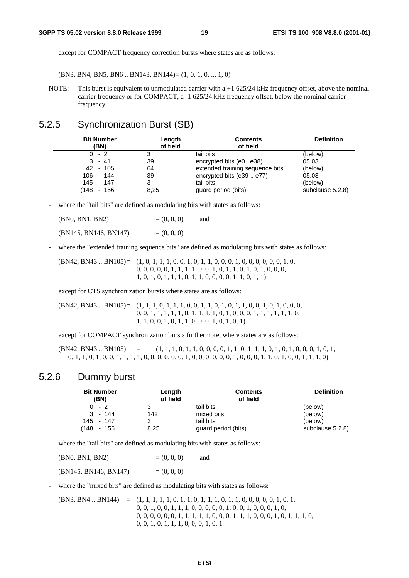except for COMPACT frequency correction bursts where states are as follows:

(BN3, BN4, BN5, BN6 .. BN143, BN144)= (1, 0, 1, 0, ... 1, 0)

NOTE: This burst is equivalent to unmodulated carrier with a  $+1$  625/24 kHz frequency offset, above the nominal carrier frequency or for COMPACT, a -1 625/24 kHz frequency offset, below the nominal carrier frequency.

# 5.2.5 Synchronization Burst (SB)

| <b>Bit Number</b><br>(BN) | Length<br>of field | <b>Contents</b><br>of field     | <b>Definition</b> |
|---------------------------|--------------------|---------------------------------|-------------------|
| $0 - 2$                   |                    | tail bits                       | (below)           |
| $3 - 41$                  | 39                 | encrypted bits (e0 . e38)       | 05.03             |
| 42 - 105                  | 64                 | extended training sequence bits | (below)           |
| $106 - 144$               | 39                 | encrypted bits (e39  e77)       | 05.03             |
| 145 - 147                 | 3                  | tail bits                       | (below)           |
| $^{\prime}$ 148<br>- 156  | 8,25               | guard period (bits)             | subclause 5.2.8)  |

- where the "tail bits" are defined as modulating bits with states as follows:

| (BN0, BN1, BN2)       | $= (0, 0, 0)$ | and |
|-----------------------|---------------|-----|
| (BN145, BN146, BN147) | $= (0, 0, 0)$ |     |

- where the "extended training sequence bits" are defined as modulating bits with states as follows:

 $(BN42, BN43.. BN105) = (1, 0, 1, 1, 1, 0, 0, 1, 0, 1, 1, 0, 0, 0, 1, 0, 0, 0, 0, 0, 1, 0, 0, 1, 0, 0, 1, 0, 1, 0, 1, 0, 1, 0, 1, 0, 1, 0, 1, 0, 1, 0, 1, 0, 1, 0, 1, 0, 1, 0, 1, 0, 1, 0, 1, 0, 1, 0, 1, 0, 1, 0, 1, 0, 1, 0, 1, 0,$  0, 0, 0, 0, 0, 1, 1, 1, 1, 0, 0, 1, 0, 1, 1, 0, 1, 0, 1, 0, 0, 0, 1, 0, 1, 0, 1, 1, 1, 0, 1, 1, 0, 0, 0, 0, 1, 1, 0, 1, 1)

except for CTS synchronization bursts where states are as follows:

(BN42, BN43 .. BN105)= (1, 1, 1, 0, 1, 1, 1, 0, 0, 1, 1, 0, 1, 0, 1, 1, 0, 0, 1, 0, 1, 0, 0, 0, 0, 0, 1, 1, 1, 1, 1, 0, 1, 1, 1, 1, 0, 1, 0, 0, 0, 1, 1, 1, 1, 1, 1, 0, 1, 1, 0, 0, 1, 0, 1, 1, 0, 0, 0, 1, 0, 1, 0, 1)

except for COMPACT synchronization bursts furthermore, where states are as follows:

 $(BN42, BN43.. BN105) = (1, 1, 1, 0, 1, 1, 0, 0, 0, 0, 1, 1, 1, 0, 1, 1, 1, 0, 1, 0, 1, 0, 0, 0, 1, 0, 1, 0, 1, 0, 1, 0, 1, 0, 1, 0, 1, 0, 1, 0, 1, 0, 1, 0, 1, 0, 1, 0, 1, 0, 1, 0, 1, 0, 1, 0, 1, 0, 1, 0, 1, 0, 1, 0, 1, 0, 1, 0$ 0, 1, 1, 0, 1, 0, 0, 1, 1, 1, 1, 0, 0, 0, 0, 0, 0, 1, 0, 0, 0, 0, 0, 0, 1, 0, 0, 0, 1, 1, 0, 1, 0, 0, 1, 1, 1, 0)

### 5.2.6 Dummy burst

| <b>Bit Number</b><br>(BN) | Length<br>of field | <b>Contents</b><br>of field | <b>Definition</b> |
|---------------------------|--------------------|-----------------------------|-------------------|
| - 2<br>0.                 | 3                  | tail bits                   | (below)           |
| - 144<br>3                | 142                | mixed bits                  | (below)           |
| 145 - 147                 | ?<br>J             | tail bits                   | (below)           |
| (148<br>- 156             | 8,25               | guard period (bits)         | subclause 5.2.8)  |

where the "tail bits" are defined as modulating bits with states as follows:

 $(BN0, BN1, BN2)$  =  $(0, 0, 0)$  and

 $(BN145, BN146, BN147) = (0, 0, 0)$ 

where the "mixed bits" are defined as modulating bits with states as follows:

(BN3, BN4 .. BN144) = (1, 1, 1, 1, 1, 0, 1, 1, 0, 1, 1, 1, 0, 1, 1, 0, 0, 0, 0, 0, 1, 0, 1, 0, 0, 1, 0, 0, 1, 1, 1, 0, 0, 0, 0, 0, 1, 0, 0, 1, 0, 0, 0, 1, 0, 0, 0, 0, 0, 0, 0, 1, 1, 1, 1, 1, 0, 0, 0, 1, 1, 1, 0, 0, 0, 1, 0, 1, 1, 1, 0, 0, 0, 1, 0, 1, 1, 1, 0, 0, 0, 1, 0, 1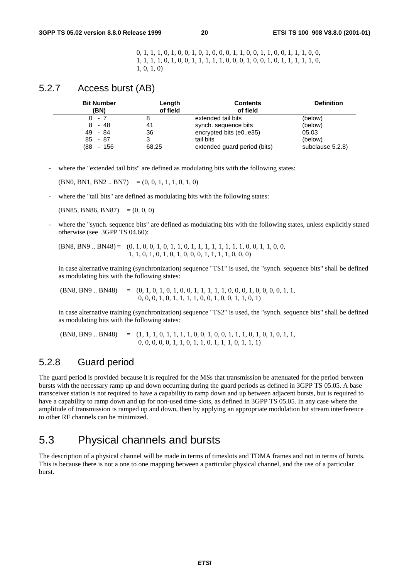0, 1, 1, 1, 0, 1, 0, 0, 1, 0, 1, 0, 0, 0, 1, 1, 0, 0, 1, 1, 0, 0, 1, 1, 1, 0, 0, 1, 1, 1, 1, 0, 1, 0, 0, 1, 1, 1, 1, 1, 0, 0, 0, 1, 0, 0, 1, 0, 1, 1, 1, 1, 1, 0, 1, 0, 1, 0)

### 5.2.7 Access burst (AB)

| <b>Bit Number</b><br>(BN) | Length<br>of field | <b>Contents</b><br>of field  | <b>Definition</b> |
|---------------------------|--------------------|------------------------------|-------------------|
| $0 - 7$                   |                    | extended tail bits           | (below)           |
| $8 - 48$                  | 41                 | synch. sequence bits         | (below)           |
| 49 - 84                   | 36                 | encrypted bits (e0e35)       | 05.03             |
| $85 - 87$                 |                    | tail bits                    | (below)           |
| (88<br>- 156              | 68,25              | extended guard period (bits) | subclause 5.2.8)  |

where the "extended tail bits" are defined as modulating bits with the following states:

 $(BN0, BN1, BN2.. BN7) = (0, 0, 1, 1, 1, 0, 1, 0)$ 

where the "tail bits" are defined as modulating bits with the following states:

 $(BN85, BN86, BN87) = (0, 0, 0)$ 

where the "synch. sequence bits" are defined as modulating bits with the following states, unless explicitly stated otherwise (see 3GPP TS 04.60):

(BN8, BN9 .. BN48) = (0, 1, 0, 0, 1, 0, 1, 1, 0, 1, 1, 1, 1, 1, 1, 1, 1, 0, 0, 1, 1, 0, 0, 1, 1, 0, 1, 0, 1, 0, 1, 0, 0, 0, 1, 1, 1, 1, 0, 0, 0)

 in case alternative training (synchronization) sequence "TS1" is used, the "synch. sequence bits" shall be defined as modulating bits with the following states:

 (BN8, BN9 .. BN48) = (0, 1, 0, 1, 0, 1, 0, 0, 1, 1, 1, 1, 1, 0, 0, 0, 1, 0, 0, 0, 0, 1, 1, 0, 0, 0, 1, 0, 1, 1, 1, 1, 0, 0, 1, 0, 0, 1, 1, 0, 1)

 in case alternative training (synchronization) sequence "TS2" is used, the "synch. sequence bits" shall be defined as modulating bits with the following states:

 (BN8, BN9 .. BN48) = (1, 1, 1, 0, 1, 1, 1, 1, 0, 0, 1, 0, 0, 1, 1, 1, 0, 1, 0, 1, 0, 1, 1, 0, 0, 0, 0, 0, 1, 1, 0, 1, 1, 0, 1, 1, 1, 0, 1, 1, 1)

# 5.2.8 Guard period

The guard period is provided because it is required for the MSs that transmission be attenuated for the period between bursts with the necessary ramp up and down occurring during the guard periods as defined in 3GPP TS 05.05. A base transceiver station is not required to have a capability to ramp down and up between adjacent bursts, but is required to have a capability to ramp down and up for non-used time-slots, as defined in 3GPP TS 05.05. In any case where the amplitude of transmission is ramped up and down, then by applying an appropriate modulation bit stream interference to other RF channels can be minimized.

# 5.3 Physical channels and bursts

The description of a physical channel will be made in terms of timeslots and TDMA frames and not in terms of bursts. This is because there is not a one to one mapping between a particular physical channel, and the use of a particular burst.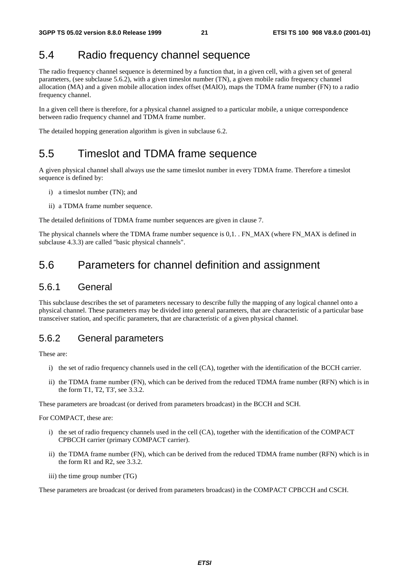# 5.4 Radio frequency channel sequence

The radio frequency channel sequence is determined by a function that, in a given cell, with a given set of general parameters, (see subclause 5.6.2), with a given timeslot number (TN), a given mobile radio frequency channel allocation (MA) and a given mobile allocation index offset (MAIO), maps the TDMA frame number (FN) to a radio frequency channel.

In a given cell there is therefore, for a physical channel assigned to a particular mobile, a unique correspondence between radio frequency channel and TDMA frame number.

The detailed hopping generation algorithm is given in subclause 6.2.

# 5.5 Timeslot and TDMA frame sequence

A given physical channel shall always use the same timeslot number in every TDMA frame. Therefore a timeslot sequence is defined by:

- i) a timeslot number (TN); and
- ii) a TDMA frame number sequence.

The detailed definitions of TDMA frame number sequences are given in clause 7.

The physical channels where the TDMA frame number sequence is 0,1. . FN\_MAX (where FN\_MAX is defined in subclause 4.3.3) are called "basic physical channels".

# 5.6 Parameters for channel definition and assignment

### 5.6.1 General

This subclause describes the set of parameters necessary to describe fully the mapping of any logical channel onto a physical channel. These parameters may be divided into general parameters, that are characteristic of a particular base transceiver station, and specific parameters, that are characteristic of a given physical channel.

### 5.6.2 General parameters

These are:

- i) the set of radio frequency channels used in the cell (CA), together with the identification of the BCCH carrier.
- ii) the TDMA frame number (FN), which can be derived from the reduced TDMA frame number (RFN) which is in the form T1, T2, T3', see 3.3.2.

These parameters are broadcast (or derived from parameters broadcast) in the BCCH and SCH.

For COMPACT, these are:

- i) the set of radio frequency channels used in the cell (CA), together with the identification of the COMPACT CPBCCH carrier (primary COMPACT carrier).
- ii) the TDMA frame number (FN), which can be derived from the reduced TDMA frame number (RFN) which is in the form R1 and R2, see 3.3.2.
- iii) the time group number (TG)

These parameters are broadcast (or derived from parameters broadcast) in the COMPACT CPBCCH and CSCH.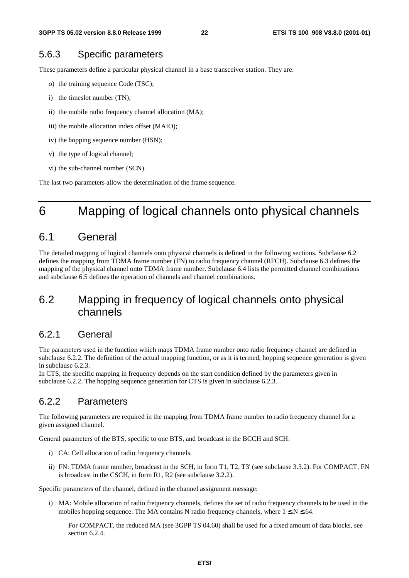## 5.6.3 Specific parameters

These parameters define a particular physical channel in a base transceiver station. They are:

- o) the training sequence Code (TSC);
- i) the timeslot number (TN);
- ii) the mobile radio frequency channel allocation (MA);
- iii) the mobile allocation index offset (MAIO);
- iv) the hopping sequence number (HSN);
- v) the type of logical channel;
- vi) the sub-channel number (SCN).

The last two parameters allow the determination of the frame sequence.

# 6 Mapping of logical channels onto physical channels

# 6.1 General

The detailed mapping of logical channels onto physical channels is defined in the following sections. Subclause 6.2 defines the mapping from TDMA frame number (FN) to radio frequency channel (RFCH). Subclause 6.3 defines the mapping of the physical channel onto TDMA frame number. Subclause 6.4 lists the permitted channel combinations and subclause 6.5 defines the operation of channels and channel combinations.

# 6.2 Mapping in frequency of logical channels onto physical channels

## 6.2.1 General

The parameters used in the function which maps TDMA frame number onto radio frequency channel are defined in subclause 6.2.2. The definition of the actual mapping function, or as it is termed, hopping sequence generation is given in subclause 6.2.3.

In CTS, the specific mapping in frequency depends on the start condition defined by the parameters given in subclause 6.2.2. The hopping sequence generation for CTS is given in subclause 6.2.3.

# 6.2.2 Parameters

The following parameters are required in the mapping from TDMA frame number to radio frequency channel for a given assigned channel.

General parameters of the BTS, specific to one BTS, and broadcast in the BCCH and SCH:

- i) CA: Cell allocation of radio frequency channels.
- ii) FN: TDMA frame number, broadcast in the SCH, in form T1, T2, T3' (see subclause 3.3.2). For COMPACT, FN is broadcast in the CSCH, in form R1, R2 (see subclause 3.2.2).

Specific parameters of the channel, defined in the channel assignment message:

i) MA: Mobile allocation of radio frequency channels, defines the set of radio frequency channels to be used in the mobiles hopping sequence. The MA contains N radio frequency channels, where  $1 \le N \le 64$ .

For COMPACT, the reduced MA (see 3GPP TS 04.60) shall be used for a fixed amount of data blocks, see section 6.2.4.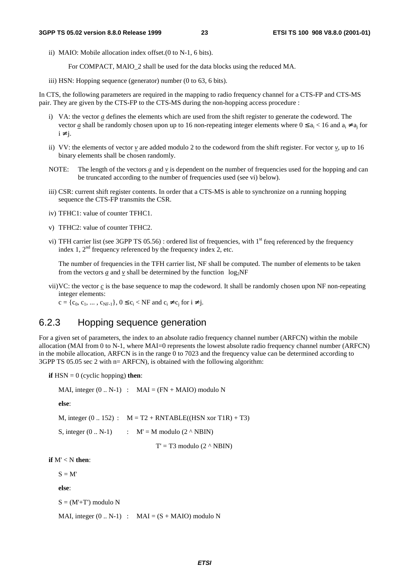ii) MAIO: Mobile allocation index offset.(0 to N-1, 6 bits).

For COMPACT, MAIO\_2 shall be used for the data blocks using the reduced MA.

iii) HSN: Hopping sequence (generator) number (0 to 63, 6 bits).

In CTS, the following parameters are required in the mapping to radio frequency channel for a CTS-FP and CTS-MS pair. They are given by the CTS-FP to the CTS-MS during the non-hopping access procedure :

- i) VA: the vector *a* defines the elements which are used from the shift register to generate the codeword. The vector *a* shall be randomly chosen upon up to 16 non-repeating integer elements where  $0 \le a_i \le 16$  and  $a_i \ne a_j$  for  $i \neq i$ .
- ii) VV: the elements of vector  $v$  are added modulo 2 to the codeword from the shift register. For vector  $v$ , up to 16 binary elements shall be chosen randomly.
- NOTE: The length of the vectors  $a$  and  $v$  is dependent on the number of frequencies used for the hopping and can be truncated according to the number of frequencies used (see vi) below).
- iii) CSR: current shift register contents. In order that a CTS-MS is able to synchronize on a running hopping sequence the CTS-FP transmits the CSR.
- iv) TFHC1: value of counter TFHC1.
- v) TFHC2: value of counter TFHC2.
- vi) TFH carrier list (see 3GPP TS 05.56) : ordered list of frequencies, with  $1<sup>st</sup>$  freq referenced by the frequency index 1,  $2<sup>nd</sup>$  frequency referenced by the frequency index 2, etc.

The number of frequencies in the TFH carrier list, NF shall be computed. The number of elements to be taken from the vectors *a* and *v* shall be determined by the function  $\log_2$ NF

vii)VC: the vector *c* is the base sequence to map the codeword. It shall be randomly chosen upon NF non-repeating integer elements:

 $c = \{c_0, c_1, ..., c_{NF-1}\}, 0 \le c_i < NF$  and  $c_i \ne c_i$  for  $i \ne j$ .

### 6.2.3 Hopping sequence generation

For a given set of parameters, the index to an absolute radio frequency channel number (ARFCN) within the mobile allocation (MAI from 0 to N-1, where MAI=0 represents the lowest absolute radio frequency channel number (ARFCN) in the mobile allocation, ARFCN is in the range  $\overline{0}$  to 7023 and the frequency value can be determined according to 3GPP TS 05.05 sec 2 with n= ARFCN), is obtained with the following algorithm:

**if**  $HSN = 0$  (cyclic hopping) **then**:

MAI, integer  $(0.. N-1)$  : MAI =  $(FN + MAIO)$  modulo N

**else**:

M, integer  $(0.. 152)$  :  $M = T2 + RNTABLE((HSN xor T1R) + T3)$ 

S, integer  $(0.. N-1)$  :  $M' = M$  modulo  $(2 \wedge NBIN)$ 

 $T' = T3$  modulo  $(2 \wedge NBIN)$ 

**if** M' < N **then**:

 $S = M$ 

**else**:

 $S = (M' + T')$  modulo N

MAI, integer  $(0.. N-1)$  : MAI =  $(S + MAIO)$  modulo N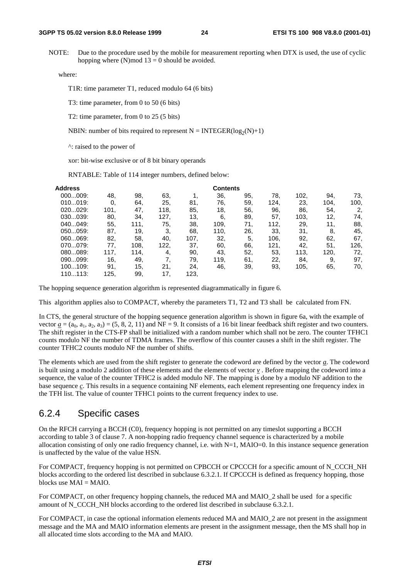NOTE: Due to the procedure used by the mobile for measurement reporting when DTX is used, the use of cyclic hopping where (N)mod  $13 = 0$  should be avoided.

where:

T1R: time parameter T1, reduced modulo 64 (6 bits)

T3: time parameter, from 0 to 50 (6 bits)

T2: time parameter, from 0 to 25 (5 bits)

NBIN: number of bits required to represent  $N = INTEGR(log_2(N)+1)$ 

^: raised to the power of

xor: bit-wise exclusive or of 8 bit binary operands

RNTABLE: Table of 114 integer numbers, defined below:

| Address |      |      |      |      | <b>Contents</b> |     |      |      |      |      |
|---------|------|------|------|------|-----------------|-----|------|------|------|------|
| 000009: | 48.  | 98.  | 63,  |      | 36,             | 95. | 78.  | 102, | 94.  | 73.  |
| 010019: | 0.   | 64.  | 25.  | 81.  | 76.             | 59. | 124. | 23.  | 104. | 100. |
| 020029: | 101. | 47.  | 118. | 85.  | 18,             | 56. | 96.  | 86.  | 54.  | 2.   |
| 030039: | 80.  | 34.  | 127, | 13,  | 6.              | 89. | 57.  | 103, | 12,  | 74,  |
| 040049: | 55.  | 111, | 75,  | 38.  | 109.            | 71. | 112, | 29,  | 11.  | 88,  |
| 050059: | 87.  | 19,  | 3.   | 68.  | 110.            | 26. | 33.  | 31,  | 8.   | 45,  |
| 060069: | 82,  | 58.  | 40.  | 107, | 32,             | 5.  | 106, | 92.  | 62.  | 67.  |
| 070079: | 77.  | 108. | 122, | 37.  | 60,             | 66. | 121, | 42.  | 51.  | 126. |
| 080089: | 117. | 114, | 4,   | 90,  | 43.             | 52. | 53,  | 113, | 120. | 72,  |
| 090099: | 16,  | 49,  | 7.   | 79.  | 119.            | 61. | 22,  | 84.  | 9.   | 97.  |
| 100109: | 91.  | 15,  | 21.  | 24.  | 46,             | 39. | 93,  | 105, | 65.  | 70,  |
| 110113: | 125, | 99.  | 17.  | 123, |                 |     |      |      |      |      |

The hopping sequence generation algorithm is represented diagrammatically in figure 6.

This algorithm applies also to COMPACT, whereby the parameters T1, T2 and T3 shall be calculated from FN.

In CTS, the general structure of the hopping sequence generation algorithm is shown in figure 6a, with the example of vector  $\underline{a} = (a_0, a_1, a_2, a_3) = (5, 8, 2, 11)$  and NF = 9. It consists of a 16 bit linear feedback shift register and two counters. The shift register in the CTS-FP shall be initialized with a random number which shall not be zero. The counter TFHC1 counts modulo NF the number of TDMA frames. The overflow of this counter causes a shift in the shift register. The counter TFHC2 counts modulo NF the number of shifts.

The elements which are used from the shift register to generate the codeword are defined by the vector *a*. The codeword is built using a modulo 2 addition of these elements and the elements of vector *v* . Before mapping the codeword into a sequence, the value of the counter TFHC2 is added modulo NF. The mapping is done by a modulo NF addition to the base sequence *c*. This results in a sequence containing NF elements, each element representing one frequency index in the TFH list. The value of counter TFHC1 points to the current frequency index to use.

### 6.2.4 Specific cases

On the RFCH carrying a BCCH (C0), frequency hopping is not permitted on any timeslot supporting a BCCH according to table 3 of clause 7. A non-hopping radio frequency channel sequence is characterized by a mobile allocation consisting of only one radio frequency channel, i.e. with  $N=1$ ,  $MAIO=0$ . In this instance sequence generation is unaffected by the value of the value HSN.

For COMPACT, frequency hopping is not permitted on CPBCCH or CPCCCH for a specific amount of N\_CCCH\_NH blocks according to the ordered list described in subclause 6.3.2.1. If CPCCCH is defined as frequency hopping, those blocks use  $MAI = MAIO$ .

For COMPACT, on other frequency hopping channels, the reduced MA and MAIO 2 shall be used for a specific amount of N\_CCCH\_NH blocks according to the ordered list described in subclause 6.3.2.1.

For COMPACT, in case the optional information elements reduced MA and MAIO\_2 are not present in the assignment message and the MA and MAIO information elements are present in the assignment message, then the MS shall hop in all allocated time slots according to the MA and MAIO.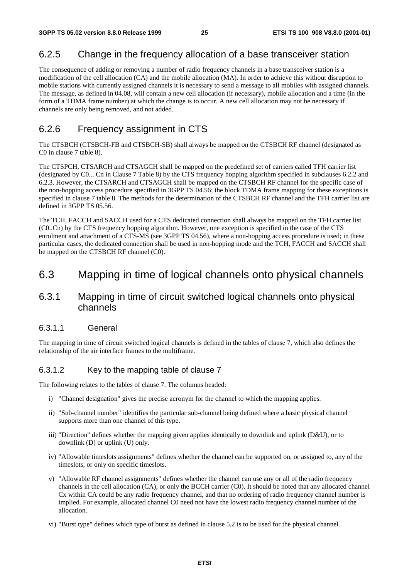# 6.2.5 Change in the frequency allocation of a base transceiver station

The consequence of adding or removing a number of radio frequency channels in a base transceiver station is a modification of the cell allocation (CA) and the mobile allocation (MA). In order to achieve this without disruption to mobile stations with currently assigned channels it is necessary to send a message to all mobiles with assigned channels. The message, as defined in 04.08, will contain a new cell allocation (if necessary), mobile allocation and a time (in the form of a TDMA frame number) at which the change is to occur. A new cell allocation may not be necessary if channels are only being removed, and not added.

# 6.2.6 Frequency assignment in CTS

The CTSBCH (CTSBCH-FB and CTSBCH-SB) shall always be mapped on the CTSBCH RF channel (designated as C0 in clause 7 table 8).

The CTSPCH, CTSARCH and CTSAGCH shall be mapped on the predefined set of carriers called TFH carrier list (designated by C0... Cn in Clause 7 Table 8) by the CTS frequency hopping algorithm specified in subclauses 6.2.2 and 6.2.3. However, the CTSARCH and CTSAGCH shall be mapped on the CTSBCH RF channel for the specific case of the non-hopping access procedure specified in 3GPP TS 04.56; the block TDMA frame mapping for these exceptions is specified in clause 7 table 8. The methods for the determination of the CTSBCH RF channel and the TFH carrier list are defined in 3GPP TS 05.56.

The TCH, FACCH and SACCH used for a CTS dedicated connection shall always be mapped on the TFH carrier list (C0..Cn) by the CTS frequency hopping algorithm. However, one exception is specified in the case of the CTS enrolment and attachment of a CTS-MS (see 3GPP TS 04.56), where a non-hopping access procedure is used; in these particular cases, the dedicated connection shall be used in non-hopping mode and the TCH, FACCH and SACCH shall be mapped on the CTSBCH RF channel (C0).

# 6.3 Mapping in time of logical channels onto physical channels

# 6.3.1 Mapping in time of circuit switched logical channels onto physical channels

#### 6.3.1.1 General

The mapping in time of circuit switched logical channels is defined in the tables of clause 7, which also defines the relationship of the air interface frames to the multiframe.

#### 6.3.1.2 Key to the mapping table of clause 7

The following relates to the tables of clause 7. The columns headed:

- i) "Channel designation" gives the precise acronym for the channel to which the mapping applies.
- ii) "Sub-channel number" identifies the particular sub-channel being defined where a basic physical channel supports more than one channel of this type.
- iii) "Direction" defines whether the mapping given applies identically to downlink and uplink (D&U), or to downlink (D) or uplink (U) only.
- iv) "Allowable timeslots assignments" defines whether the channel can be supported on, or assigned to, any of the timeslots, or only on specific timeslots.
- v) "Allowable RF channel assignments" defines whether the channel can use any or all of the radio frequency channels in the cell allocation (CA), or only the BCCH carrier (C0). It should be noted that any allocated channel Cx within CA could be any radio frequency channel, and that no ordering of radio frequency channel number is implied. For example, allocated channel C0 need not have the lowest radio frequency channel number of the allocation.
- vi) "Burst type" defines which type of burst as defined in clause 5.2 is to be used for the physical channel.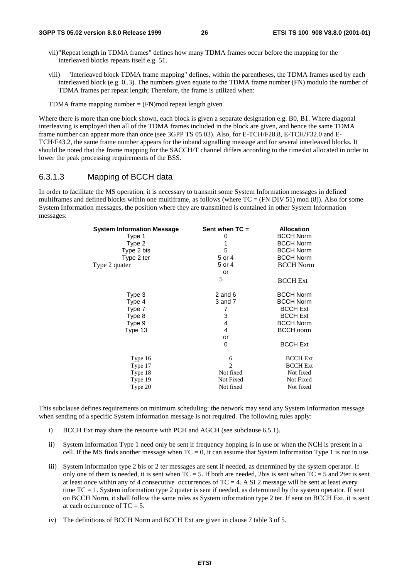- vii)"Repeat length in TDMA frames" defines how many TDMA frames occur before the mapping for the interleaved blocks repeats itself e.g. 51.
- viii) "Interleaved block TDMA frame mapping" defines, within the parentheses, the TDMA frames used by each interleaved block (e.g. 0..3). The numbers given equate to the TDMA frame number (FN) modulo the number of TDMA frames per repeat length; Therefore, the frame is utilized when:
- TDMA frame mapping number  $=$  (FN) mod repeat length given

Where there is more than one block shown, each block is given a separate designation e.g. B0, B1. Where diagonal interleaving is employed then all of the TDMA frames included in the block are given, and hence the same TDMA frame number can appear more than once (see 3GPP TS 05.03). Also, for E-TCH/F28.8, E-TCH/F32.0 and E-TCH/F43.2, the same frame number appears for the inband signalling message and for several interleaved blocks. It should be noted that the frame mapping for the SACCH/T channel differs according to the timeslot allocated in order to lower the peak processing requirements of the BSS.

#### 6.3.1.3 Mapping of BCCH data

In order to facilitate the MS operation, it is necessary to transmit some System Information messages in defined multiframes and defined blocks within one multiframe, as follows (where  $TC = (FN DIV 51) mod (8)$ ). Also for some System Information messages, the position where they are transmitted is contained in other System Information messages:

| <b>System Information Message</b> | Sent when $TC =$ | <b>Allocation</b> |
|-----------------------------------|------------------|-------------------|
| Type 1                            | 0                | <b>BCCH Norm</b>  |
| Type 2                            | 1                | <b>BCCH Norm</b>  |
| Type 2 bis                        | 5                | <b>BCCH Norm</b>  |
| Type 2 ter                        | 5 or 4           | <b>BCCH Norm</b>  |
| Type 2 quater                     | 5 or 4           | <b>BCCH Norm</b>  |
|                                   | or               |                   |
|                                   | 5                | <b>BCCH Ext</b>   |
| Type 3                            | 2 and $6$        | <b>BCCH Norm</b>  |
| Type 4                            | 3 and 7          | <b>BCCH Norm</b>  |
| Type 7                            | 7                | <b>BCCH Ext</b>   |
| Type 8                            | 3                | <b>BCCH Ext</b>   |
| Type 9                            | 4                | <b>BCCH Norm</b>  |
| Type 13                           | 4                | <b>BCCH</b> norm  |
|                                   | or               |                   |
|                                   | 0                | <b>BCCH Ext</b>   |
| Type 16                           | 6                | <b>BCCH Ext</b>   |
| Type 17                           | $\overline{c}$   | <b>BCCH Ext</b>   |
| Type 18                           | Not fixed        | Not fixed         |
| Type 19                           | Not Fixed        | Not Fixed         |
| Type 20                           | Not fixed        | Not fixed         |
|                                   |                  |                   |

This subclause defines requirements on minimum scheduling: the network may send any System Information message when sending of a specific System Information message is not required. The following rules apply:

- i) BCCH Ext may share the resource with PCH and AGCH (see subclause 6.5.1).
- ii) System Information Type 1 need only be sent if frequency hopping is in use or when the NCH is present in a cell. If the MS finds another message when  $TC = 0$ , it can assume that System Information Type 1 is not in use.
- iii) System information type 2 bis or 2 ter messages are sent if needed, as determined by the system operator. If only one of them is needed, it is sent when  $TC = 5$ . If both are needed, 2bis is sent when  $TC = 5$  and 2ter is sent at least once within any of 4 consecutive occurrences of  $TC = 4$ . A SI 2 message will be sent at least every time TC = 1. System information type 2 quater is sent if needed, as determined by the system operator. If sent on BCCH Norm, it shall follow the same rules as System information type 2 ter. If sent on BCCH Ext, it is sent at each occurrence of  $TC = 5$ .
- iv) The definitions of BCCH Norm and BCCH Ext are given in clause 7 table 3 of 5.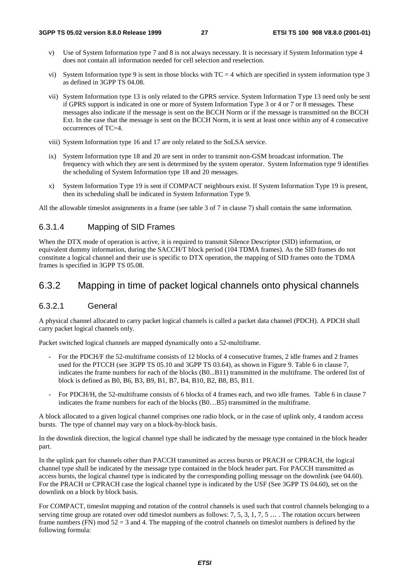- v) Use of System Information type 7 and 8 is not always necessary. It is necessary if System Information type 4 does not contain all information needed for cell selection and reselection.
- vi) System Information type 9 is sent in those blocks with  $TC = 4$  which are specified in system information type 3 as defined in 3GPP TS 04.08.
- vii) System Information type 13 is only related to the GPRS service. System Information Type 13 need only be sent if GPRS support is indicated in one or more of System Information Type 3 or 4 or 7 or 8 messages. These messages also indicate if the message is sent on the BCCH Norm or if the message is transmitted on the BCCH Ext. In the case that the message is sent on the BCCH Norm, it is sent at least once within any of 4 consecutive occurrences of TC=4.
- viii) System Information type 16 and 17 are only related to the SoLSA service.
- ix) System Information type 18 and 20 are sent in order to transmit non-GSM broadcast information. The frequency with which they are sent is determined by the system operator. System Information type 9 identifies the scheduling of System Information type 18 and 20 messages.
- x) System Information Type 19 is sent if COMPACT neighbours exist. If System Information Type 19 is present, then its scheduling shall be indicated in System Information Type 9.

All the allowable timeslot assignments in a frame (see table 3 of 7 in clause 7) shall contain the same information.

#### 6.3.1.4 Mapping of SID Frames

When the DTX mode of operation is active, it is required to transmit Silence Descriptor (SID) information, or equivalent dummy information, during the SACCH/T block period (104 TDMA frames). As the SID frames do not constitute a logical channel and their use is specific to DTX operation, the mapping of SID frames onto the TDMA frames is specified in 3GPP TS 05.08.

### 6.3.2 Mapping in time of packet logical channels onto physical channels

#### 6.3.2.1 General

A physical channel allocated to carry packet logical channels is called a packet data channel (PDCH). A PDCH shall carry packet logical channels only.

Packet switched logical channels are mapped dynamically onto a 52-multiframe.

- For the PDCH/F the 52-multiframe consists of 12 blocks of 4 consecutive frames, 2 idle frames and 2 frames used for the PTCCH (see 3GPP TS 05.10 and 3GPP TS 03.64), as shown in Figure 9. Table 6 in clause 7, indicates the frame numbers for each of the blocks (B0...B11) transmitted in the multiframe. The ordered list of block is defined as B0, B6, B3, B9, B1, B7, B4, B10, B2, B8, B5, B11.
- For PDCH/H, the 52-multiframe consists of 6 blocks of 4 frames each, and two idle frames. Table 6 in clause 7 indicates the frame numbers for each of the blocks (B0…B5) transmitted in the multiframe.

A block allocated to a given logical channel comprises one radio block, or in the case of uplink only, 4 random access bursts. The type of channel may vary on a block-by-block basis.

In the downlink direction, the logical channel type shall be indicated by the message type contained in the block header part.

In the uplink part for channels other than PACCH transmitted as access bursts or PRACH or CPRACH, the logical channel type shall be indicated by the message type contained in the block header part. For PACCH transmitted as access bursts, the logical channel type is indicated by the corresponding polling message on the downlink (see 04.60). For the PRACH or CPRACH case the logical channel type is indicated by the USF (See 3GPP TS 04.60), set on the downlink on a block by block basis.

For COMPACT, timeslot mapping and rotation of the control channels is used such that control channels belonging to a serving time group are rotated over odd timeslot numbers as follows:  $7, 5, 3, 1, 7, 5, \ldots$ . The rotation occurs between frame numbers (FN) mod  $52 = 3$  and 4. The mapping of the control channels on timeslot numbers is defined by the following formula: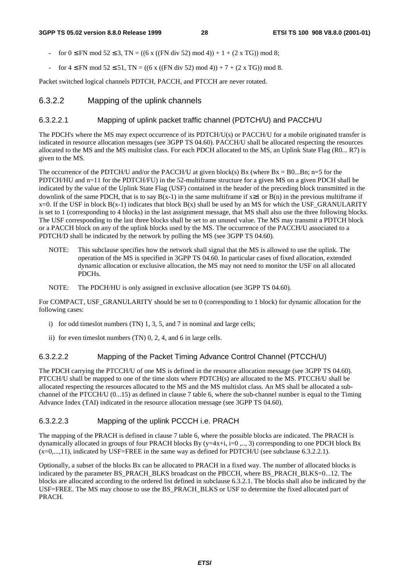- for  $0 \leq FN \mod 52 \leq 3$ ,  $TN = ((6 \times ((FN \text{ div } 52) \mod 4)) + 1 + (2 \times TG)) \mod 8$ ;
- for  $4 \leq FN \mod 52 \leq 51$ , TN = ((6 x ((FN div 52) mod 4)) + 7 + (2 x TG)) mod 8.

Packet switched logical channels PDTCH, PACCH, and PTCCH are never rotated.

#### 6.3.2.2 Mapping of the uplink channels

#### 6.3.2.2.1 Mapping of uplink packet traffic channel (PDTCH/U) and PACCH/U

The PDCH's where the MS may expect occurrence of its PDTCH/U(s) or PACCH/U for a mobile originated transfer is indicated in resource allocation messages (see 3GPP TS 04.60). PACCH/U shall be allocated respecting the resources allocated to the MS and the MS multislot class. For each PDCH allocated to the MS, an Uplink State Flag (R0... R7) is given to the MS.

The occurrence of the PDTCH/U and/or the PACCH/U at given block(s) Bx (where  $Bx = B0...Bn$ ; n=5 for the PDTCH/HU and n=11 for the PDTCH/FU) in the 52-multiframe structure for a given MS on a given PDCH shall be indicated by the value of the Uplink State Flag (USF) contained in the header of the preceding block transmitted in the downlink of the same PDCH, that is to say  $B(x-1)$  in the same multiframe if  $x\geq 1$  or  $B(n)$  in the previous multiframe if  $x=0$ . If the USF in block  $B(x-1)$  indicates that block  $B(x)$  shall be used by an MS for which the USF\_GRANULARITY is set to 1 (corresponding to 4 blocks) in the last assignment message, that MS shall also use the three following blocks. The USF corresponding to the last three blocks shall be set to an unused value. The MS may transmit a PDTCH block or a PACCH block on any of the uplink blocks used by the MS. The occurrence of the PACCH/U associated to a PDTCH/D shall be indicated by the network by polling the MS (see 3GPP TS 04.60).

- NOTE: This subclause specifies how the network shall signal that the MS is allowed to use the uplink. The operation of the MS is specified in 3GPP TS 04.60. In particular cases of fixed allocation, extended dynamic allocation or exclusive allocation, the MS may not need to monitor the USF on all allocated PDCHs.
- NOTE: The PDCH/HU is only assigned in exclusive allocation (see 3GPP TS 04.60).

For COMPACT, USF\_GRANULARITY should be set to 0 (corresponding to 1 block) for dynamic allocation for the following cases:

- i) for odd timeslot numbers (TN) 1, 3, 5, and 7 in nominal and large cells;
- ii) for even timeslot numbers (TN) 0, 2, 4, and 6 in large cells.

#### 6.3.2.2.2 Mapping of the Packet Timing Advance Control Channel (PTCCH/U)

The PDCH carrying the PTCCH/U of one MS is defined in the resource allocation message (see 3GPP TS 04.60). PTCCH/U shall be mapped to one of the time slots where PDTCH(s) are allocated to the MS. PTCCH/U shall be allocated respecting the resources allocated to the MS and the MS multislot class. An MS shall be allocated a subchannel of the PTCCH/U (0...15) as defined in clause 7 table 6, where the sub-channel number is equal to the Timing Advance Index (TAI) indicated in the resource allocation message (see 3GPP TS 04.60).

#### 6.3.2.2.3 Mapping of the uplink PCCCH i.e. PRACH

The mapping of the PRACH is defined in clause 7 table 6, where the possible blocks are indicated. The PRACH is dynamically allocated in groups of four PRACH blocks By (y=4x+i, i=0 ,.., 3) corresponding to one PDCH block Bx (x=0,...,11), indicated by USF=FREE in the same way as defined for PDTCH/U (see subclause 6.3.2.2.1).

Optionally, a subset of the blocks Bx can be allocated to PRACH in a fixed way. The number of allocated blocks is indicated by the parameter BS\_PRACH\_BLKS broadcast on the PBCCH, where BS\_PRACH\_BLKS=0...12. The blocks are allocated according to the ordered list defined in subclause 6.3.2.1. The blocks shall also be indicated by the USF=FREE. The MS may choose to use the BS\_PRACH\_BLKS or USF to determine the fixed allocated part of PRACH.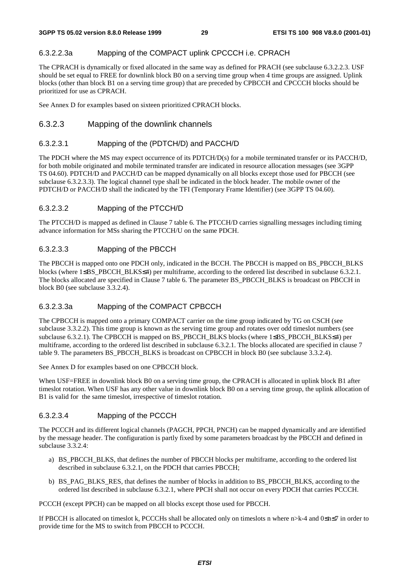#### 6.3.2.2.3a Mapping of the COMPACT uplink CPCCCH i.e. CPRACH

The CPRACH is dynamically or fixed allocated in the same way as defined for PRACH (see subclause 6.3.2.2.3. USF should be set equal to FREE for downlink block B0 on a serving time group when 4 time groups are assigned. Uplink blocks (other than block B1 on a serving time group) that are preceded by CPBCCH and CPCCCH blocks should be prioritized for use as CPRACH.

See Annex D for examples based on sixteen prioritized CPRACH blocks.

#### 6.3.2.3 Mapping of the downlink channels

#### 6.3.2.3.1 Mapping of the (PDTCH/D) and PACCH/D

The PDCH where the MS may expect occurrence of its PDTCH/D(s) for a mobile terminated transfer or its PACCH/D, for both mobile originated and mobile terminated transfer are indicated in resource allocation messages (see 3GPP TS 04.60). PDTCH/D and PACCH/D can be mapped dynamically on all blocks except those used for PBCCH (see subclause 6.3.2.3.3). The logical channel type shall be indicated in the block header. The mobile owner of the PDTCH/D or PACCH/D shall the indicated by the TFI (Temporary Frame Identifier) (see 3GPP TS 04.60).

#### 6.3.2.3.2 Mapping of the PTCCH/D

The PTCCH/D is mapped as defined in Clause 7 table 6. The PTCCH/D carries signalling messages including timing advance information for MSs sharing the PTCCH/U on the same PDCH.

#### 6.3.2.3.3 Mapping of the PBCCH

The PBCCH is mapped onto one PDCH only, indicated in the BCCH. The PBCCH is mapped on BS\_PBCCH\_BLKS blocks (where 1≤BS\_PBCCH\_BLKS≤4) per multiframe, according to the ordered list described in subclause 6.3.2.1. The blocks allocated are specified in Clause 7 table 6. The parameter BS\_PBCCH\_BLKS is broadcast on PBCCH in block B0 (see subclause 3.3.2.4).

#### 6.3.2.3.3a Mapping of the COMPACT CPBCCH

The CPBCCH is mapped onto a primary COMPACT carrier on the time group indicated by TG on CSCH (see subclause 3.3.2.2). This time group is known as the serving time group and rotates over odd timeslot numbers (see subclause 6.3.2.1). The CPBCCH is mapped on BS\_PBCCH\_BLKS blocks (where 1≤BS\_PBCCH\_BLKS≤4) per multiframe, according to the ordered list described in subclause 6.3.2.1. The blocks allocated are specified in clause 7 table 9. The parameters BS\_PBCCH\_BLKS is broadcast on CPBCCH in block B0 (see subclause 3.3.2.4).

See Annex D for examples based on one CPBCCH block.

When USF=FREE in downlink block B0 on a serving time group, the CPRACH is allocated in uplink block B1 after timeslot rotation. When USF has any other value in downlink block B0 on a serving time group, the uplink allocation of B1 is valid for the same timeslot, irrespective of timeslot rotation.

#### 6.3.2.3.4 Mapping of the PCCCH

The PCCCH and its different logical channels (PAGCH, PPCH, PNCH) can be mapped dynamically and are identified by the message header. The configuration is partly fixed by some parameters broadcast by the PBCCH and defined in subclause 3.3.2.4:

- a) BS\_PBCCH\_BLKS, that defines the number of PBCCH blocks per multiframe, according to the ordered list described in subclause 6.3.2.1, on the PDCH that carries PBCCH;
- b) BS\_PAG\_BLKS\_RES, that defines the number of blocks in addition to BS\_PBCCH\_BLKS, according to the ordered list described in subclause 6.3.2.1, where PPCH shall not occur on every PDCH that carries PCCCH.

PCCCH (except PPCH) can be mapped on all blocks except those used for PBCCH.

If PBCCH is allocated on timeslot k, PCCCHs shall be allocated only on timeslots n where n>k-4 and 0≤n≤7 in order to provide time for the MS to switch from PBCCH to PCCCH.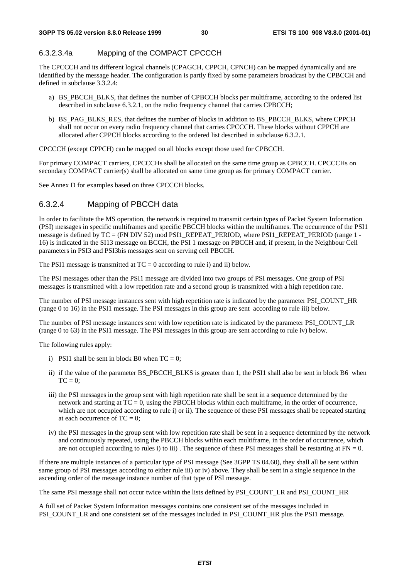#### 6.3.2.3.4a Mapping of the COMPACT CPCCCH

The CPCCCH and its different logical channels (CPAGCH, CPPCH, CPNCH) can be mapped dynamically and are identified by the message header. The configuration is partly fixed by some parameters broadcast by the CPBCCH and defined in subclause 3.3.2.4:

- a) BS\_PBCCH\_BLKS, that defines the number of CPBCCH blocks per multiframe, according to the ordered list described in subclause 6.3.2.1, on the radio frequency channel that carries CPBCCH;
- b) BS\_PAG\_BLKS\_RES, that defines the number of blocks in addition to BS\_PBCCH\_BLKS, where CPPCH shall not occur on every radio frequency channel that carries CPCCCH. These blocks without CPPCH are allocated after CPPCH blocks according to the ordered list described in subclause 6.3.2.1.

CPCCCH (except CPPCH) can be mapped on all blocks except those used for CPBCCH.

For primary COMPACT carriers, CPCCCHs shall be allocated on the same time group as CPBCCH. CPCCCHs on secondary COMPACT carrier(s) shall be allocated on same time group as for primary COMPACT carrier.

See Annex D for examples based on three CPCCCH blocks.

#### 6.3.2.4 Mapping of PBCCH data

In order to facilitate the MS operation, the network is required to transmit certain types of Packet System Information (PSI) messages in specific multiframes and specific PBCCH blocks within the multiframes. The occurrence of the PSI1 message is defined by TC = (FN DIV 52) mod PSI1\_REPEAT\_PERIOD, where PSI1\_REPEAT\_PERIOD (range 1 -16) is indicated in the SI13 message on BCCH, the PSI 1 message on PBCCH and, if present, in the Neighbour Cell parameters in PSI3 and PSI3bis messages sent on serving cell PBCCH.

The PSI1 message is transmitted at  $TC = 0$  according to rule i) and ii) below.

The PSI messages other than the PSI1 message are divided into two groups of PSI messages. One group of PSI messages is transmitted with a low repetition rate and a second group is transmitted with a high repetition rate.

The number of PSI message instances sent with high repetition rate is indicated by the parameter PSI\_COUNT\_HR (range 0 to 16) in the PSI1 message. The PSI messages in this group are sent according to rule iii) below.

The number of PSI message instances sent with low repetition rate is indicated by the parameter PSI\_COUNT\_LR (range 0 to 63) in the PSI1 message. The PSI messages in this group are sent according to rule iv) below.

The following rules apply:

- i) PSI1 shall be sent in block B0 when  $TC = 0$ :
- ii) if the value of the parameter BS\_PBCCH\_BLKS is greater than 1, the PSI1 shall also be sent in block B6 when  $TC = 0$ :
- iii) the PSI messages in the group sent with high repetition rate shall be sent in a sequence determined by the network and starting at  $TC = 0$ , using the PBCCH blocks within each multiframe, in the order of occurrence, which are not occupied according to rule i) or ii). The sequence of these PSI messages shall be repeated starting at each occurrence of  $TC = 0$ ;
- iv) the PSI messages in the group sent with low repetition rate shall be sent in a sequence determined by the network and continuously repeated, using the PBCCH blocks within each multiframe, in the order of occurrence, which are not occupied according to rules i) to iii). The sequence of these PSI messages shall be restarting at  $FN = 0$ .

If there are multiple instances of a particular type of PSI message (See 3GPP TS 04.60), they shall all be sent within same group of PSI messages according to either rule iii) or iv) above. They shall be sent in a single sequence in the ascending order of the message instance number of that type of PSI message.

The same PSI message shall not occur twice within the lists defined by PSI\_COUNT\_LR and PSI\_COUNT\_HR

A full set of Packet System Information messages contains one consistent set of the messages included in PSI\_COUNT\_LR and one consistent set of the messages included in PSI\_COUNT\_HR plus the PSI1 message.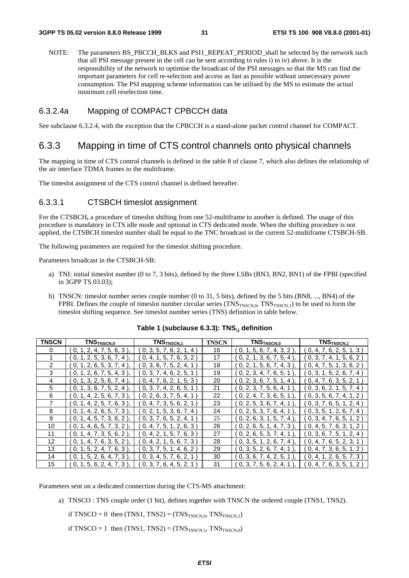NOTE: The parameters BS\_PBCCH\_BLKS and PSI1\_REPEAT\_PERIOD\_shall be selected by the network such that all PSI message present in the cell can be sent according to rules i) to iv) above. It is the responsibility of the network to optimise the broadcast of the PSI messages so that the MS can find the important parameters for cell re-selection and access as fast as possible without unnecessary power consumption. The PSI mapping scheme information can be utilised by the MS to estimate the actual minimum cell reselection time.

#### 6.3.2.4a Mapping of COMPACT CPBCCH data

See subclause 6.3.2.4, with the exception that the CPBCCH is a stand-alone packet control channel for COMPACT.

### 6.3.3 Mapping in time of CTS control channels onto physical channels

The mapping in time of CTS control channels is defined in the table 8 of clause 7, which also defines the relationship of the air interface TDMA frames to the multiframe.

The timeslot assignment of the CTS control channel is defined hereafter.

#### 6.3.3.1 CTSBCH timeslot assignment

For the CTSBCH**,** a procedure of timeslot shifting from one 52-multiframe to another is defined. The usage of this procedure is mandatory in CTS idle mode and optional in CTS dedicated mode. When the shifting procedure is not applied, the CTSBCH timeslot number shall be equal to the TNC broadcast in the current 52-multiframe CTSBCH-SB.

The following parameters are required for the timeslot shifting procedure.

Parameters broadcast in the CTSBCH-SB:

- a) TNI: initial timeslot number (0 to 7, 3 bits), defined by the three LSBs (BN3, BN2, BN1) of the FPBI (specified in 3GPP TS 03.03);
- b) TNSCN: timeslot number series couple number (0 to 31, 5 bits), defined by the 5 bits (BN8, ..., BN4) of the FPBI. Defines the couple of timeslot number circular series  $(TNS_{TNSCN,0}, TNS_{TNSCN,1})$  to be used to form the timeslot shifting sequence. See timeslot number series (TNS) definition in table below.

| <b>TNSCN</b>  | TNSTNSCN,0                     | TNS <sub>TNSCN,1</sub>  | <b>TNSCN</b> | TNSTNSCN,0                   | TNS <sub>TNSCN,1</sub>         |
|---------------|--------------------------------|-------------------------|--------------|------------------------------|--------------------------------|
| 0             | (0, 1, 2, 4, 7, 5, 6, 3)       | 0, 3, 5, 7, 6, 2, 1, 4  | 16           | (0, 1, 5, 6, 7, 4, 3, 2)     | (0, 4, 7, 6, 2, 5, 1, 3)       |
|               | (0, 1, 2, 5, 3, 6, 7, 4)       | 0, 4, 1, 5, 7, 6, 3, 2) | 17           | $(0, 2, 1, 3, 6, 7, 5, 4)$ , | (0, 3, 7, 4, 1, 5, 6, 2)       |
| $\mathcal{P}$ | (0, 1, 2, 6, 5, 3, 7, 4)       | 0, 3, 6, 7, 5, 2, 4, 1  | 18           | (0, 2, 1, 5, 6, 7, 4, 3)     | ( 0, 4, 7, 5, 1, 3, 6, 2 )     |
| 3             | (0, 1, 2, 6, 7, 5, 4, 3)       | 0, 3, 7, 4, 6, 2, 5, 1  | 19           | (0, 2, 3, 4, 7, 6, 5, 1)     | ( 0, 3, 1, 5, 2, 6, 7, 4 )     |
| 4             | 0, 1, 3, 2, 5, 6, 7, 4)        | 0, 4, 7, 6, 2, 1, 5, 3) | 20           | (0, 2, 3, 6, 7, 5, 1, 4)     | (0, 4, 7, 6, 3, 5, 2, 1)       |
| 5             | (0, 1, 3, 6, 7, 5, 2, 4)       | 0, 3, 7, 4, 2, 6, 5, 1  | 21           | (0, 2, 3, 7, 5, 6, 4, 1)     | (0, 3, 6, 2, 1, 5, 7, 4)       |
| 6             | (0, 1, 4, 2, 5, 6, 7, 3)       | 0, 2, 6, 3, 7, 5, 4, 1  | 22           | (0, 2, 4, 7, 3, 6, 5, 1)     | $($ 0, 3, 5, 6, 7, 4, 1, 2 $)$ |
|               | (0, 1, 4, 2, 5, 7, 6, 3)       | 0, 4, 7, 3, 5, 6, 2, 1  | 23           | (0, 2, 5, 3, 6, 7, 4, 1)     | ( 0, 3, 7, 6, 5, 1, 2, 4 )     |
| 8             | (0, 1, 4, 2, 6, 5, 7, 3)       | 0, 2, 1, 5, 3, 6, 7, 4) | 24           | (0, 2, 5, 3, 7, 6, 4, 1)     | $($ 0, 3, 5, 1, 2, 6, 7, 4 $)$ |
| 9             | (0, 1, 4, 5, 7, 3, 6, 2)       | 0, 3, 7, 6, 5, 2, 4, 1  | 25           | $(0, 2, 6, 3, 1, 5, 7, 4)$ , | ( 0, 3, 4, 7, 6, 5, 1, 2 )     |
| 10            | ( 0, 1, 4, 6, 5, 7, 3, 2 ),    | 0, 4, 7, 5, 1, 2, 6, 3) | 26           | $(0, 2, 6, 5, 1, 4, 7, 3)$ , | ( 0, 4, 5, 7, 6, 3, 1, 2 )     |
| 11            | $($ 0, 1, 4, 7, 3, 5, 6, 2 $)$ | 0, 4, 2, 1, 5, 7, 6, 3  | 27           | (0, 2, 6, 5, 3, 7, 4, 1)     | (0, 3, 6, 7, 5, 1, 2, 4)       |
| 12            | (0, 1, 4, 7, 6, 3, 5, 2)       | 0, 4, 2, 1, 5, 6, 7, 3  | 28           | (0, 3, 5, 1, 2, 6, 7, 4)     | (0, 4, 7, 6, 5, 2, 3, 1)       |
| 13            | 0, 1, 5, 2, 4, 7, 6, 3         | 0, 3, 7, 5, 1, 4, 6, 2) | 29           | (0, 3, 5, 2, 6, 7, 4, 1)     | (0, 4, 7, 3, 6, 5, 1, 2)       |
| 14            | 0, 1, 5, 2, 6, 4, 7, 3)        | 0, 3, 4, 5, 7, 6, 2, 1  | 30           | (0, 3, 6, 7, 4, 2, 5, 1)     | (0, 4, 1, 2, 6, 5, 7, 3)       |
| 15            | $0, 1, 5, 6, 2, 4, 7, 3$ ,     | 0, 3, 7, 6, 4, 5, 2, 1  | 31           | (0, 3, 7, 5, 6, 2, 4, 1)     | (0, 4, 7, 6, 3, 5, 1, 2)       |

#### Table 1 (subclause 6.3.3): TNS<sub>i,j</sub> definition

Parameters sent on a dedicated connection during the CTS-MS attachment:

a) TNSCO : TNS couple order (1 bit), defines together with TNSCN the ordered couple (TNS1, TNS2).

if TNSCO = 0 then  $(TNS1, TNS2) = (TNS<sub>TNSCN,0</sub>, TNS<sub>TNSCN,1</sub>)$ 

if TNSCO = 1 then  $(TNS1, TNS2) = (TNS<sub>TNSCN,1</sub>, TNS<sub>TNSCN,0</sub>)$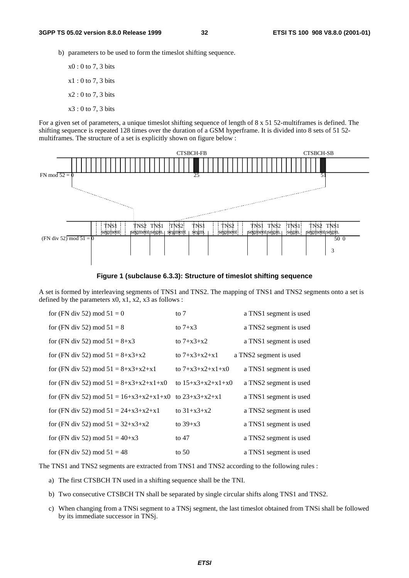- b) parameters to be used to form the timeslot shifting sequence.
	- x0 : 0 to 7, 3 bits x1 : 0 to 7, 3 bits  $x2:0$  to 7, 3 bits x3 : 0 to 7, 3 bits

For a given set of parameters, a unique timeslot shifting sequence of length of 8 x 51 52-multiframes is defined. The shifting sequence is repeated 128 times over the duration of a GSM hyperframe. It is divided into 8 sets of 51 52 multiframes. The structure of a set is explicitly shown on figure below :



**Figure 1 (subclause 6.3.3): Structure of timeslot shifting sequence**

A set is formed by interleaving segments of TNS1 and TNS2. The mapping of TNS1 and TNS2 segments onto a set is defined by the parameters  $x0$ ,  $x1$ ,  $x2$ ,  $x3$  as follows :

| for (FN div 52) mod $51 = 0$                               | to $7$              | a TNS1 segment is used |
|------------------------------------------------------------|---------------------|------------------------|
| for (FN div 52) mod $51 = 8$                               | to $7+x3$           | a TNS2 segment is used |
| for (FN div 52) mod $51 = 8+x3$                            | to $7+x3+x2$        | a TNS1 segment is used |
| for (FN div 52) mod $51 = 8 + x3 + x2$                     | to $7+x3+x2+x1$     | a TNS2 segment is used |
| for (FN div 52) mod $51 = 8 + x3 + x2 + x1$                | to $7+x3+x2+x1+x0$  | a TNS1 segment is used |
| for (FN div 52) mod $51 = 8 + x3 + x2 + x1 + x0$           | to $15+x3+x2+x1+x0$ | a TNS2 segment is used |
| for (FN div 52) mod $51 = 16+x3+x2+x1+x0$ to $23+x3+x2+x1$ |                     | a TNS1 segment is used |
| for (FN div 52) mod $51 = 24+x3+x2+x1$                     | to $31+x3+x2$       | a TNS2 segment is used |
| for (FN div 52) mod $51 = 32+x3+x2$                        | to $39+x3$          | a TNS1 segment is used |
| for (FN div 52) mod $51 = 40+x3$                           | to $47$             | a TNS2 segment is used |
| for (FN div 52) mod $51 = 48$                              | to $50$             | a TNS1 segment is used |

The TNS1 and TNS2 segments are extracted from TNS1 and TNS2 according to the following rules :

- a) The first CTSBCH TN used in a shifting sequence shall be the TNI.
- b) Two consecutive CTSBCH TN shall be separated by single circular shifts along TNS1 and TNS2.
- c) When changing from a TNSi segment to a TNSj segment, the last timeslot obtained from TNSi shall be followed by its immediate successor in TNSj.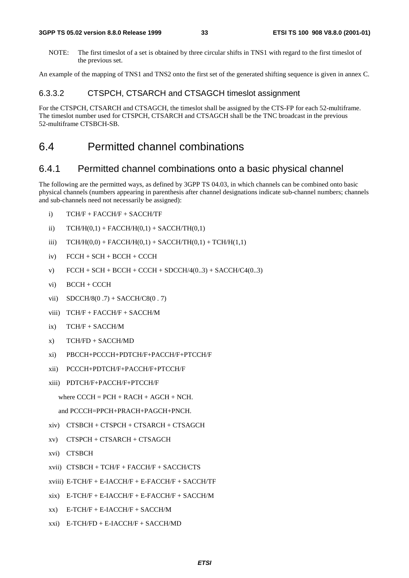NOTE: The first timeslot of a set is obtained by three circular shifts in TNS1 with regard to the first timeslot of the previous set.

An example of the mapping of TNS1 and TNS2 onto the first set of the generated shifting sequence is given in annex C.

#### 6.3.3.2 CTSPCH, CTSARCH and CTSAGCH timeslot assignment

For the CTSPCH, CTSARCH and CTSAGCH, the timeslot shall be assigned by the CTS-FP for each 52-multiframe. The timeslot number used for CTSPCH, CTSARCH and CTSAGCH shall be the TNC broadcast in the previous 52-multiframe CTSBCH-SB.

# 6.4 Permitted channel combinations

#### 6.4.1 Permitted channel combinations onto a basic physical channel

The following are the permitted ways, as defined by 3GPP TS 04.03, in which channels can be combined onto basic physical channels (numbers appearing in parenthesis after channel designations indicate sub-channel numbers; channels and sub-channels need not necessarily be assigned):

- i) TCH/F + FACCH/F + SACCH/TF
- ii)  $TCH/H(0,1) + FACTH/H(0,1) + SACCH/TH(0,1)$
- iii)  $TCH/H(0,0) + FACTH/H(0,1) + SACCH/TH(0,1) + TCH/H(1,1)$
- iv) FCCH + SCH + BCCH + CCCH
- v)  $FCCH + SCH + BCCH + CCCH + SDCCH/4(0..3) + SACCH/C4(0..3)$
- vi) BCCH + CCCH
- vii)  $SDCCH/8(0.7) + SACCH/CS(0.7)$
- viii) TCH/F + FACCH/F + SACCH/M
- ix) TCH/F + SACCH/M
- x) TCH/FD + SACCH/MD
- xi) PBCCH+PCCCH+PDTCH/F+PACCH/F+PTCCH/F
- xii) PCCCH+PDTCH/F+PACCH/F+PTCCH/F
- xiii) PDTCH/F+PACCH/F+PTCCH/F

```
where CCCH = PCH + RACH + AGCH + NCH.
```

```
and PCCCH=PPCH+PRACH+PAGCH+PNCH.
```
- xiv) CTSBCH + CTSPCH + CTSARCH + CTSAGCH
- xv) CTSPCH + CTSARCH + CTSAGCH
- xvi) CTSBCH
- xvii) CTSBCH + TCH/F + FACCH/F + SACCH/CTS
- xviii) E-TCH/F + E-IACCH/F + E-FACCH/F + SACCH/TF
- $xix)$  E-TCH/F + E-IACCH/F + E-FACCH/F + SACCH/M
- xx) E-TCH/F + E-IACCH/F + SACCH/M
- xxi) E-TCH/FD + E-IACCH/F + SACCH/MD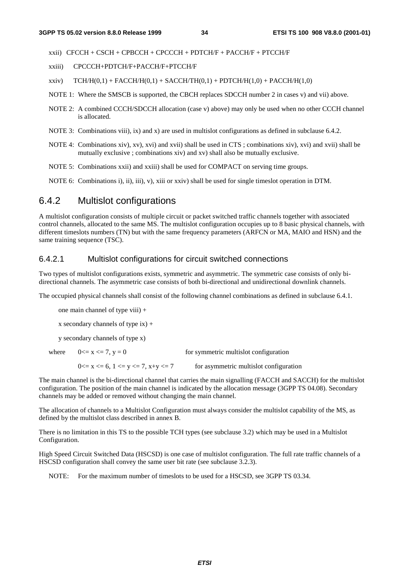xxii) CFCCH + CSCH + CPBCCH + CPCCCH + PDTCH/F + PACCH/F + PTCCH/F

- xxiii) CPCCCH+PDTCH/F+PACCH/F+PTCCH/F
- xxiv)  $TCH/H(0,1) + FACCH/H(0,1) + SACCH/H(0,1) + PDTCH/H(1,0) + PACCH/H(1,0)$
- NOTE 1: Where the SMSCB is supported, the CBCH replaces SDCCH number 2 in cases v) and vii) above.
- NOTE 2: A combined CCCH/SDCCH allocation (case v) above) may only be used when no other CCCH channel is allocated.
- NOTE 3: Combinations viii), ix) and x) are used in multislot configurations as defined in subclause 6.4.2.
- NOTE 4: Combinations xiv), xv), xvi) and xvii) shall be used in CTS ; combinations xiv), xvi) and xvii) shall be mutually exclusive ; combinations xiv) and xv) shall also be mutually exclusive.
- NOTE 5: Combinations xxii) and xxiii) shall be used for COMPACT on serving time groups.

NOTE 6: Combinations i), ii), iii), v), xiii or xxiv) shall be used for single timeslot operation in DTM.

# 6.4.2 Multislot configurations

A multislot configuration consists of multiple circuit or packet switched traffic channels together with associated control channels, allocated to the same MS. The multislot configuration occupies up to 8 basic physical channels, with different timeslots numbers (TN) but with the same frequency parameters (ARFCN or MA, MAIO and HSN) and the same training sequence (TSC).

#### 6.4.2.1 Multislot configurations for circuit switched connections

Two types of multislot configurations exists, symmetric and asymmetric. The symmetric case consists of only bidirectional channels. The asymmetric case consists of both bi-directional and unidirectional downlink channels.

The occupied physical channels shall consist of the following channel combinations as defined in subclause 6.4.1.

one main channel of type viii) +

x secondary channels of type  $ix$ ) +

y secondary channels of type x)

| where $0 \le x \le 7, y = 0$                    | for symmetric multislot configuration  |
|-------------------------------------------------|----------------------------------------|
| $0 \le x \le 6$ , $1 \le y \le 7$ , $x+y \le 7$ | for asymmetric multislot configuration |

The main channel is the bi-directional channel that carries the main signalling (FACCH and SACCH) for the multislot configuration. The position of the main channel is indicated by the allocation message (3GPP TS 04.08). Secondary channels may be added or removed without changing the main channel.

The allocation of channels to a Multislot Configuration must always consider the multislot capability of the MS, as defined by the multislot class described in annex B.

There is no limitation in this TS to the possible TCH types (see subclause 3.2) which may be used in a Multislot Configuration.

High Speed Circuit Switched Data (HSCSD) is one case of multislot configuration. The full rate traffic channels of a HSCSD configuration shall convey the same user bit rate (see subclause 3.2.3).

NOTE: For the maximum number of timeslots to be used for a HSCSD, see 3GPP TS 03.34.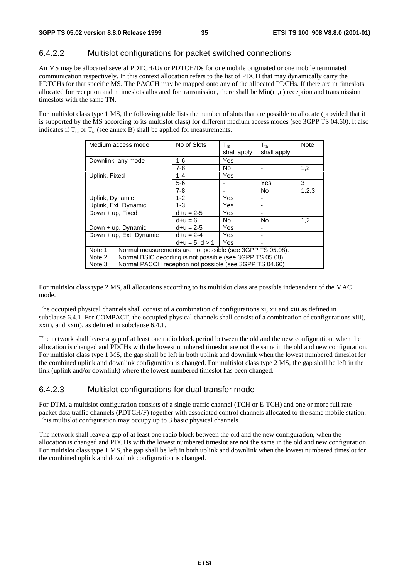#### 6.4.2.2 Multislot configurations for packet switched connections

An MS may be allocated several PDTCH/Us or PDTCH/Ds for one mobile originated or one mobile terminated communication respectively. In this context allocation refers to the list of PDCH that may dynamically carry the PDTCHs for that specific MS. The PACCH may be mapped onto any of the allocated PDCHs. If there are m timeslots allocated for reception and n timeslots allocated for transmission, there shall be  $Min(m,n)$  reception and transmission timeslots with the same TN.

For multislot class type 1 MS, the following table lists the number of slots that are possible to allocate (provided that it is supported by the MS according to its multislot class) for different medium access modes (see 3GPP TS 04.60). It also indicates if  $T_{ra}$  or  $T_{ta}$  (see annex B) shall be applied for measurements.

| Medium access mode                                                  | No of Slots      | $T_{ra}$<br>shall apply | $T_{ta}$<br>shall apply | <b>Note</b> |  |
|---------------------------------------------------------------------|------------------|-------------------------|-------------------------|-------------|--|
| Downlink, any mode                                                  | 1-6              | Yes                     |                         |             |  |
|                                                                     | $7 - 8$          | <b>No</b>               |                         | 1,2         |  |
| Uplink, Fixed                                                       | $1 - 4$          | Yes                     |                         |             |  |
|                                                                     | $5-6$            |                         | Yes                     | 3           |  |
|                                                                     | $7 - 8$          |                         | No                      | 1,2,3       |  |
| Uplink, Dynamic                                                     | $1 - 2$          | Yes                     |                         |             |  |
| Uplink, Ext. Dynamic                                                | $1 - 3$          | Yes                     |                         |             |  |
| Down + up, Fixed                                                    | $d+u = 2-5$      | Yes                     |                         |             |  |
|                                                                     | $d+u = 6$        | <b>No</b>               | No                      | 1,2         |  |
| Down + up, Dynamic                                                  | $d+u = 2-5$      | Yes                     |                         |             |  |
| Down + up, Ext. Dynamic                                             | $d+u = 2-4$      | Yes                     |                         |             |  |
|                                                                     | $d+u = 5, d > 1$ | Yes                     |                         |             |  |
| Note 1<br>Normal measurements are not possible (see 3GPP TS 05.08). |                  |                         |                         |             |  |
| Normal BSIC decoding is not possible (see 3GPP TS 05.08).<br>Note 2 |                  |                         |                         |             |  |
| Normal PACCH reception not possible (see 3GPP TS 04.60)<br>Note 3   |                  |                         |                         |             |  |

For multislot class type 2 MS, all allocations according to its multislot class are possible independent of the MAC mode.

The occupied physical channels shall consist of a combination of configurations xi, xii and xiii as defined in subclause 6.4.1. For COMPACT, the occupied physical channels shall consist of a combination of configurations xiii), xxii), and xxiii), as defined in subclause 6.4.1.

The network shall leave a gap of at least one radio block period between the old and the new configuration, when the allocation is changed and PDCHs with the lowest numbered timeslot are not the same in the old and new configuration. For multislot class type 1 MS, the gap shall be left in both uplink and downlink when the lowest numbered timeslot for the combined uplink and downlink configuration is changed. For multislot class type 2 MS, the gap shall be left in the link (uplink and/or downlink) where the lowest numbered timeslot has been changed.

#### 6.4.2.3 Multislot configurations for dual transfer mode

For DTM, a multislot configuration consists of a single traffic channel (TCH or E-TCH) and one or more full rate packet data traffic channels (PDTCH/F) together with associated control channels allocated to the same mobile station. This multislot configuration may occupy up to 3 basic physical channels.

The network shall leave a gap of at least one radio block between the old and the new configuration, when the allocation is changed and PDCHs with the lowest numbered timeslot are not the same in the old and new configuration. For multislot class type 1 MS, the gap shall be left in both uplink and downlink when the lowest numbered timeslot for the combined uplink and downlink configuration is changed.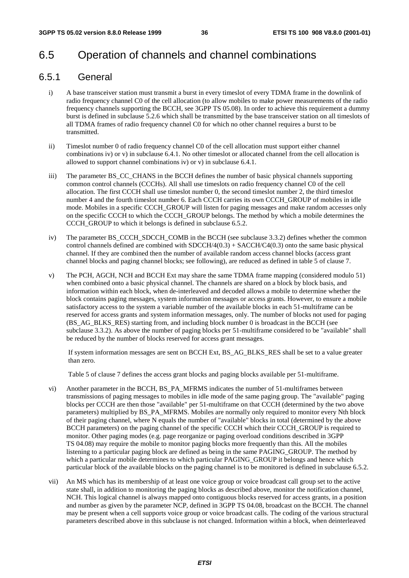# 6.5 Operation of channels and channel combinations

### 6.5.1 General

- i) A base transceiver station must transmit a burst in every timeslot of every TDMA frame in the downlink of radio frequency channel C0 of the cell allocation (to allow mobiles to make power measurements of the radio frequency channels supporting the BCCH, see 3GPP TS 05.08). In order to achieve this requirement a dummy burst is defined in subclause 5.2.6 which shall be transmitted by the base transceiver station on all timeslots of all TDMA frames of radio frequency channel C0 for which no other channel requires a burst to be transmitted.
- ii) Timeslot number 0 of radio frequency channel C0 of the cell allocation must support either channel combinations iv) or v) in subclause 6.4.1. No other timeslot or allocated channel from the cell allocation is allowed to support channel combinations iv) or v) in subclause 6.4.1.
- iii) The parameter BS\_CC\_CHANS in the BCCH defines the number of basic physical channels supporting common control channels (CCCHs). All shall use timeslots on radio frequency channel C0 of the cell allocation. The first CCCH shall use timeslot number 0, the second timeslot number 2, the third timeslot number 4 and the fourth timeslot number 6. Each CCCH carries its own CCCH\_GROUP of mobiles in idle mode. Mobiles in a specific CCCH\_GROUP will listen for paging messages and make random accesses only on the specific CCCH to which the CCCH\_GROUP belongs. The method by which a mobile determines the CCCH\_GROUP to which it belongs is defined in subclause 6.5.2.
- iv) The parameter BS\_CCCH\_SDCCH\_COMB in the BCCH (see subclause 3.3.2) defines whether the common control channels defined are combined with  $SDCCH/4(0.3) + SACCH/C4(0.3)$  onto the same basic physical channel. If they are combined then the number of available random access channel blocks (access grant channel blocks and paging channel blocks; see following), are reduced as defined in table 5 of clause 7.
- v) The PCH, AGCH, NCH and BCCH Ext may share the same TDMA frame mapping (considered modulo 51) when combined onto a basic physical channel. The channels are shared on a block by block basis, and information within each block, when de-interleaved and decoded allows a mobile to determine whether the block contains paging messages, system information messages or access grants. However, to ensure a mobile satisfactory access to the system a variable number of the available blocks in each 51-multiframe can be reserved for access grants and system information messages, only. The number of blocks not used for paging (BS\_AG\_BLKS\_RES) starting from, and including block number 0 is broadcast in the BCCH (see subclause 3.3.2). As above the number of paging blocks per 51-multiframe considered to be "available" shall be reduced by the number of blocks reserved for access grant messages.

If system information messages are sent on BCCH Ext, BS\_AG\_BLKS\_RES shall be set to a value greater than zero.

Table 5 of clause 7 defines the access grant blocks and paging blocks available per 51-multiframe.

- vi) Another parameter in the BCCH, BS\_PA\_MFRMS indicates the number of 51-multiframes between transmissions of paging messages to mobiles in idle mode of the same paging group. The "available" paging blocks per CCCH are then those "available" per 51-multiframe on that CCCH (determined by the two above parameters) multiplied by BS\_PA\_MFRMS. Mobiles are normally only required to monitor every Nth block of their paging channel, where N equals the number of "available" blocks in total (determined by the above BCCH parameters) on the paging channel of the specific CCCH which their CCCH\_GROUP is required to monitor. Other paging modes (e.g. page reorganize or paging overload conditions described in 3GPP TS 04.08) may require the mobile to monitor paging blocks more frequently than this. All the mobiles listening to a particular paging block are defined as being in the same PAGING\_GROUP. The method by which a particular mobile determines to which particular PAGING\_GROUP it belongs and hence which particular block of the available blocks on the paging channel is to be monitored is defined in subclause 6.5.2.
- vii) An MS which has its membership of at least one voice group or voice broadcast call group set to the active state shall, in addition to monitoring the paging blocks as described above, monitor the notification channel, NCH. This logical channel is always mapped onto contiguous blocks reserved for access grants, in a position and number as given by the parameter NCP, defined in 3GPP TS 04.08, broadcast on the BCCH. The channel may be present when a cell supports voice group or voice broadcast calls. The coding of the various structural parameters described above in this subclause is not changed. Information within a block, when deinterleaved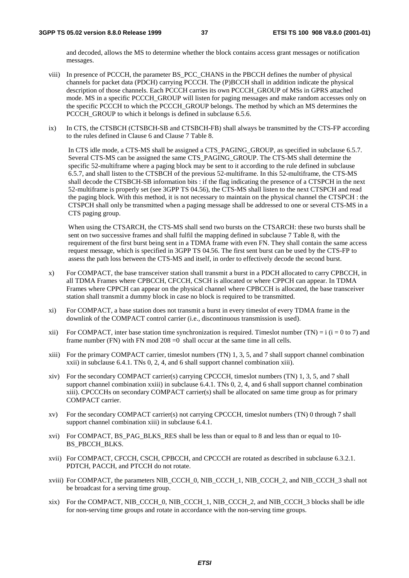and decoded, allows the MS to determine whether the block contains access grant messages or notification messages.

- viii) In presence of PCCCH, the parameter BS\_PCC\_CHANS in the PBCCH defines the number of physical channels for packet data (PDCH) carrying PCCCH. The (P)BCCH shall in addition indicate the physical description of those channels. Each PCCCH carries its own PCCCH\_GROUP of MSs in GPRS attached mode. MS in a specific PCCCH GROUP will listen for paging messages and make random accesses only on the specific PCCCH to which the PCCCH\_GROUP belongs. The method by which an MS determines the PCCCH GROUP to which it belongs is defined in subclause 6.5.6.
- ix) In CTS, the CTSBCH (CTSBCH-SB and CTSBCH-FB) shall always be transmitted by the CTS-FP according to the rules defined in Clause 6 and Clause 7 Table 8.

In CTS idle mode, a CTS-MS shall be assigned a CTS PAGING GROUP, as specified in subclause 6.5.7. Several CTS-MS can be assigned the same CTS\_PAGING\_GROUP. The CTS-MS shall determine the specific 52-multiframe where a paging block may be sent to it according to the rule defined in subclause 6.5.7, and shall listen to the CTSBCH of the previous 52-multiframe. In this 52-multiframe, the CTS-MS shall decode the CTSBCH-SB information bits : if the flag indicating the presence of a CTSPCH in the next 52-multiframe is properly set (see 3GPP TS 04.56), the CTS-MS shall listen to the next CTSPCH and read the paging block. With this method, it is not necessary to maintain on the physical channel the CTSPCH : the CTSPCH shall only be transmitted when a paging message shall be addressed to one or several CTS-MS in a CTS paging group.

When using the CTSARCH, the CTS-MS shall send two bursts on the CTSARCH: these two bursts shall be sent on two successive frames and shall fulfil the mapping defined in subclause 7 Table 8, with the requirement of the first burst being sent in a TDMA frame with even FN. They shall contain the same access request message, which is specified in 3GPP TS 04.56. The first sent burst can be used by the CTS-FP to assess the path loss between the CTS-MS and itself, in order to effectively decode the second burst.

- x) For COMPACT, the base transceiver station shall transmit a burst in a PDCH allocated to carry CPBCCH, in all TDMA Frames where CPBCCH, CFCCH, CSCH is allocated or where CPPCH can appear. In TDMA Frames where CPPCH can appear on the physical channel where CPBCCH is allocated, the base transceiver station shall transmit a dummy block in case no block is required to be transmitted.
- xi) For COMPACT, a base station does not transmit a burst in every timeslot of every TDMA frame in the downlink of the COMPACT control carrier (i.e., discontinuous transmission is used).
- xii) For COMPACT, inter base station time synchronization is required. Timeslot number (TN) = i (i = 0 to 7) and frame number (FN) with FN mod  $208 = 0$  shall occur at the same time in all cells.
- xiii) For the primary COMPACT carrier, timeslot numbers (TN) 1, 3, 5, and 7 shall support channel combination xxii) in subclause 6.4.1. TNs 0, 2, 4, and 6 shall support channel combination xiii).
- xiv) For the secondary COMPACT carrier(s) carrying CPCCCH, timeslot numbers (TN) 1, 3, 5, and 7 shall support channel combination xxiii) in subclause 6.4.1. TNs 0, 2, 4, and 6 shall support channel combination xiii). CPCCCHs on secondary COMPACT carrier(s) shall be allocated on same time group as for primary COMPACT carrier.
- xv) For the secondary COMPACT carrier(s) not carrying CPCCCH, timeslot numbers (TN) 0 through 7 shall support channel combination xiii) in subclause 6.4.1.
- xvi) For COMPACT, BS\_PAG\_BLKS\_RES shall be less than or equal to 8 and less than or equal to 10- BS\_PBCCH\_BLKS.
- xvii) For COMPACT, CFCCH, CSCH, CPBCCH, and CPCCCH are rotated as described in subclause 6.3.2.1. PDTCH, PACCH, and PTCCH do not rotate.
- xviii) For COMPACT, the parameters NIB\_CCCH\_0, NIB\_CCCH\_1, NIB\_CCCH\_2, and NIB\_CCCH\_3 shall not be broadcast for a serving time group.
- xix) For the COMPACT, NIB\_CCCH\_0, NIB\_CCCH\_1, NIB\_CCCH\_2, and NIB\_CCCH\_3 blocks shall be idle for non-serving time groups and rotate in accordance with the non-serving time groups.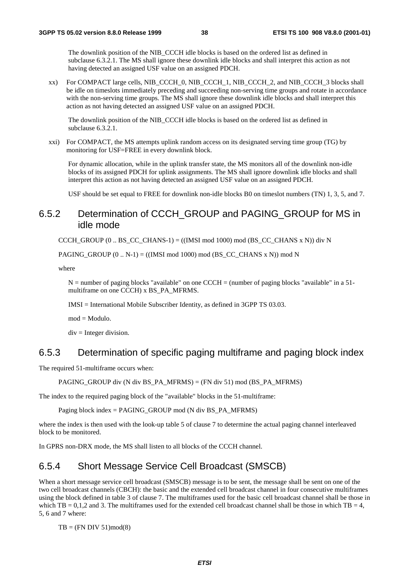The downlink position of the NIB\_CCCH idle blocks is based on the ordered list as defined in subclause 6.3.2.1. The MS shall ignore these downlink idle blocks and shall interpret this action as not having detected an assigned USF value on an assigned PDCH.

xx) For COMPACT large cells, NIB\_CCCH\_0, NIB\_CCCH\_1, NIB\_CCCH\_2, and NIB\_CCCH\_3 blocks shall be idle on timeslots immediately preceding and succeeding non-serving time groups and rotate in accordance with the non-serving time groups. The MS shall ignore these downlink idle blocks and shall interpret this action as not having detected an assigned USF value on an assigned PDCH.

The downlink position of the NIB\_CCCH idle blocks is based on the ordered list as defined in subclause  $6.3.\overline{2}.1$ .

xxi) For COMPACT, the MS attempts uplink random access on its designated serving time group (TG) by monitoring for USF=FREE in every downlink block.

For dynamic allocation, while in the uplink transfer state, the MS monitors all of the downlink non-idle blocks of its assigned PDCH for uplink assignments. The MS shall ignore downlink idle blocks and shall interpret this action as not having detected an assigned USF value on an assigned PDCH.

USF should be set equal to FREE for downlink non-idle blocks B0 on timeslot numbers (TN) 1, 3, 5, and 7.

### 6.5.2 Determination of CCCH\_GROUP and PAGING\_GROUP for MS in idle mode

CCCH\_GROUP (0 .. BS\_CC\_CHANS-1) =  $((IMSI \mod 1000) \mod (BS \CC \CHANS \times N))$  div N

PAGING GROUP  $(0 .. N-1) = ((IMSI \text{ mod } 1000) \text{ mod } (BSCCCHANS x N)) \text{ mod } N$ 

where

 $N =$  number of paging blocks "available" on one CCCH = (number of paging blocks "available" in a 51multiframe on one CCCH) x BS\_PA\_MFRMS.

IMSI = International Mobile Subscriber Identity, as defined in 3GPP TS 03.03.

mod = Modulo.

 $div =$  Integer division.

### 6.5.3 Determination of specific paging multiframe and paging block index

The required 51-multiframe occurs when:

PAGING GROUP div (N div BS\_PA\_MFRMS) = (FN div 51) mod (BS\_PA\_MFRMS)

The index to the required paging block of the "available" blocks in the 51-multiframe:

Paging block index = PAGING\_GROUP mod (N div BS\_PA\_MFRMS)

where the index is then used with the look-up table 5 of clause 7 to determine the actual paging channel interleaved block to be monitored.

In GPRS non-DRX mode, the MS shall listen to all blocks of the CCCH channel.

### 6.5.4 Short Message Service Cell Broadcast (SMSCB)

When a short message service cell broadcast (SMSCB) message is to be sent, the message shall be sent on one of the two cell broadcast channels (CBCH): the basic and the extended cell broadcast channel in four consecutive multiframes using the block defined in table 3 of clause 7. The multiframes used for the basic cell broadcast channel shall be those in which TB = 0,1,2 and 3. The multiframes used for the extended cell broadcast channel shall be those in which TB = 4, 5, 6 and 7 where:

 $TB = (FN DIV 51)mod(8)$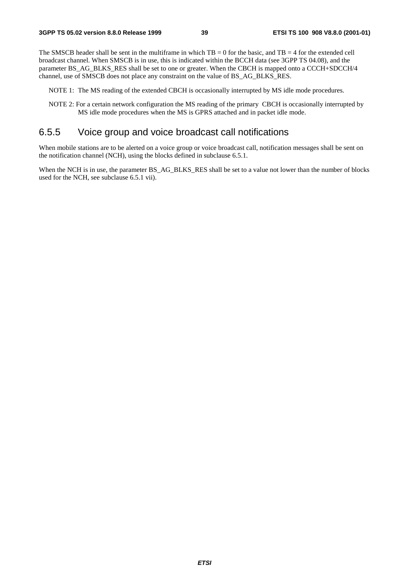The SMSCB header shall be sent in the multiframe in which  $TB = 0$  for the basic, and  $TB = 4$  for the extended cell broadcast channel. When SMSCB is in use, this is indicated within the BCCH data (see 3GPP TS 04.08), and the parameter BS\_AG\_BLKS\_RES shall be set to one or greater. When the CBCH is mapped onto a CCCH+SDCCH/4 channel, use of SMSCB does not place any constraint on the value of BS\_AG\_BLKS\_RES.

NOTE 1: The MS reading of the extended CBCH is occasionally interrupted by MS idle mode procedures.

NOTE 2: For a certain network configuration the MS reading of the primary CBCH is occasionally interrupted by MS idle mode procedures when the MS is GPRS attached and in packet idle mode.

### 6.5.5 Voice group and voice broadcast call notifications

When mobile stations are to be alerted on a voice group or voice broadcast call, notification messages shall be sent on the notification channel (NCH), using the blocks defined in subclause 6.5.1.

When the NCH is in use, the parameter BS\_AG\_BLKS\_RES shall be set to a value not lower than the number of blocks used for the NCH, see subclause 6.5.1 vii).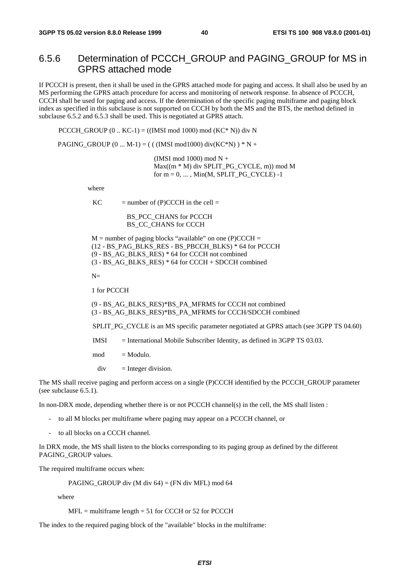### 6.5.6 Determination of PCCCH\_GROUP and PAGING\_GROUP for MS in GPRS attached mode

If PCCCH is present, then it shall be used in the GPRS attached mode for paging and access. It shall also be used by an MS performing the GPRS attach procedure for access and monitoring of network response. In absence of PCCCH, CCCH shall be used for paging and access. If the determination of the specific paging multiframe and paging block index as specified in this subclause is not supported on CCCH by both the MS and the BTS, the method defined in subclause 6.5.2 and 6.5.3 shall be used. This is negotiated at GPRS attach.

PCCCH\_GROUP  $(0 \dots KC-1) = ((IMSI \mod 1000) \mod (KC^* N))$  div N

PAGING\_GROUP  $(0 ... M-1) = (( (IMSI mod 1000) div(KC*N) ) * N +$ 

 (IMSI mod 1000) mod N + Max((m \* M) div SPLIT\_PG\_CYCLE, m)) mod M for  $m = 0, \ldots$ , Min(M, SPLIT\_PG\_CYCLE) -1

where

 $KC$  = number of (P)CCCH in the cell =

BS\_PCC\_CHANS for PCCCH BS\_CC\_CHANS for CCCH

 $M =$  number of paging blocks "available" on one (P)CCCH = (12 - BS\_PAG\_BLKS\_RES - BS\_PBCCH\_BLKS) \* 64 for PCCCH (9 - BS\_AG\_BLKS\_RES) \* 64 for CCCH not combined (3 - BS\_AG\_BLKS\_RES) \* 64 for CCCH + SDCCH combined

 $N=$ 

1 for PCCCH

(9 - BS\_AG\_BLKS\_RES)\*BS\_PA\_MFRMS for CCCH not combined (3 - BS\_AG\_BLKS\_RES)\*BS\_PA\_MFRMS for CCCH/SDCCH combined

SPLIT\_PG\_CYCLE is an MS specific parameter negotiated at GPRS attach (see 3GPP TS 04.60)

IMSI = International Mobile Subscriber Identity, as defined in 3GPP TS 03.03.

 $mod = Modulo$ .

 $div =$  Integer division.

The MS shall receive paging and perform access on a single (P)CCCH identified by the PCCCH\_GROUP parameter (see subclause 6.5.1).

In non-DRX mode, depending whether there is or not PCCCH channel(s) in the cell, the MS shall listen :

- to all M blocks per multiframe where paging may appear on a PCCCH channel, or
- to all blocks on a CCCH channel.

In DRX mode, the MS shall listen to the blocks corresponding to its paging group as defined by the different PAGING\_GROUP values.

The required multiframe occurs when:

PAGING\_GROUP div (M div 64) = (FN div MFL) mod 64

where

 $MFL$  = multiframe length = 51 for CCCH or 52 for PCCCH

The index to the required paging block of the "available" blocks in the multiframe: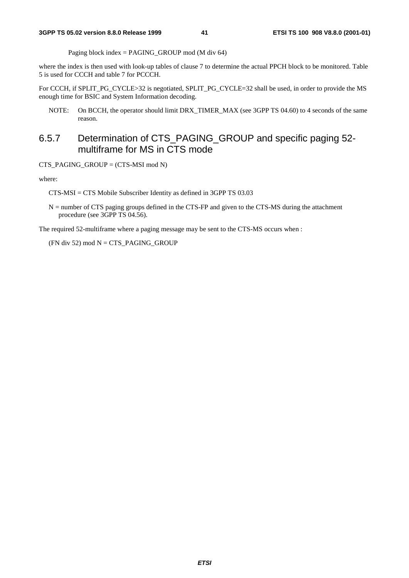Paging block index = PAGING GROUP mod (M div 64)

where the index is then used with look-up tables of clause 7 to determine the actual PPCH block to be monitored. Table 5 is used for CCCH and table 7 for PCCCH.

For CCCH, if SPLIT\_PG\_CYCLE>32 is negotiated, SPLIT\_PG\_CYCLE=32 shall be used, in order to provide the MS enough time for BSIC and System Information decoding.

NOTE: On BCCH, the operator should limit DRX\_TIMER\_MAX (see 3GPP TS 04.60) to 4 seconds of the same reason.

### 6.5.7 Determination of CTS\_PAGING\_GROUP and specific paging 52 multiframe for MS in CTS mode

CTS\_PAGING\_GROUP = (CTS-MSI mod N)

where:

CTS-MSI = CTS Mobile Subscriber Identity as defined in 3GPP TS 03.03

 $N =$  number of CTS paging groups defined in the CTS-FP and given to the CTS-MS during the attachment procedure (see 3GPP TS 04.56).

The required 52-multiframe where a paging message may be sent to the CTS-MS occurs when :

 $(FN$  div 52) mod  $N = CTS$ <sub>PAGING</sub> GROUP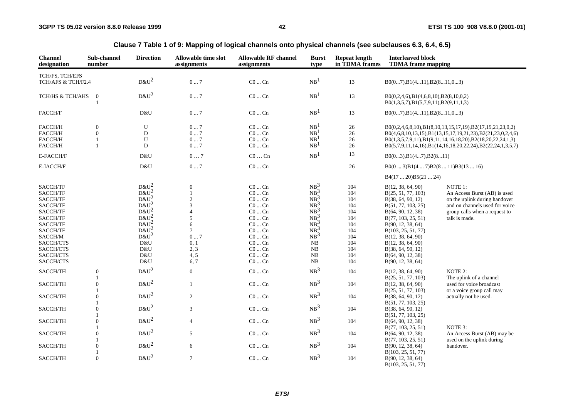| <b>Channel</b><br>designation | Sub-channel<br>number          | <b>Direction</b>   | <b>Allowable time slot</b><br>assignments | <b>Allowable RF channel</b><br>assignments | <b>Burst</b><br>type | <b>Repeat length</b><br>in TDMA frames | <b>Interleaved block</b><br><b>TDMA</b> frame mapping                                        |                                                            |
|-------------------------------|--------------------------------|--------------------|-------------------------------------------|--------------------------------------------|----------------------|----------------------------------------|----------------------------------------------------------------------------------------------|------------------------------------------------------------|
| TCH/FS, TCH/EFS               |                                |                    |                                           |                                            |                      |                                        |                                                                                              |                                                            |
| TCH/AFS & TCH/F2.4            |                                | $D&U^2$            | $0 \dots 7$                               | $C0$ $Cn$                                  | NB <sup>1</sup>      | 13                                     | $B0(07), B1(411), B2(811,03)$                                                                |                                                            |
| TCH/HS & TCH/AHS              | $\overline{0}$<br>$\mathbf{1}$ | $D&U^2$            | $0\ldots7$                                | $\rm CO$ $\ldots$ $\rm Cn$                 | NB <sup>1</sup>      | 13                                     | $B0(0,2,4,6)$ , $B1(4,6,8,10)$ , $B2(8,10,0,2)$<br>$B0(1,3,5,7), B1(5,7,9,11), B2(9,11,1,3)$ |                                                            |
| FACCH/F                       |                                | D&U                | $0 \dots 7$                               | $C0 \dots Cn$                              | NB <sup>1</sup>      | 13                                     | $B0(07), B1(411), B2(811,03)$                                                                |                                                            |
| FACCH/H                       | $\overline{0}$                 | $\mathbf U$        | 07                                        | $C0$ $Cn$                                  | NB <sup>1</sup>      | 26                                     |                                                                                              | B0(0,2,4,6,8,10),B1(8,10,13,15,17,19),B2(17,19,21,23,0,2)  |
| FACCH/H                       | $\overline{0}$                 | $\mathbf D$        | $0 \dots 7$                               | $\rm CO$ $\ldots$ $\rm Cn$                 | NB <sup>1</sup>      | $26\,$                                 |                                                                                              | B0(4,6,8,10,13,15),B1(13,15,17,19,21,23),B2(21,23,0,2,4,6) |
| FACCH/H                       |                                | U                  | 07                                        | $C0$ $Cn$                                  | NB <sup>1</sup>      | 26                                     |                                                                                              | B0(1,3,5,7,9,11),B1(9,11,14,16,18,20),B2(18,20,22,24,1,3)  |
| FACCH/H                       | $\mathbf{1}$                   | D                  | $0 \dots 7$                               | $C0 \dots Cn$                              | NB <sup>1</sup>      | $26\,$                                 |                                                                                              | B0(5,7,9,11,14,16),B1(14,16,18,20,22,24),B2(22,24,1,3,5,7) |
| E-FACCH/F                     |                                | D&U                | $0\, \dots\, 7$                           | $\rm C0\, \dots\, \rm Cn$                  | NB <sup>1</sup>      | 13                                     | B0(03), B1(47), B2(811)                                                                      |                                                            |
| E-IACCH/F                     |                                | D&U                | $0\ldots7$                                | $\rm CO \ldots \rm Cn$                     |                      | $26\,$                                 | $B0(03)B1(47)B2(811)B3(1316)$                                                                |                                                            |
|                               |                                |                    |                                           |                                            |                      |                                        | B4(1720)B5(2124)                                                                             |                                                            |
| SACCH/TF                      |                                | $D&U^2$<br>$D&U^2$ | $\boldsymbol{0}$                          | $C0 \dots Cn$                              | $NB^3$               | 104                                    | B(12, 38, 64, 90)                                                                            | NOTE 1:                                                    |
| SACCH/TF                      |                                |                    |                                           | $C0 \dots Cn$                              | NB <sup>3</sup>      | 104                                    | B(25, 51, 77, 103)                                                                           | An Access Burst (AB) is used                               |
| SACCH/TF                      |                                | $D&U^2$            | $\overline{c}$                            | $\rm CO$ $\ldots$ $\rm Cn$                 | $NB^3$               | 104                                    | B(38, 64, 90, 12)                                                                            | on the uplink during handover                              |
| SACCH/TF                      |                                | $D&U^2$            | 3                                         | $C0 \dots Cn$                              | $NB^3$               | 104                                    | B(51, 77, 103, 25)                                                                           | and on channels used for voice                             |
| SACCH/TF                      |                                | $D&U^2$            | $\overline{\mathbf{4}}$                   | $C0$ $Cn$                                  | $NB^3$               | 104                                    | B(64, 90, 12, 38)                                                                            | group calls when a request to                              |
| SACCH/TF                      |                                | $D&U^2$            | 5                                         | $C0$ $Cn$                                  | $NB^3$               | 104                                    | B(77, 103, 25, 51)                                                                           | talk is made.                                              |
| SACCH/TF                      |                                | $D&U^2$            | 6                                         | $C0$ $Cn$                                  | $NB^3$               | 104                                    | B(90, 12, 38, 64)                                                                            |                                                            |
| SACCH/TF                      |                                | $D&U^2$            | 7                                         | $C0 \dots Cn$                              | $NB^3$               | 104                                    | B(103, 25, 51, 77)                                                                           |                                                            |
| $\text{SACCH}/\text{M}$       |                                | $D&U^2$            | $0 \dots 7$                               | $C0 \dots Cn$                              | NB <sup>3</sup>      | 104                                    |                                                                                              |                                                            |
|                               |                                |                    |                                           | $C0$ $Cn$                                  |                      |                                        | B(12, 38, 64, 90)                                                                            |                                                            |
| SACCH/CTS                     |                                | D&U                | 0, 1                                      |                                            | NB                   | 104                                    | B(12, 38, 64, 90)                                                                            |                                                            |
| SACCH/CTS                     |                                | D&U                | 2, 3                                      | $C0 \dots Cn$                              | NB                   | 104                                    | B(38, 64, 90, 12)                                                                            |                                                            |
| SACCH/CTS                     |                                | D&U                | 4, 5                                      | $C0$ $Cn$                                  | NB                   | 104                                    | B(64, 90, 12, 38)                                                                            |                                                            |
| SACCH/CTS                     |                                | D&U                | 6, 7                                      | $C0$ $Cn$                                  | NB                   | 104                                    | B(90, 12, 38, 64)                                                                            |                                                            |
| SACCH/TH                      | $\boldsymbol{0}$               | $D&U^2$            | $\boldsymbol{0}$                          | $\rm CO$ $\ldots$ $\rm Cn$                 | NB <sup>3</sup>      | 104                                    | B(12, 38, 64, 90)                                                                            | NOTE 2:                                                    |
|                               |                                |                    |                                           |                                            |                      |                                        | B(25, 51, 77, 103)                                                                           | The uplink of a channel                                    |
| SACCH/TH                      | $\boldsymbol{0}$               | $D&U^2$            | $\mathbf{1}$                              | $\rm CO$ $\ldots$ $\rm Cn$                 | NB <sup>3</sup>      | 104                                    | B(12, 38, 64, 90)                                                                            | used for voice broadcast                                   |
|                               |                                |                    |                                           |                                            |                      |                                        | B(25, 51, 77, 103)                                                                           | or a voice group call may                                  |
| SACCH/TH                      | $\boldsymbol{0}$               | $D&U^2$            | $\sqrt{2}$                                | $\rm CO$ $\ldots$ $\rm Cn$                 | NB <sup>3</sup>      | 104                                    | B(38, 64, 90, 12)                                                                            | actually not be used.                                      |
|                               |                                |                    |                                           |                                            |                      |                                        | B(51, 77, 103, 25)                                                                           |                                                            |
| SACCH/TH                      | $\boldsymbol{0}$               | $D&U^2$            | 3                                         | $C0 \dots Cn$                              | NB <sup>3</sup>      | 104                                    | B(38, 64, 90, 12)                                                                            |                                                            |
|                               |                                |                    |                                           |                                            |                      |                                        |                                                                                              |                                                            |
|                               |                                | $D&U^2$            |                                           |                                            | NB <sup>3</sup>      |                                        | B(51, 77, 103, 25)                                                                           |                                                            |
| SACCH/TH                      | $\boldsymbol{0}$               |                    | $\overline{4}$                            | $\rm CO$ $\ldots$ $\rm Cn$                 |                      | 104                                    | B(64, 90, 12, 38)                                                                            |                                                            |
|                               |                                | $D&U^2$            |                                           |                                            |                      |                                        | B(77, 103, 25, 51)                                                                           | NOTE 3:                                                    |
| SACCH/TH                      | $\overline{0}$                 |                    | 5                                         | $\rm CO$ $\ldots$ $\rm Cn$                 | NB <sup>3</sup>      | 104                                    | B(64, 90, 12, 38)                                                                            | An Access Burst (AB) may be                                |
|                               |                                |                    |                                           |                                            |                      |                                        | B(77, 103, 25, 51)                                                                           | used on the uplink during                                  |
| SACCH/TH                      | $\overline{0}$                 | $D&U^2$            | 6                                         | $\rm CO$ $\ldots$ $\rm Cn$                 | NB <sup>3</sup>      | 104                                    | B(90, 12, 38, 64)                                                                            | handover.                                                  |
|                               |                                |                    |                                           |                                            |                      |                                        | B(103, 25, 51, 77)                                                                           |                                                            |
| SACCH/TH                      | $\overline{0}$                 | $D&U^2$            | $\tau$                                    | $C0 \dots Cn$                              | NB <sup>3</sup>      | 104                                    | B(90, 12, 38, 64)<br>B(103, 25, 51, 77)                                                      |                                                            |

**Clause 7 Table 1 of 9: Mapping of logical channels onto physical channels (see subclauses 6.3, 6.4, 6.5)**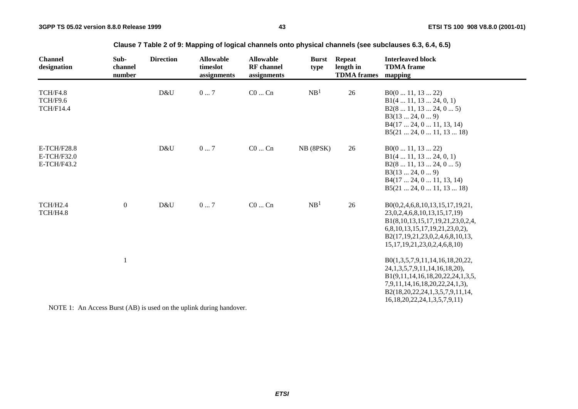| <b>Channel</b><br>designation                      | Sub-<br>channel<br>number | <b>Direction</b>                               | <b>Allowable</b><br>timeslot<br>assignments | <b>Allowable</b><br><b>RF</b> channel<br>assignments | <b>Burst</b><br>type | <b>Repeat</b><br>length in<br><b>TDMA</b> frames | <b>Interleaved block</b><br><b>TDMA</b> frame<br>mapping                                                                                                                                                                      |
|----------------------------------------------------|---------------------------|------------------------------------------------|---------------------------------------------|------------------------------------------------------|----------------------|--------------------------------------------------|-------------------------------------------------------------------------------------------------------------------------------------------------------------------------------------------------------------------------------|
| TCH/F4.8<br>TCH/F9.6<br><b>TCH/F14.4</b>           |                           | D&U                                            | 07                                          | $C0$ $Cn$                                            | NB <sup>1</sup>      | 26                                               | B0(011, 1322)<br>B1(4 11, 13 24, 0, 1)<br>B2(8 11, 13 24, 0 5)<br>B3(1324, 09)<br>B4(17 24, 0 11, 13, 14)<br>B5(21 24, 0 11, 13 18)                                                                                           |
| <b>E-TCH/F28.8</b><br>$E-TCH/F32.0$<br>E-TCH/F43.2 |                           | D&U                                            | $0 \dots 7$                                 | $C0$ $Cn$                                            | NB (8PSK)            | 26                                               | B0(011, 1322)<br>B1(411, 1324, 0, 1)<br>B2(8 11, 13 24, 0 5)<br>B3(1324, 09)<br>B4(17 24, 0 11, 13, 14)<br>B5(21 24, 0 11, 13 18)                                                                                             |
| TCH/H2.4<br>TCH/H4.8                               | $\mathbf{0}$              | D&U                                            | $0\ldots7$                                  | $C0$ $Cn$                                            | NB <sup>1</sup>      | 26                                               | B0(0,2,4,6,8,10,13,15,17,19,21,<br>23, 0, 2, 4, 6, 8, 10, 13, 15, 17, 19)<br>B1(8,10,13,15,17,19,21,23,0,2,4,<br>6,8,10,13,15,17,19,21,23,0,2),<br>B2(17,19,21,23,0,2,4,6,8,10,13,<br>15, 17, 19, 21, 23, 0, 2, 4, 6, 8, 10)  |
| $\mathbf{1}$                                       |                           | $\mathbb{R}$ (15), and the set of $\mathbb{R}$ |                                             |                                                      |                      |                                                  | B0(1,3,5,7,9,11,14,16,18,20,22,<br>24, 1, 3, 5, 7, 9, 11, 14, 16, 18, 20),<br>B1(9,11,14,16,18,20,22,24,1,3,5,<br>7,9,11,14,16,18,20,22,24,1,3),<br>B2(18,20,22,24,1,3,5,7,9,11,14,<br>16, 18, 20, 22, 24, 1, 3, 5, 7, 9, 11) |

### **Clause 7 Table 2 of 9: Mapping of logical channels onto physical channels (see subclauses 6.3, 6.4, 6.5)**

NOTE 1: An Access Burst (AB) is used on the uplink during handover.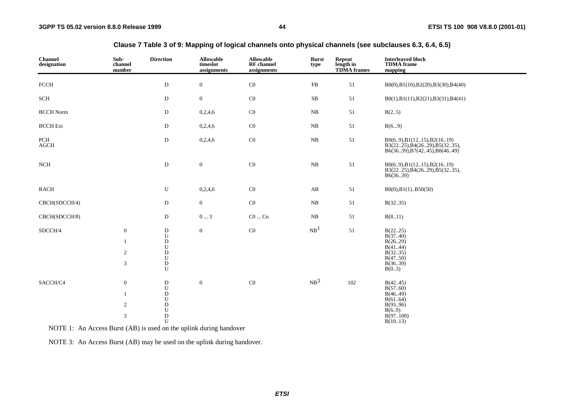| <b>Channel</b><br>designation | Sub-<br>channel<br>number                                              | <b>Direction</b>                                                                                                                 | <b>Allowable</b><br>timeslot<br>assignments | <b>Allowable</b><br>RF channel<br>assignments | <b>Burst</b><br>type | Repeat<br>length in<br><b>TDMA</b> frames | <b>Interleaved block</b><br><b>TDMA</b> frame<br>mapping                                       |
|-------------------------------|------------------------------------------------------------------------|----------------------------------------------------------------------------------------------------------------------------------|---------------------------------------------|-----------------------------------------------|----------------------|-------------------------------------------|------------------------------------------------------------------------------------------------|
| ${\mbox{FCCH}}$               |                                                                        | ${\rm D}$                                                                                                                        | $\boldsymbol{0}$                            | $\rm CO$                                      | ${\rm FB}$           | 51                                        | B0(0),B1(10),B2(20),B3(30),B4(40)                                                              |
| $\operatorname{SCH}$          |                                                                        | $\mathbf D$                                                                                                                      | $\boldsymbol{0}$                            | $\rm CO$                                      | ${\bf SB}$           | 51                                        | B0(1),B1(11),B2(21),B3(31),B4(41)                                                              |
| <b>BCCH Norm</b>              |                                                                        | D                                                                                                                                | 0,2,4,6                                     | $\rm CO$                                      | NB                   | 51                                        | B(25)                                                                                          |
| <b>BCCH</b> Ext               |                                                                        | D                                                                                                                                | 0,2,4,6                                     | $\rm CO$                                      | NB                   | 51                                        | B(69)                                                                                          |
| PCH<br>AGCH                   |                                                                        | ${\rm D}$                                                                                                                        | 0,2,4,6                                     | $\rm CO$                                      | ${\bf NB}$           | 51                                        | B0(69), B1(1215), B2(1619)<br>B3(2225), B4(2629), B5(3235),<br>B6(36.39), B7(42.45), B8(46.49) |
| $_{\rm NCH}$                  |                                                                        | ${\rm D}$                                                                                                                        | $\boldsymbol{0}$                            | $\rm CO$                                      | ${\rm NB}$           | 51                                        | $B0(6.9)$ , $B1(12.15)$ , $B2(16.19)$<br>B3(2225), B4(2629), B5(3235),<br>B6(36.39)            |
| <b>RACH</b>                   |                                                                        | ${\bf U}$                                                                                                                        | 0,2,4,6                                     | $\rm CO$                                      | AB                   | 51                                        | $B0(0), B1(1)$ $B50(50)$                                                                       |
| CBCH(SDCCH/4)                 |                                                                        | ${\rm D}$                                                                                                                        | $\boldsymbol{0}$                            | $\rm CO$                                      | ${\bf NB}$           | $51\,$                                    | B(3235)                                                                                        |
| CBCH(SDCCH/8)                 |                                                                        | D                                                                                                                                | $0 \ldots 3$                                | $\rm CO$ $\ldots$ $\rm Cn$                    | NB                   | 51                                        | B(811)                                                                                         |
| SDCCH/4                       | $\boldsymbol{0}$<br>$\mathbf{1}$<br>$\sqrt{2}$<br>$\sqrt{3}$           | $\mathbf D$<br>${\bf U}$<br>$\bar{D}$<br>$\begin{array}{c} \mathtt{U} \\ \mathtt{D} \\ \mathtt{U} \end{array}$<br>${\bf D}$<br>U | $\overline{0}$                              | $\rm CO$                                      | NB <sup>1</sup>      | 51                                        | B(2225)<br>B(3740)<br>B(2629)<br>B(4144)<br>B(3235)<br>B(4750)<br>B(3639)<br>B(03)             |
| SACCH/C4                      | $\boldsymbol{0}$<br>1<br>$\overline{2}$<br>$\ensuremath{\mathfrak{Z}}$ | ${\bf D}$<br>${\bf U}$<br>${\bf D}$<br>${\bf U}$<br>$_\mathrm{U}^\mathrm{D}$<br>$\bar{D}$<br>U                                   | $\boldsymbol{0}$                            | $\rm CO$                                      | NB <sup>3</sup>      | 102                                       | B(4245)<br>B(5760)<br>B(46.49)<br>B(6164)<br>B(9396)<br>B(6.9)<br>B(97100)<br>B(1013)          |

### **Clause 7 Table 3 of 9: Mapping of logical channels onto physical channels (see subclauses 6.3, 6.4, 6.5)**

NOTE 1: An Access Burst (AB) is used on the uplink during handover

NOTE 3: An Access Burst (AB) may be used on the uplink during handover.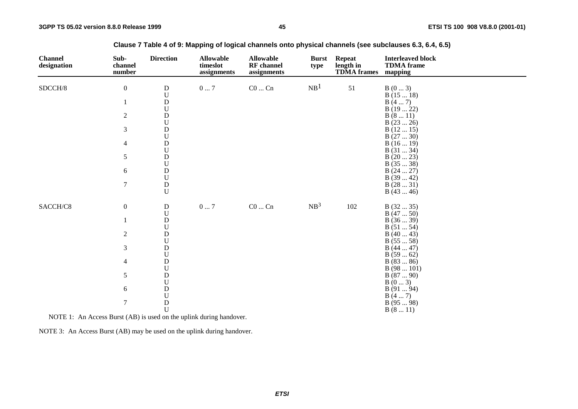| <b>Channel</b><br>designation | Sub-<br>channel<br>number | <b>Direction</b>                               | <b>Allowable</b><br>timeslot<br>assignments | <b>Allowable</b><br><b>RF</b> channel<br>assignments | <b>Burst</b><br>type | <b>Repeat</b><br>length in<br><b>TDMA</b> frames | <b>Interleaved block</b><br><b>TDMA</b> frame<br>mapping |
|-------------------------------|---------------------------|------------------------------------------------|---------------------------------------------|------------------------------------------------------|----------------------|--------------------------------------------------|----------------------------------------------------------|
| SDCCH/8                       | $\boldsymbol{0}$          | $\mathbf D$<br>${\bf U}$                       | $0\ldots7$                                  | $\rm CO$ $\ldots$ $\rm Cn$                           | NB <sup>1</sup>      | 51                                               | B(03)<br>B(1518)                                         |
|                               | $\mathbf{1}$              | ${\bf D}$<br>$\ensuremath{\mathbf{U}}$         |                                             |                                                      |                      |                                                  | B(47)<br>B(1922)                                         |
|                               | $\overline{c}$            | $\mathbf D$<br>$\ensuremath{\mathbf{U}}$       |                                             |                                                      |                      |                                                  | B(811)                                                   |
|                               | 3                         | $\mathbf D$<br>$\ensuremath{\mathbf{U}}$       |                                             |                                                      |                      |                                                  | B(2326)<br>B(1215)                                       |
|                               | $\overline{4}$            | $\mathbf D$                                    |                                             |                                                      |                      |                                                  | B(2730)<br>B(1619)                                       |
|                               | 5                         | ${\bf U}$<br>$\mathbf D$<br>$\mathbf U$        |                                             |                                                      |                      |                                                  | B(3134)<br>B(2023)<br>B(3538)                            |
|                               | 6                         | ${\bf D}$<br>$\mathbf U$                       |                                             |                                                      |                      |                                                  | B(2427)<br>B(3942)                                       |
|                               | $\boldsymbol{7}$          | ${\bf D}$<br>U                                 |                                             |                                                      |                      |                                                  | B(2831)<br>B(4346)                                       |
| SACCH/C8                      | $\boldsymbol{0}$          | ${\bf D}$                                      | $0\ldots7$                                  | $\rm CO$ $\ldots$ $\rm Cn$                           | NB <sup>3</sup>      | 102                                              | B(3235)                                                  |
|                               | $\mathbf{1}$              | $\ensuremath{\mathbf{U}}$<br>$\rm \frac{D}{U}$ |                                             |                                                      |                      |                                                  | B(4750)<br>B(3639)<br>B(5154)                            |
|                               | $\overline{c}$            | ${\bf D}$<br>${\bf U}$                         |                                             |                                                      |                      |                                                  | B(4043)<br>B(5558)                                       |
|                               | 3                         | $\mathbf{D}%$<br>${\bf U}$                     |                                             |                                                      |                      |                                                  | B(4447)<br>B(5962)                                       |
|                               | $\overline{4}$            | ${\bf D}$<br>$\mathbf U$                       |                                             |                                                      |                      |                                                  | B(8386)<br>B(98101)                                      |
|                               | 5                         | $\mathbf D$<br>$\ensuremath{\mathrm{U}}$       |                                             |                                                      |                      |                                                  | B(8790)<br>B(03)                                         |
|                               | 6                         | $\mathbf D$<br>${\bf U}$                       |                                             |                                                      |                      |                                                  | B(9194)<br>B(47)                                         |
|                               | $\boldsymbol{7}$          | $\mathbf D$<br>$\mathbf U$                     |                                             |                                                      |                      |                                                  | B(9598)<br>B(811)                                        |

**Clause 7 Table 4 of 9: Mapping of logical channels onto physical channels (see subclauses 6.3, 6.4, 6.5)**

NOTE 1: An Access Burst (AB) is used on the uplink during handover.

NOTE 3: An Access Burst (AB) may be used on the uplink during handover.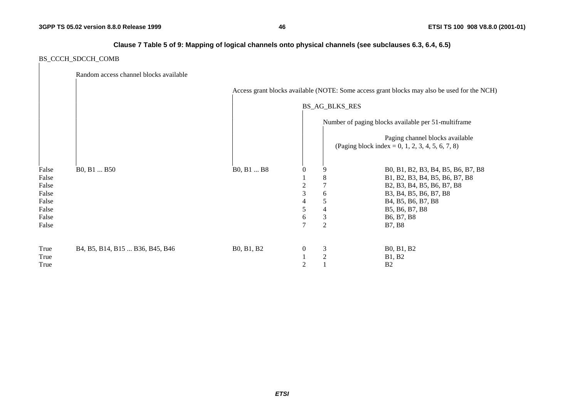### **Clause 7 Table 5 of 9: Mapping of logical channels onto physical channels (see subclauses 6.3, 6.4, 6.5)**

### BS\_CCCH\_SDCCH\_COMB

|       | Random access channel blocks available |            |                  |                       |                                                                                             |
|-------|----------------------------------------|------------|------------------|-----------------------|---------------------------------------------------------------------------------------------|
|       |                                        |            |                  |                       | Access grant blocks available (NOTE: Some access grant blocks may also be used for the NCH) |
|       |                                        |            |                  | <b>BS_AG_BLKS_RES</b> |                                                                                             |
|       |                                        |            |                  |                       | Number of paging blocks available per 51-multiframe                                         |
|       |                                        |            |                  |                       | Paging channel blocks available<br>(Paging block index = 0, 1, 2, 3, 4, 5, 6, 7, 8)         |
| False | B0, B1  B50                            | B0, B1  B8 | 0                | 9                     | B0, B1, B2, B3, B4, B5, B6, B7, B8                                                          |
| False |                                        |            |                  | 8                     | B1, B2, B3, B4, B5, B6, B7, B8                                                              |
| False |                                        |            | 2                | 7                     | B2, B3, B4, B5, B6, B7, B8                                                                  |
| False |                                        |            | 3                | 6                     | B3, B4, B5, B6, B7, B8                                                                      |
| False |                                        |            | 4                | 5                     | B <sub>4</sub> , B <sub>5</sub> , B <sub>6</sub> , B <sub>7</sub> , B <sub>8</sub>          |
| False |                                        |            | 5                | 4                     | B5, B6, B7, B8                                                                              |
| False |                                        |            | 6                | $\mathfrak{Z}$        | B <sub>6</sub> , B <sub>7</sub> , B <sub>8</sub>                                            |
| False |                                        |            | 7                | $\mathbf{2}$          | <b>B7, B8</b>                                                                               |
| True  | B4, B5, B14, B15  B36, B45, B46        | B0, B1, B2 | $\boldsymbol{0}$ | 3                     | B0, B1, B2                                                                                  |
| True  |                                        |            |                  | $\overline{2}$        | <b>B1, B2</b>                                                                               |
| True  |                                        |            | 2                |                       | B <sub>2</sub>                                                                              |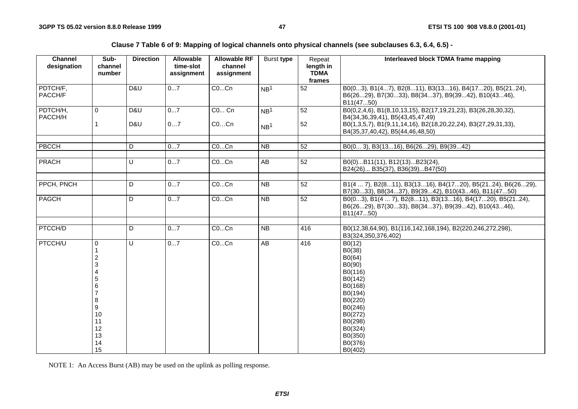**Clause 7 Table 6 of 9: Mapping of logical channels onto physical channels (see subclauses 6.3, 6.4, 6.5) -**

| <b>Channel</b><br>designation | Sub-<br>channel<br>number                                                                           | <b>Direction</b> | <b>Allowable</b><br>time-slot<br>assignment | <b>Allowable RF</b><br>channel<br>assignment | Burst type      | Repeat<br>length in<br><b>TDMA</b><br>frames | Interleaved block TDMA frame mapping                                                                                                                                     |
|-------------------------------|-----------------------------------------------------------------------------------------------------|------------------|---------------------------------------------|----------------------------------------------|-----------------|----------------------------------------------|--------------------------------------------------------------------------------------------------------------------------------------------------------------------------|
| PDTCH/F,<br>PACCH/F           |                                                                                                     | D&U              | 07                                          | COCn                                         | NB <sup>1</sup> | 52                                           | B0(03), B1(47), B2(811), B3(1316), B4(1720), B5(2124),<br>B6(2629), B7(3033), B8(3437), B9(3942), B10(4346),<br>B11(4750)                                                |
| PDTCH/H,<br>PACCH/H           | 0<br>1                                                                                              | D&U<br>D&U       | 07<br>07                                    | C0 Cn<br>COCn                                | NB <sup>1</sup> | 52<br>52                                     | B0(0,2,4,6), B1(8,10,13,15), B2(17,19,21,23), B3(26,28,30,32),<br>B4(34,36,39,41), B5(43,45,47,49)<br>B0(1,3,5,7), B1(9,11,14,16), B2(18,20,22,24), B3(27,29,31,33),     |
|                               |                                                                                                     |                  |                                             |                                              | NB <sup>1</sup> |                                              | B4(35,37,40,42), B5(44,46,48,50)                                                                                                                                         |
| PBCCH                         |                                                                                                     | D                | 07                                          | COCn                                         | $\overline{NB}$ | $\overline{52}$                              | B0(0 3), B3(1316), B6(2629), B9(3942)                                                                                                                                    |
| <b>PRACH</b>                  |                                                                                                     | U                | 07                                          | COCn                                         | AB              | 52                                           | B0(0)B11(11), B12(13)B23(24),<br>B24(26) B35(37), B36(39)B47(50)                                                                                                         |
| PPCH, PNCH                    |                                                                                                     | D                | 07                                          | COCn                                         | <b>NB</b>       | 52                                           | B1(4  7), B2(811), B3(1316), B4(1720), B5(2124), B6(2629),<br>B7(3033), B8(3437), B9(3942), B10(4346), B11(4750)                                                         |
| PAGCH                         |                                                                                                     | D                | 07                                          | COCn                                         | <b>NB</b>       | $\overline{52}$                              | B0(03), B1(4  7), B2(811), B3(1316), B4(1720), B5(2124),<br>B6(2629), B7(3033), B8(3437), B9(3942), B10(4346),<br>B11(4750)                                              |
| PTCCH/D                       |                                                                                                     | D                | 07                                          | COCn                                         | <b>NB</b>       | 416                                          | B0(12,38,64,90), B1(116,142,168,194), B2(220,246,272,298),<br>B3(324,350,376,402)                                                                                        |
| PTCCH/U                       | 0<br>1<br>$\overline{\mathbf{c}}$<br>3<br>4<br>5<br>6<br>8<br>9<br>10<br>11<br>12<br>13<br>14<br>15 | U                | 07                                          | COCn                                         | AB              | 416                                          | B0(12)<br>B0(38)<br>B0(64)<br>B0(90)<br>B0(116)<br>B0(142)<br>B0(168)<br>B0(194)<br>B0(220)<br>B0(246)<br>B0(272)<br>B0(298)<br>B0(324)<br>B0(350)<br>B0(376)<br>B0(402) |

NOTE 1: An Access Burst (AB) may be used on the uplink as polling response.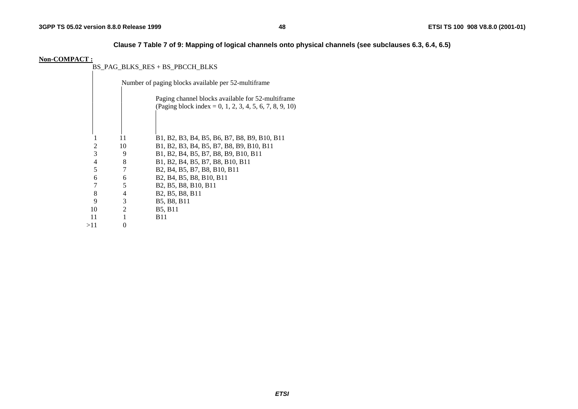### **Clause 7 Table 7 of 9: Mapping of logical channels onto physical channels (see subclauses 6.3, 6.4, 6.5)**

#### **Non-COMPACT :**

BS\_PAG\_BLKS\_RES + BS\_PBCCH\_BLKS

|     |    |                | Number of paging blocks available per 52-multiframe                                                                    |
|-----|----|----------------|------------------------------------------------------------------------------------------------------------------------|
|     |    |                | Paging channel blocks available for 52-multiframe<br>(Paging block index = 0, 1, 2, 3, 4, 5, 6, 7, 8, 9, 10)           |
|     |    |                |                                                                                                                        |
|     |    | 11             | B1, B2, B3, B4, B5, B6, B7, B8, B9, B10, B11                                                                           |
|     | 2  | 10             | B1, B2, B3, B4, B5, B7, B8, B9, B10, B11                                                                               |
|     | 3  | 9              | B1, B2, B4, B5, B7, B8, B9, B10, B11                                                                                   |
|     | 4  | 8              | B1, B2, B4, B5, B7, B8, B10, B11                                                                                       |
|     | 5  | 7              | B <sub>2</sub> , B <sub>4</sub> , B <sub>5</sub> , B <sub>7</sub> , B <sub>8</sub> , B <sub>10</sub> , B <sub>11</sub> |
|     | 6  | 6              | B <sub>2</sub> , B <sub>4</sub> , B <sub>5</sub> , B <sub>8</sub> , B <sub>10</sub> , B <sub>11</sub>                  |
|     | 7  | 5              | B <sub>2</sub> , B <sub>5</sub> , B <sub>8</sub> , B <sub>10</sub> , B <sub>11</sub>                                   |
|     | 8  | 4              | B <sub>2</sub> , B <sub>5</sub> , B <sub>8</sub> , B <sub>11</sub>                                                     |
|     | 9  | 3              | B5, B8, B11                                                                                                            |
|     | 10 | $\overline{2}$ | <b>B5, B11</b>                                                                                                         |
|     | 11 |                | B11                                                                                                                    |
| >11 |    |                |                                                                                                                        |
|     |    |                |                                                                                                                        |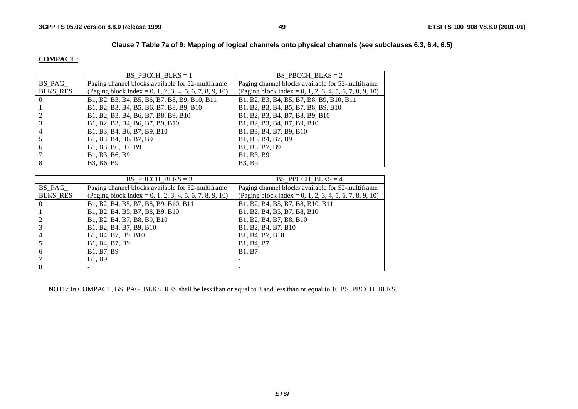### **Clause 7 Table 7a of 9: Mapping of logical channels onto physical channels (see subclauses 6.3, 6.4, 6.5)**

#### **COMPACT :**

|                 | BS PBCCH BLKS = $1$                                     | BS PBCCH BLKS = $2$                                     |
|-----------------|---------------------------------------------------------|---------------------------------------------------------|
| BS PAG          | Paging channel blocks available for 52-multiframe       | Paging channel blocks available for 52-multiframe       |
| <b>BLKS RES</b> | (Paging block index = 0, 1, 2, 3, 4, 5, 6, 7, 8, 9, 10) | (Paging block index = 0, 1, 2, 3, 4, 5, 6, 7, 8, 9, 10) |
| $\Omega$        | B1, B2, B3, B4, B5, B6, B7, B8, B9, B10, B11            | B1, B2, B3, B4, B5, B7, B8, B9, B10, B11                |
|                 | B1, B2, B3, B4, B5, B6, B7, B8, B9, B10                 | B1, B2, B3, B4, B5, B7, B8, B9, B10                     |
|                 | B1, B2, B3, B4, B6, B7, B8, B9, B10                     | B1, B2, B3, B4, B7, B8, B9, B10                         |
|                 | B1, B2, B3, B4, B6, B7, B9, B10                         | B1, B2, B3, B4, B7, B9, B10                             |
|                 | B1, B3, B4, B6, B7, B9, B10                             | B1, B3, B4, B7, B9, B10                                 |
|                 | B1, B3, B4, B6, B7, B9                                  | B1, B3, B4, B7, B9                                      |
| 6               | B1, B3, B6, B7, B9                                      | B1, B3, B7, B9                                          |
|                 | B1, B3, B6, B9                                          | B1, B3, B9                                              |
|                 | B3. B6. B9                                              | <b>B3, B9</b>                                           |

|                 | BS PBCCH BLKS $= 3$                                     | BS PBCCH BLKS $=$ 4                                                |
|-----------------|---------------------------------------------------------|--------------------------------------------------------------------|
| BS PAG          | Paging channel blocks available for 52-multiframe       | Paging channel blocks available for 52-multiframe                  |
| <b>BLKS RES</b> | (Paging block index = 0, 1, 2, 3, 4, 5, 6, 7, 8, 9, 10) | (Paging block index = 0, 1, 2, 3, 4, 5, 6, 7, 8, 9, 10)            |
|                 | B1, B2, B4, B5, B7, B8, B9, B10, B11                    | B1, B2, B4, B5, B7, B8, B10, B11                                   |
|                 | B1, B2, B4, B5, B7, B8, B9, B10                         | B1, B2, B4, B5, B7, B8, B10                                        |
|                 | B1, B2, B4, B7, B8, B9, B10                             | B1, B2, B4, B7, B8, B10                                            |
|                 | B1, B2, B4, B7, B9, B10                                 | B1, B2, B4, B7, B10                                                |
| 4               | B1, B4, B7, B9, B10                                     | B <sub>1</sub> , B <sub>4</sub> , B <sub>7</sub> , B <sub>10</sub> |
|                 | B1, B4, B7, B9                                          | B1, B4, B7                                                         |
| 6               | B1, B7, B9                                              | <b>B1.</b> B7                                                      |
|                 | <b>B1.</b> B9                                           |                                                                    |
|                 |                                                         |                                                                    |

NOTE: In COMPACT, BS\_PAG\_BLKS\_RES shall be less than or equal to 8 and less than or equal to 10 BS\_PBCCH\_BLKS.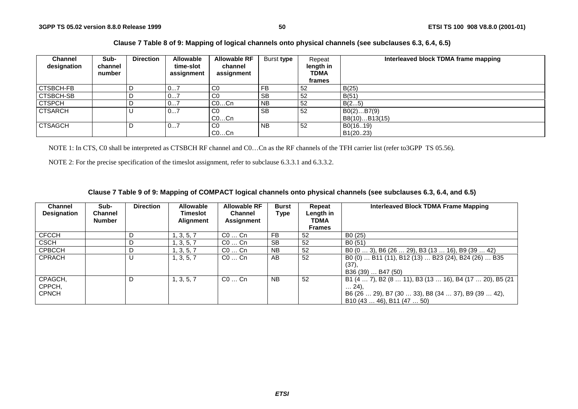### **Clause 7 Table 8 of 9: Mapping of logical channels onto physical channels (see subclauses 6.3, 6.4, 6.5)**

| <b>Channel</b><br>designation | Sub-<br>channel<br>number | <b>Direction</b> | <b>Allowable</b><br>time-slot<br>assignment | <b>Allowable RF</b><br>channel<br>assignment | Burst type     | Repeat<br>length in<br>TDMA<br>frames | Interleaved block TDMA frame mapping |
|-------------------------------|---------------------------|------------------|---------------------------------------------|----------------------------------------------|----------------|---------------------------------------|--------------------------------------|
| <b>CTSBCH-FB</b>              |                           |                  | 07                                          | $_{\rm CO}$                                  | FB             | 52                                    | B(25)                                |
| <b>CTSBCH-SB</b>              |                           |                  | 07                                          | C <sub>0</sub>                               | <b>SB</b>      | 52                                    | B(51)                                |
| <b>CTSPCH</b>                 |                           |                  | 07                                          | $CO$ Cn                                      | N <sub>B</sub> | 52                                    | B(25)                                |
| <b>CTSARCH</b>                |                           |                  | 07                                          | C <sub>0</sub><br>$CO$ Cn                    | <b>SB</b>      | 52                                    | B0(2)B7(9)<br>B8(10)B13(15)          |
| <b>CTSAGCH</b>                |                           |                  | 07                                          | C <sub>0</sub><br>$CO$ Cn                    | N <sub>B</sub> | 52                                    | B0(1619)<br>B1(2023)                 |

NOTE 1: In CTS, C0 shall be interpreted as CTSBCH RF channel and C0…Cn as the RF channels of the TFH carrier list (refer to3GPP TS 05.56).

NOTE 2: For the precise specification of the timeslot assignment, refer to subclause 6.3.3.1 and 6.3.3.2.

### **Clause 7 Table 9 of 9: Mapping of COMPACT logical channels onto physical channels (see subclauses 6.3, 6.4, and 6.5)**

| <b>Channel</b><br><b>Designation</b> | Sub-<br><b>Channel</b><br><b>Number</b> | <b>Direction</b> | <b>Allowable</b><br>Timeslot<br><b>Alignment</b> | <b>Allowable RF</b><br><b>Channel</b><br>Assignment | <b>Burst</b><br>Type | Repeat<br>Length in<br><b>TDMA</b><br><b>Frames</b> | Interleaved Block TDMA Frame Mapping                                                                                                                   |
|--------------------------------------|-----------------------------------------|------------------|--------------------------------------------------|-----------------------------------------------------|----------------------|-----------------------------------------------------|--------------------------------------------------------------------------------------------------------------------------------------------------------|
| <b>CFCCH</b>                         |                                         |                  | , 3, 5, 7                                        | $CO \ldots$ Cn                                      | <b>FB</b>            | 52                                                  | B <sub>0</sub> (25)                                                                                                                                    |
| <b>CSCH</b>                          |                                         | D                | 1, 3, 5, 7                                       | $CO \ldots$ Cn                                      | <b>SB</b>            | 52                                                  | B <sub>0</sub> (51)                                                                                                                                    |
| <b>CPBCCH</b>                        |                                         | D                | 1, 3, 5, 7                                       | $CO \dots$ Cn                                       | <b>NB</b>            | 52                                                  | B0 $(03)$ , B6 $(2629)$ , B3 $(1316)$ , B9 $(3942)$                                                                                                    |
| <b>CPRACH</b>                        |                                         | U                | 1, 3, 5, 7                                       | $CO \ldots$ Cn                                      | AB                   | 52                                                  | B0 (0)  B11 (11), B12 (13)  B23 (24), B24 (26)  B35<br>$(37)$ ,<br>B36 (39)  B47 (50)                                                                  |
| CPAGCH,<br>CPPCH,<br><b>CPNCH</b>    |                                         | D                | 1, 3, 5, 7                                       | $CO \ldots$ Cn                                      | <b>NB</b>            | 52                                                  | B1 (4  7), B2 (8  11), B3 (13  16), B4 (17  20), B5 (21<br>$\dots$ 24).<br>B6 (26  29), B7 (30  33), B8 (34  37), B9 (39  42),<br>B10(4346), B11(4750) |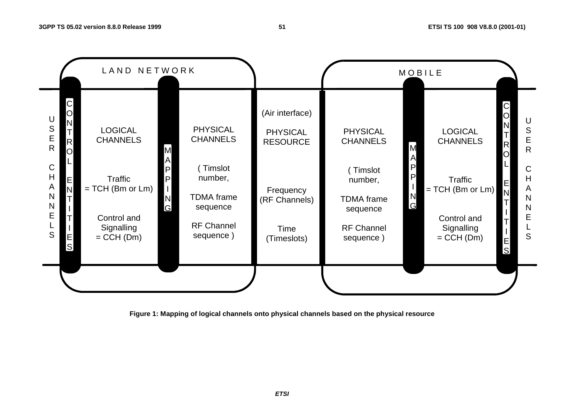

**Figure 1: Mapping of logical channels onto physical channels based on the physical resource**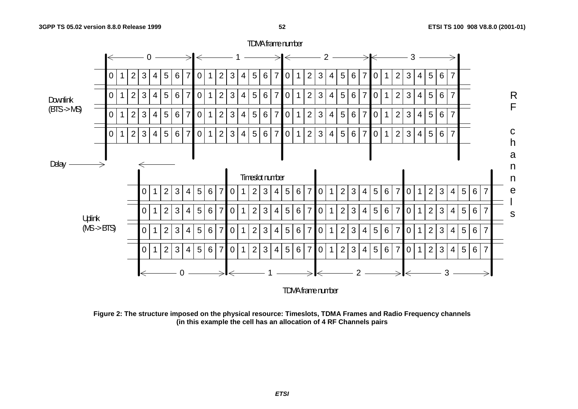

**Figure 2: The structure imposed on the physical resource: Timeslots, TDMA Frames and Radio Frequency channels (in this example the cell has an allocation of 4 RF Channels pairs**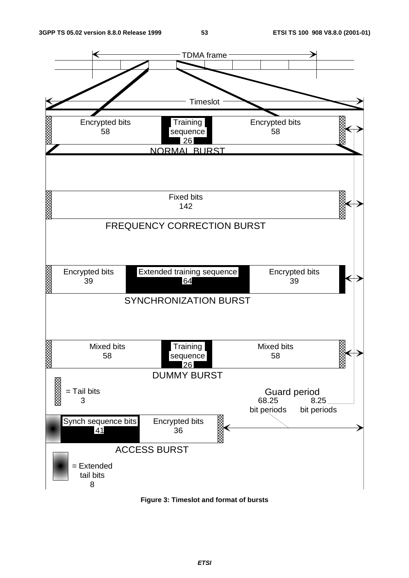

**Figure 3: Timeslot and format of bursts**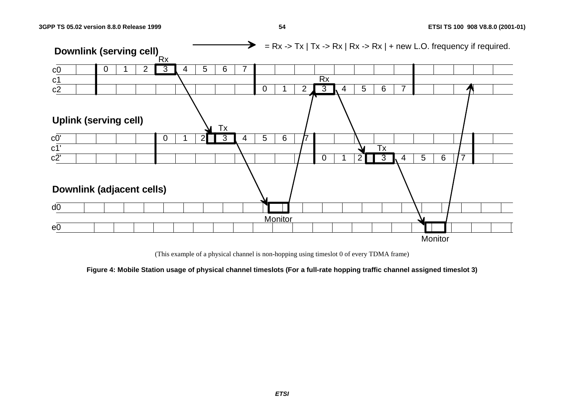

(This example of a physical channel is non-hopping using timeslot 0 of every TDMA frame)

**Figure 4: Mobile Station usage of physical channel timeslots (For a full-rate hopping traffic channel assigned timeslot 3)**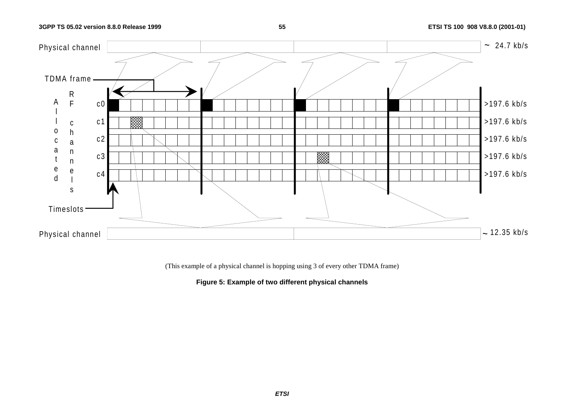### **55 ETSI TS 100 908 V8.8.0 (2001-01)**



(This example of a physical channel is hopping using 3 of every other TDMA frame)

### **Figure 5: Example of two different physical channels**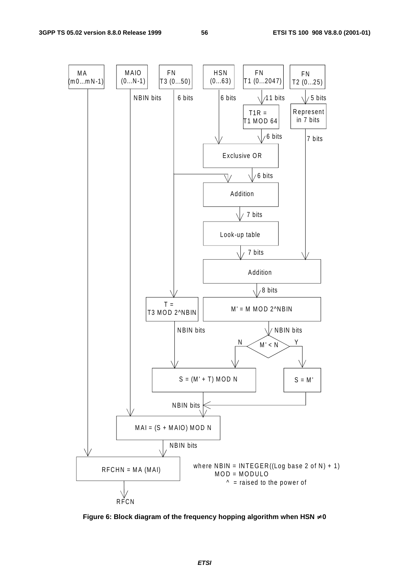

**Figure 6: Block diagram of the frequency hopping algorithm when HSN** ≠ **0**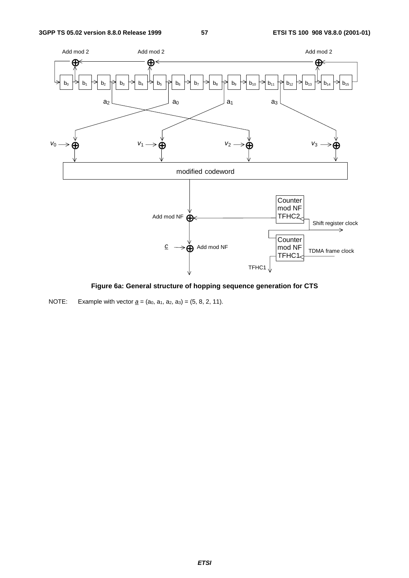

**Figure 6a: General structure of hopping sequence generation for CTS**

NOTE: Example with vector  $\underline{a} = (a_0, a_1, a_2, a_3) = (5, 8, 2, 11)$ .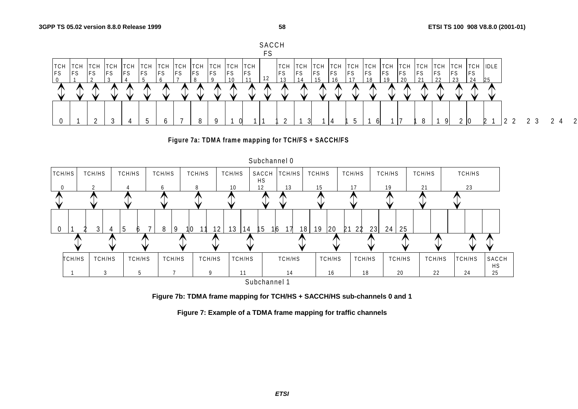





**Figure 7b: TDMA frame mapping for TCH/HS + SACCH/HS sub-channels 0 and 1**

**Figure 7: Example of a TDMA frame mapping for traffic channels**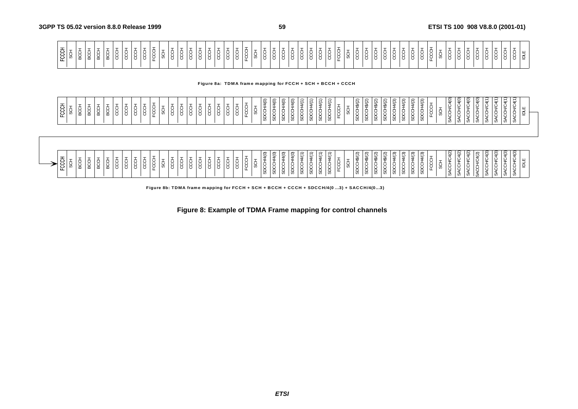| ᆂ<br>⊤ 은   º                                      |  |
|---------------------------------------------------|--|
|                                                   |  |
|                                                   |  |
| -                                                 |  |
|                                                   |  |
|                                                   |  |
| ັ                                                 |  |
| ັ                                                 |  |
|                                                   |  |
|                                                   |  |
| ᅩ                                                 |  |
| ິ                                                 |  |
| ັ                                                 |  |
| ີ                                                 |  |
| ີ<br>ີ                                            |  |
| $\mathbf{v}$                                      |  |
| $\cdot$ $\cdot$ $\cdot$                           |  |
| ີ                                                 |  |
| $\overline{\phantom{0}}$                          |  |
| $\mathbf{v}$                                      |  |
|                                                   |  |
|                                                   |  |
|                                                   |  |
| ັ                                                 |  |
| $\overline{\phantom{0}}$<br>$\cdot$ .<br>. U      |  |
| ີ                                                 |  |
| $\overline{\phantom{0}}$<br>ັ                     |  |
| <b>Contract Contract Contract Contract</b><br>ا ب |  |
| $\mathbf{v}$<br>ີ                                 |  |
|                                                   |  |
|                                                   |  |
|                                                   |  |
| ີ<br>ີ                                            |  |
| $\cdot$                                           |  |
| $\mathbf{v}$                                      |  |
| $\mathbf{v}$                                      |  |
|                                                   |  |
|                                                   |  |
|                                                   |  |
|                                                   |  |
| ᄔ                                                 |  |
|                                                   |  |
| $\cdot$ $\cdot$                                   |  |
|                                                   |  |
|                                                   |  |
|                                                   |  |
|                                                   |  |
|                                                   |  |
|                                                   |  |
|                                                   |  |
|                                                   |  |

**Figure 8a: TDMA fram e m apping for FCCH + SCH + BCCH + CCCH**

| FCCH                                                    | <b>FCCCH</b>                                         |
|---------------------------------------------------------|------------------------------------------------------|
| ġ                                                       | -<br>ပ                                               |
| 六<br>5<br>S<br>്ട്                                      | ₿<br>S<br>Х<br>୪                                     |
| BCCH                                                    | ВC<br>О                                              |
| Ō<br>28                                                 | ₿<br>8                                               |
| ġ                                                       | ġ                                                    |
| CC <sub>D</sub>                                         | ġ                                                    |
| ġ                                                       | S<br>S                                               |
| $\overline{ }$<br>∣ġ                                    | CCC                                                  |
| FCCH                                                    | FCCC                                                 |
| $\overline{\phantom{0}}$<br>ġ                           | $\tau$<br>\$                                         |
| ġ                                                       | ġ                                                    |
| CCO                                                     | ġ                                                    |
| ġ                                                       | ŦОС                                                  |
| ğ                                                       | ġ                                                    |
| $\tau$<br>  ĝ<br>ġ                                      | Ŧ<br>c<br>S                                          |
| ġ                                                       | 5<br>SS                                              |
| ġ                                                       | 5<br>S                                               |
| ġ                                                       | g<br>ᄔ                                               |
| $\frac{1}{\sqrt{2}}$<br>୪                               | ÷<br>တ                                               |
| $\widetilde{=}$<br>↘<br>六<br><b>SDCC</b>                | $\overline{6}$<br>$\overline{\phantom{a}}$<br>s<br>S |
| 1/4(0)<br>SDCC+                                         | <b>1/4(0)</b><br>SDCC+                               |
| $\widetilde{=}$<br>≤<br>ದ                               | $\widetilde{e}$<br>ದ                                 |
| $\widehat{\mathsf{S}}$<br>⇒<br>SDCC                     | $\frac{40}{2}$<br>spcc                               |
| 44(1)<br><b>SDCCH</b>                                   | 14(1)<br>SDCC+                                       |
| 14/(1)<br>SDCC+                                         | 14/(1)<br>÷<br><b>SDC</b>                            |
| $\overline{\phantom{0}}$<br>₩.<br>SDCC+                 | 44(1)<br>SDCC+                                       |
| $\overline{\phantom{0}}$<br>च∕<br>®<br>SDC              | ⇐<br>₩<br>SDCC+                                      |
| Ġ                                                       | U.                                                   |
| $\widetilde{\left(2\right)}$<br>ğ<br>ಜ                  | (2)<br>spcc                                          |
| 46(2)<br>SDCC+                                          | C/\$H2<br><b>SDCC</b>                                |
| \$/(2)<br>SDCC+                                         | 1\$/(2)<br><b>SDCC</b>                               |
| 4\$(2)<br><b>SDCC</b>                                   | $4\Im(2)$<br>SDCC                                    |
| 44(3)<br>ġ<br>ිසි                                       | 4(3)<br>SDCC+                                        |
| 44(3)<br>44(3)<br><b>SDCCH</b><br><b>SDCCH</b>          | $\frac{4}{3}$<br>14(3)<br>SDCC<br>SDCC+              |
| 44(3)<br><b>SDCCH</b>                                   | 44(3)<br>SDCC+                                       |
| $\overline{\phantom{0}}$<br>÷<br>یب<br>노                | 노                                                    |
| ୪                                                       | ୪                                                    |
| $\sqrt{C4(2)}$<br>SACCH                                 | <b>AO</b><br>SACCH                                   |
| $\tilde{5}$<br>¥<br>¢<br>्र                             | $\widetilde{e}$<br>⊻<br>ă                            |
| $\widetilde{q}$<br>ACCH/C                               | $\overline{4(0)}$<br>9<br>5<br>S<br>Ø                |
| <b>IC4(2)</b><br>ACCH                                   | <b>VC4(O)</b><br>SACCH                               |
| <u>අල</u><br>⊻<br>$\pm$<br>ਖ਼                           | 4(1)<br>≍<br>x<br>Ø                                  |
| $\widehat{c}$<br>Š<br><b>SACCH</b>                      | 4(1)<br>9<br><b>CO</b><br>U.                         |
| $\sqrt[4]{C4(3)}$<br>S<br>ACCH                          | $\sqrt{C4(1)}$<br>SACCH                              |
| $\mathfrak{a}(3)$<br>⊻<br>흐<br>$\overline{\phantom{a}}$ | ⊻<br>흐<br>ිරි                                        |
|                                                         |                                                      |
|                                                         |                                                      |

|                        |              |                        |                      |                       |   |                 |                                            |                       |                           |   |                                |                  |   | ∽<br>$\check{ }$ | $\widehat{\sigma}$<br>$\tilde{}$ | $\widehat{\sigma}$<br>$\widehat{\sigma}$      | $-$<br>$\tilde{}$ |                       | ت                                |  | ∽<br>$\sim$<br>w<br>ٮ                             | $\alpha$    | చ                 | $\approx$<br>.<br>w<br>ت<br>$\check{ }$ | $\overline{\phantom{0}}$<br>ະ |    | $\sim$ | $\sigma$<br>ت | Q                        | $\widehat{\phantom{a}}$<br>$\sim$<br>ت | $\tilde{}$ | . .<br>$\tilde{}$ | $\sim$<br>$\tilde{}$ |
|------------------------|--------------|------------------------|----------------------|-----------------------|---|-----------------|--------------------------------------------|-----------------------|---------------------------|---|--------------------------------|------------------|---|------------------|----------------------------------|-----------------------------------------------|-------------------|-----------------------|----------------------------------|--|---------------------------------------------------|-------------|-------------------|-----------------------------------------|-------------------------------|----|--------|---------------|--------------------------|----------------------------------------|------------|-------------------|----------------------|
| ◡<br>ັ<br>്മ<br>ب<br>ட | ີ<br>∣∝<br>≃ | ັ<br>$\cdot$<br>≃<br>ັ | . پ<br>ັບ<br>$\circ$ | ັ<br>$\sim$<br>ັ<br>ັ | ັ | <b>__</b><br>ັບ | $\cdot$<br>ັ<br>$\sim$<br>$\sim$<br>ັ<br>ັ | ີ<br>ີ<br>$\sim$<br>ັ | $\cdot$ $\cdot$<br>ີ<br>◡ | ັ | ີ<br>◡<br>$\sqrt{2}$<br>ັ<br>ັ | ∼<br>$\sim$<br>ັ | ີ |                  | ◡<br>$\sqrt{2}$<br>−             | $\check{ }$<br>≭<br>Ğ<br>$\sqrt{ }$<br>┙<br>_ |                   | $\check{ }$<br>◡<br>ັ | . .                              |  | $\check{ }$<br>$\overline{\phantom{a}}$<br>ີ<br>ີ | $\check{ }$ | <del>ഗ</del><br>╺ | - 33<br>$\cdot$<br>ີ<br>-<br>−          | -                             |    | -      | ັ             | $\overline{\phantom{a}}$ |                                        | -          |                   |                      |
|                        |              |                        |                      |                       |   |                 |                                            |                       |                           |   |                                |                  |   | v                | ഗ                                | $\overline{\phantom{a}}$<br>ັບ<br>ັບ          | Ø                 | ၯ                     | $\omega$<br>$\ddot{\phantom{0}}$ |  | ່ທ<br>.,                                          | ່ທ          | ັບ                | ၯ<br>v                                  | ັບ                            | U) | ັບ     | ິ             | ິບ                       |                                        |            |                   |                      |

**Figure 8b: TDMA frame m apping for FCCH + SCH + BCCH + CCCH + SDCCH/4(0 ...3) + SACCH/4(0...3)**

**Figure 8: Example of TDMA Frame mapping for control channels**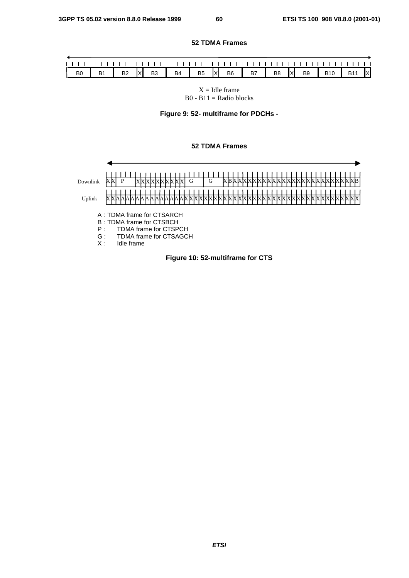### **52 TDMA Frames**

| $\vert$ B0 | B1   B2  x  B3   B4   B5  x  B6   B7   B8  x  B9   B10   B11  x |  |  |  |  |  |  |  |
|------------|-----------------------------------------------------------------|--|--|--|--|--|--|--|

 $X =$  Idle frame  $B0 - B11 =$  Radio blocks

**Figure 9: 52- multiframe for PDCHs -**

#### **52 TDMA Frames**



**ETSI**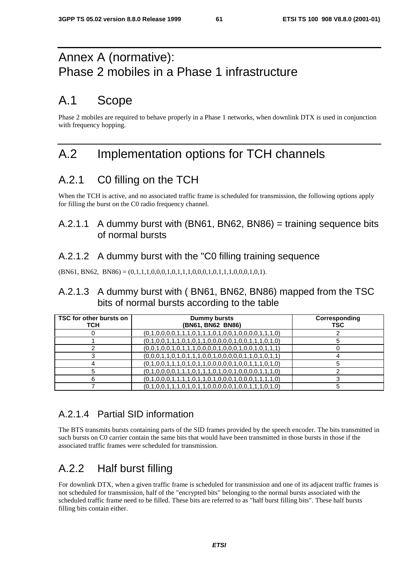# Annex A (normative): Phase 2 mobiles in a Phase 1 infrastructure

# A.1 Scope

Phase 2 mobiles are required to behave properly in a Phase 1 networks, when downlink DTX is used in conjunction with frequency hopping.

# A.2 Implementation options for TCH channels

# A.2.1 C0 filling on the TCH

When the TCH is active, and no associated traffic frame is scheduled for transmission, the following options apply for filling the burst on the C0 radio frequency channel.

### A.2.1.1 A dummy burst with (BN61, BN62, BN86) = training sequence bits of normal bursts

### A.2.1.2 A dummy burst with the "C0 filling training sequence

 $(BN61, BN62, BN86) = (0,1,1,1,0,0,0,1,0,1,1,1,0,0,0,1,0,1,1,1,0,0,0,1,0,1).$ 

### A.2.1.3 A dummy burst with ( BN61, BN62, BN86) mapped from the TSC bits of normal bursts according to the table

| TSC for other bursts on<br>тсн | Dummy bursts<br>(BN61, BN62 BN86)                       | Corresponding<br><b>TSC</b> |
|--------------------------------|---------------------------------------------------------|-----------------------------|
|                                | $(0,1,0,0,0,0,1,1,1,0,1,1,1,0,1,0,0,1,0,0,0,0,1,1,1,0)$ |                             |
|                                | $(0,1,0,0,1,1,1,0,1,0,1,1,0,0,0,0,0,1,0,0,1,1,1,0,1,0)$ |                             |
|                                | $(0,0,1,0,0,1,0,1,1,1,0,0,0,0,1,0,0,0,1,0,0,1,1,1)$     |                             |
|                                | $(0,0,0,1,1,0,1,0,1,1,1,0,0,1,0,0,0,0,1,1,0,1,0,1,1)$   |                             |
|                                | $(0,1,0,0,1,1,1,0,1,0,1,1,0,0,0,0,0,1,0,0,1,1,1,0,1,0)$ |                             |
|                                | $(0,1,0,0,0,0,1,1,1,0,1,1,1,0,1,0,0,1,0,0,0,0,1,1,1,0)$ |                             |
| 6                              | $(0,1,0,0,0,1,1,1,1,0,1,1,0,1,0,0,0,1,0,0,0,1,1,1,1,0)$ |                             |
|                                | $(0,1,0,0,1,1,1,0,1,0,1,1,0,0,0,0,0,1,0,0,1,1,1,0,1,0)$ |                             |

## A.2.1.4 Partial SID information

The BTS transmits bursts containing parts of the SID frames provided by the speech encoder. The bits transmitted in such bursts on C0 carrier contain the same bits that would have been transmitted in those bursts in those if the associated traffic frames were scheduled for transmission.

# A.2.2 Half burst filling

For downlink DTX, when a given traffic frame is scheduled for transmission and one of its adjacent traffic frames is not scheduled for transmission, half of the "encrypted bits" belonging to the normal bursts associated with the scheduled traffic frame need to be filled. These bits are referred to as "half burst filling bits". These half bursts filling bits contain either.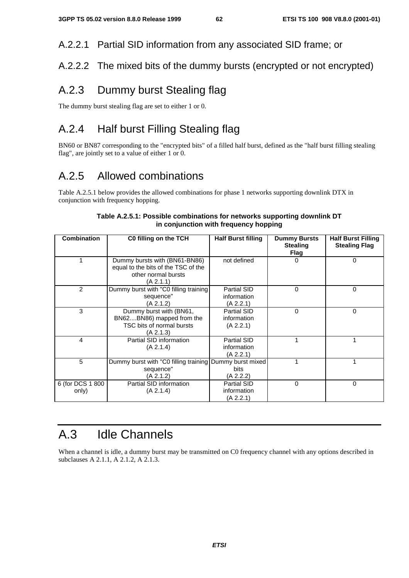A.2.2.1 Partial SID information from any associated SID frame; or

### A.2.2.2 The mixed bits of the dummy bursts (encrypted or not encrypted)

## A.2.3 Dummy burst Stealing flag

The dummy burst stealing flag are set to either 1 or 0.

# A.2.4 Half burst Filling Stealing flag

BN60 or BN87 corresponding to the "encrypted bits" of a filled half burst, defined as the "half burst filling stealing flag", are jointly set to a value of either 1 or 0.

# A.2.5 Allowed combinations

Table A.2.5.1 below provides the allowed combinations for phase 1 networks supporting downlink DTX in conjunction with frequency hopping.

| <b>Combination</b>        | C0 filling on the TCH                                                                                    | <b>Half Burst filling</b>                     | <b>Dummy Bursts</b><br><b>Stealing</b><br><b>Flag</b> | <b>Half Burst Filling</b><br><b>Stealing Flag</b> |
|---------------------------|----------------------------------------------------------------------------------------------------------|-----------------------------------------------|-------------------------------------------------------|---------------------------------------------------|
|                           | Dummy bursts with (BN61-BN86)<br>equal to the bits of the TSC of the<br>other normal bursts<br>(A 2.1.1) | not defined                                   | 0                                                     | 0                                                 |
| 2                         | Dummy burst with "C0 filling training<br>sequence"<br>(A 2.1.2)                                          | Partial SID<br>information<br>(A 2.2.1)       | 0                                                     | 0                                                 |
| 3                         | Dummy burst with (BN61,<br>BN62BN86) mapped from the<br>TSC bits of normal bursts<br>(A 2.1.3)           | Partial SID<br>information<br>(A 2.2.1)       | 0                                                     | 0                                                 |
| 4                         | Partial SID information<br>(A 2.1.4)                                                                     | Partial SID<br>information<br>(A 2.2.1)       |                                                       |                                                   |
| 5                         | Dummy burst with "C0 filling training<br>sequence"<br>(A 2.1.2)                                          | Dummy burst mixed<br><b>bits</b><br>(A 2.2.2) |                                                       |                                                   |
| 6 (for DCS 1 800<br>only) | Partial SID information<br>(A 2.1.4)                                                                     | Partial SID<br>information<br>(A 2.2.1)       | $\Omega$                                              | 0                                                 |

### **Table A.2.5.1: Possible combinations for networks supporting downlink DT in conjunction with frequency hopping**

# A.3 Idle Channels

When a channel is idle, a dummy burst may be transmitted on C0 frequency channel with any options described in subclauses A 2.1.1, A 2.1.2, A 2.1.3.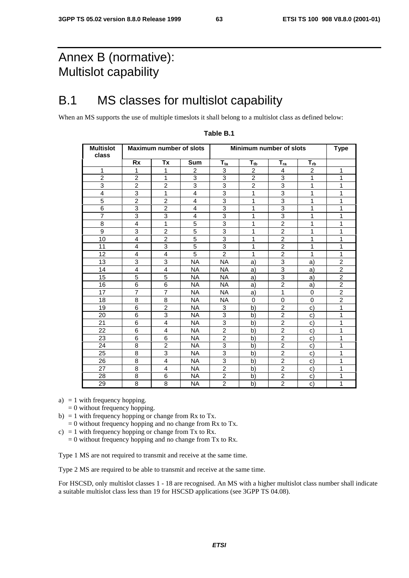# Annex B (normative): Multislot capability

# B.1 MS classes for multislot capability

When an MS supports the use of multiple timeslots it shall belong to a multislot class as defined below:

| <b>Multislot</b><br>class |                | <b>Maximum number of slots</b> |                |                            |                          | Minimum number of slots |                | <b>Type</b>    |
|---------------------------|----------------|--------------------------------|----------------|----------------------------|--------------------------|-------------------------|----------------|----------------|
|                           | <b>Rx</b>      | Tx                             | Sum            | $\mathsf{T}_{\mathsf{ta}}$ | $\mathsf{T}_{\text{tb}}$ | $T_{ra}$                | $T_{rb}$       |                |
| 1                         | $\mathbf{1}$   | $\mathbf{1}$                   | 2              | 3                          | $\overline{2}$           | 4                       | $\overline{2}$ | 1              |
| $\overline{2}$            | $\overline{2}$ | 1                              | 3              | 3                          | $\overline{2}$           | 3                       | 1              | 1              |
| 3                         | $\overline{2}$ | $\overline{c}$                 | 3              | 3                          | $\overline{c}$           | 3                       | 1              | 1              |
| $\overline{4}$            | 3              | 1                              | $\overline{4}$ | 3                          | 1                        | 3                       | 1              | 1              |
| 5                         | $\overline{2}$ | $\overline{2}$                 | 4              | 3                          | 1                        | 3                       | 1              | 1              |
| 6                         | 3              | $\overline{2}$                 | 4              | 3                          | 1                        | 3                       | 1              | 1              |
| $\overline{7}$            | 3              | 3                              | 4              | 3                          | 1                        | 3                       | 1              | 1              |
| 8                         | 4              | $\mathbf{1}$                   | 5              | 3                          | 1                        | $\overline{2}$          | 1              | 1              |
| $\boldsymbol{9}$          | 3              | $\overline{c}$                 | 5              | 3                          | 1                        | $\overline{c}$          | 1              | 1              |
| 10                        | $\overline{4}$ | $\overline{2}$                 | 5              | $\overline{3}$             | 1                        | $\overline{2}$          | 1              | 1              |
| 11                        | $\overline{4}$ | 3                              | 5              | 3                          | 1                        | $\overline{c}$          | 1              | 1              |
| 12                        | 4              | 4                              | 5              | $\overline{2}$             | 1                        | $\overline{c}$          | 1              | 1              |
| 13                        | 3              | 3                              | <b>NA</b>      | <b>NA</b>                  | a)                       | 3                       | a)             | $\overline{2}$ |
| 14                        | 4              | 4                              | <b>NA</b>      | <b>NA</b>                  | a)                       | 3                       | a)             | $\overline{c}$ |
| 15                        | 5              | 5                              | <b>NA</b>      | <b>NA</b>                  | a)                       | 3                       | a)             | $\overline{2}$ |
| 16                        | 6              | 6                              | NA.            | <b>NA</b>                  | a)                       | $\overline{2}$          | a)             | $\overline{c}$ |
| 17                        | $\overline{7}$ | $\overline{7}$                 | <b>NA</b>      | <b>NA</b>                  | a)                       | $\mathbf{1}$            | $\Omega$       | $\overline{2}$ |
| 18                        | 8              | 8                              | <b>NA</b>      | NA                         | 0                        | 0                       | 0              | $\overline{2}$ |
| 19                        | 6              | $\overline{2}$                 | NA.            | 3                          | b)                       | $\overline{2}$          | C)             | 1              |
| 20                        | 6              | 3                              | <b>NA</b>      | 3                          | b)                       | $\overline{2}$          | C)             | 1              |
| 21                        | 6              | 4                              | <b>NA</b>      | 3                          | b)                       | $\overline{2}$          | C)             | 1              |
| 22                        | 6              | $\overline{4}$                 | <b>NA</b>      | $\overline{2}$             | b)                       | $\overline{2}$          | C)             | 1              |
| 23                        | 6              | 6                              | NA.            | 2                          | b)                       | 2                       | C)             | 1              |
| 24                        | 8              | $\overline{2}$                 | <b>NA</b>      | 3                          | b)                       | $\overline{2}$          | C)             | 1              |
| 25                        | 8              | 3                              | NA.            | 3                          | b)                       | $\overline{a}$          | C)             | 1              |
| 26                        | 8              | 4                              | <b>NA</b>      | 3                          | b)                       | $\overline{2}$          | $\mathbf{C}$   | 1              |
| 27                        | 8              | $\overline{4}$                 | <b>NA</b>      | $\overline{2}$             | b)                       | $\overline{2}$          | C)             | 1              |
| 28                        | 8              | 6                              | <b>NA</b>      | $\overline{2}$             | b)                       | $\overline{2}$          | $\mathbf{C}$   | 1              |
| 29                        | 8              | 8                              | <b>NA</b>      | $\overline{c}$             | b)                       | $\overline{2}$          | C)             | 1              |

#### **Table B.1**

a)  $= 1$  with frequency hopping.

 $= 0$  without frequency hopping.

- b) = 1 with frequency hopping or change from Rx to Tx.
- $= 0$  without frequency hopping and no change from Rx to Tx.
- c) = 1 with frequency hopping or change from Tx to Rx.
	- $= 0$  without frequency hopping and no change from Tx to Rx.

Type 1 MS are not required to transmit and receive at the same time.

Type 2 MS are required to be able to transmit and receive at the same time.

For HSCSD, only multislot classes 1 - 18 are recognised. An MS with a higher multislot class number shall indicate a suitable multislot class less than 19 for HSCSD applications (see 3GPP TS 04.08).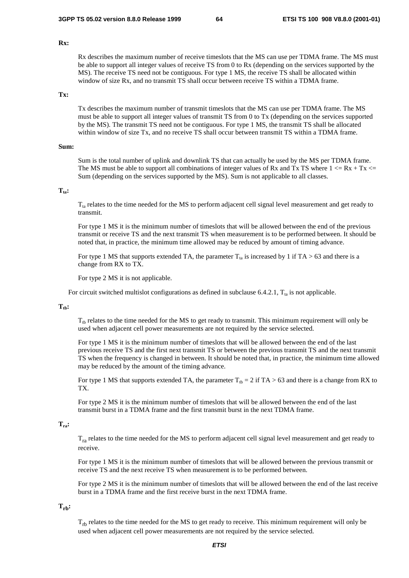#### **Rx:**

Rx describes the maximum number of receive timeslots that the MS can use per TDMA frame. The MS must be able to support all integer values of receive TS from 0 to Rx (depending on the services supported by the MS). The receive TS need not be contiguous. For type 1 MS, the receive TS shall be allocated within window of size Rx, and no transmit TS shall occur between receive TS within a TDMA frame.

### **Tx:**

Tx describes the maximum number of transmit timeslots that the MS can use per TDMA frame. The MS must be able to support all integer values of transmit TS from 0 to Tx (depending on the services supported by the MS). The transmit TS need not be contiguous. For type 1 MS, the transmit TS shall be allocated within window of size Tx, and no receive TS shall occur between transmit TS within a TDMA frame.

#### **Sum:**

Sum is the total number of uplink and downlink TS that can actually be used by the MS per TDMA frame. The MS must be able to support all combinations of integer values of Rx and Tx TS where  $1 \le Rx + Tx \le$ Sum (depending on the services supported by the MS). Sum is not applicable to all classes.

#### $T_{\text{ta}}$ :

 $T_{ta}$  relates to the time needed for the MS to perform adjacent cell signal level measurement and get ready to transmit.

For type 1 MS it is the minimum number of timeslots that will be allowed between the end of the previous transmit or receive TS and the next transmit TS when measurement is to be performed between. It should be noted that, in practice, the minimum time allowed may be reduced by amount of timing advance.

For type 1 MS that supports extended TA, the parameter  $T_{1a}$  is increased by 1 if TA > 63 and there is a change from RX to TX.

For type 2 MS it is not applicable.

For circuit switched multislot configurations as defined in subclause 6.4.2.1,  $T_{ta}$  is not applicable.

#### $T_{th}$ :

 $T_{th}$  relates to the time needed for the MS to get ready to transmit. This minimum requirement will only be used when adjacent cell power measurements are not required by the service selected.

For type 1 MS it is the minimum number of timeslots that will be allowed between the end of the last previous receive TS and the first next transmit TS or between the previous transmit TS and the next transmit TS when the frequency is changed in between. It should be noted that, in practice, the minimum time allowed may be reduced by the amount of the timing advance.

For type 1 MS that supports extended TA, the parameter  $T_{th} = 2$  if TA > 63 and there is a change from RX to TX.

For type 2 MS it is the minimum number of timeslots that will be allowed between the end of the last transmit burst in a TDMA frame and the first transmit burst in the next TDMA frame.

### **Tra:**

 $T_{ra}$  relates to the time needed for the MS to perform adjacent cell signal level measurement and get ready to receive.

For type 1 MS it is the minimum number of timeslots that will be allowed between the previous transmit or receive TS and the next receive TS when measurement is to be performed between.

For type 2 MS it is the minimum number of timeslots that will be allowed between the end of the last receive burst in a TDMA frame and the first receive burst in the next TDMA frame.

#### $T_{rb}$ :

 $T_{rh}$  relates to the time needed for the MS to get ready to receive. This minimum requirement will only be used when adjacent cell power measurements are not required by the service selected.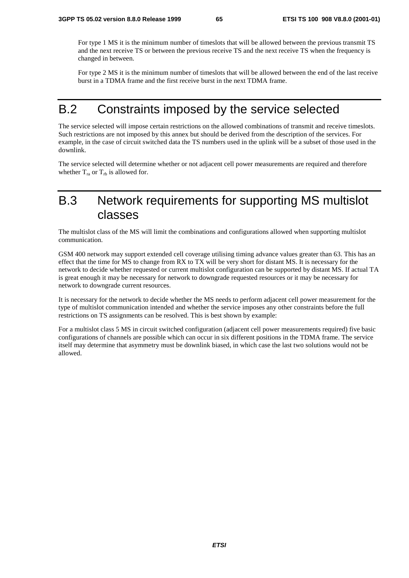For type 1 MS it is the minimum number of timeslots that will be allowed between the previous transmit TS and the next receive TS or between the previous receive TS and the next receive TS when the frequency is changed in between.

For type 2 MS it is the minimum number of timeslots that will be allowed between the end of the last receive burst in a TDMA frame and the first receive burst in the next TDMA frame.

## B.2 Constraints imposed by the service selected

The service selected will impose certain restrictions on the allowed combinations of transmit and receive timeslots. Such restrictions are not imposed by this annex but should be derived from the description of the services. For example, in the case of circuit switched data the TS numbers used in the uplink will be a subset of those used in the downlink.

The service selected will determine whether or not adjacent cell power measurements are required and therefore whether  $T_{ra}$  or  $T_{rb}$  is allowed for.

# B.3 Network requirements for supporting MS multislot classes

The multislot class of the MS will limit the combinations and configurations allowed when supporting multislot communication.

GSM 400 network may support extended cell coverage utilising timing advance values greater than 63. This has an effect that the time for MS to change from RX to TX will be very short for distant MS. It is necessary for the network to decide whether requested or current multislot configuration can be supported by distant MS. If actual TA is great enough it may be necessary for network to downgrade requested resources or it may be necessary for network to downgrade current resources.

It is necessary for the network to decide whether the MS needs to perform adjacent cell power measurement for the type of multislot communication intended and whether the service imposes any other constraints before the full restrictions on TS assignments can be resolved. This is best shown by example:

For a multislot class 5 MS in circuit switched configuration (adjacent cell power measurements required) five basic configurations of channels are possible which can occur in six different positions in the TDMA frame. The service itself may determine that asymmetry must be downlink biased, in which case the last two solutions would not be allowed.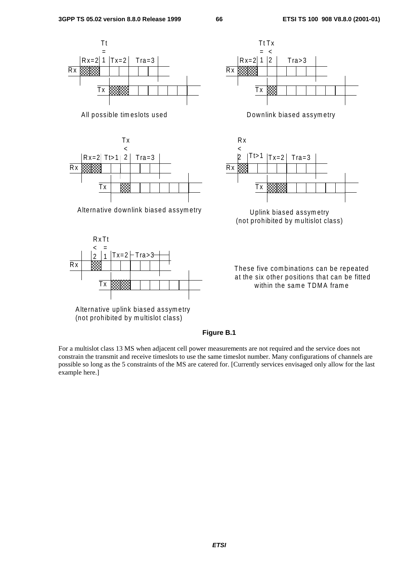



Alternative uplink biased assymetry (not prohibited by m ultislot class)





(not prohibited by multislot class)

These five combinations can be repeated at the six other positions that can be fitted within the same TDMA frame

### **Figure B.1**

For a multislot class 13 MS when adjacent cell power measurements are not required and the service does not constrain the transmit and receive timeslots to use the same timeslot number. Many configurations of channels are possible so long as the 5 constraints of the MS are catered for. [Currently services envisaged only allow for the last example here.]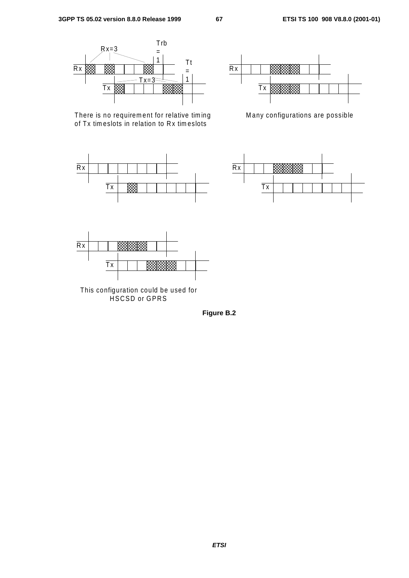

There is no requirement for relative timing of Tx tim eslots in relation to Rx tim eslots





Many configurations are possible





This configuration could be used for HSCSD or GPRS

**Figure B.2**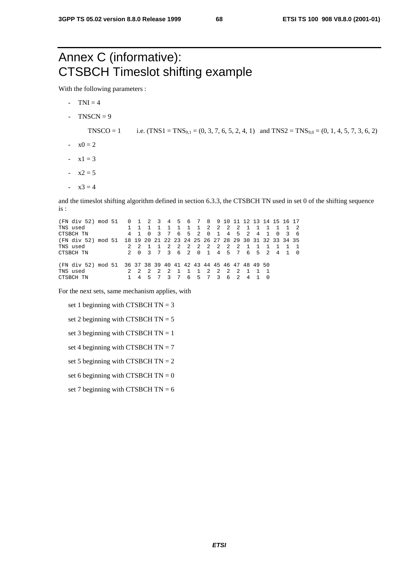# Annex C (informative): CTSBCH Timeslot shifting example

With the following parameters :

- $-TNI = 4$
- $TNSCN = 9$

TNSCO = 1 i.e.  $(TNS1 = TNS_{9,1} = (0, 3, 7, 6, 5, 2, 4, 1)$  and  $TNS2 = TNS_{9,0} = (0, 1, 4, 5, 7, 3, 6, 2)$ 

- $-x0 = 2$
- $-x1 = 3$
- $-x2 = 5$
- $x3 = 4$

and the timeslot shifting algorithm defined in section 6.3.3, the CTSBCH TN used in set 0 of the shifting sequence is :

(FN div 52) mod 51 0 1 2 3 4 5 6 7 8 9 10 11 12 13 14 15 16 17 TNS used 1 1 1 1 1 1 1 1 2 2 2 2 1 1 1 1 1 2 CTSBCH TN 4 1 0 3 7 6 5 2 0 1 4 5 2 4 1 0 3 6 (FN div 52) mod 51 18 19 20 21 22 23 24 25 26 27 28 29 30 31 32 33 34 35 TNS used 2 2 1 1 2 2 2 2 2 2 2 2 1 1 1 1 1 1  $5$  2 4 1 0 (FN div 52) mod 51 36 37 38 39 40 41 42 43 44 45 46 47 48 49 50 TNS used 2 2 2 2 2 1 1 1 2 2 2 2 1 1 1 CTSBCH TN 1 4 5 7 3 7 6 5 7 3 6 2 4 1 0

For the next sets, same mechanism applies, with

- set 1 beginning with CTSBCH  $TN = 3$
- set 2 beginning with CTSBCH  $TN = 5$
- set 3 beginning with CTSBCH  $TN = 1$
- set 4 beginning with CTSBCH  $TN = 7$
- set 5 beginning with CTSBCH  $TN = 2$
- set 6 beginning with CTSBCH  $TN = 0$
- set 7 beginning with CTSBCH  $TN = 6$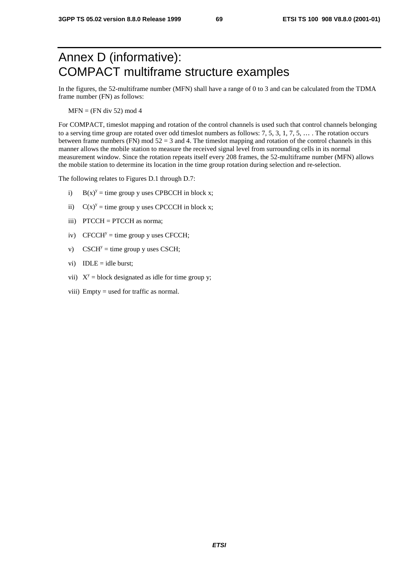# Annex D (informative): COMPACT multiframe structure examples

In the figures, the 52-multiframe number (MFN) shall have a range of 0 to 3 and can be calculated from the TDMA frame number (FN) as follows:

 $MFN = (FN \div 52) \mod 4$ 

For COMPACT, timeslot mapping and rotation of the control channels is used such that control channels belonging to a serving time group are rotated over odd timeslot numbers as follows: 7, 5, 3, 1, 7, 5, … . The rotation occurs between frame numbers (FN) mod  $52 = 3$  and 4. The timeslot mapping and rotation of the control channels in this manner allows the mobile station to measure the received signal level from surrounding cells in its normal measurement window. Since the rotation repeats itself every 208 frames, the 52-multiframe number (MFN) allows the mobile station to determine its location in the time group rotation during selection and re-selection.

The following relates to Figures D.1 through D.7:

- i)  $B(x)^y =$  time group y uses CPBCCH in block x;
- ii)  $C(x)^y =$  time group y uses CPCCCH in block x;
- iii) PTCCH = PTCCH as norma;
- iv) CFCCH<sup>y</sup> = time group y uses CFCCH;
- v) CSCH<sup>y</sup> = time group y uses CSCH;
- vi)  $IDLE = idle burst;$
- vii)  $X^y$  = block designated as idle for time group y;
- viii) Empty = used for traffic as normal.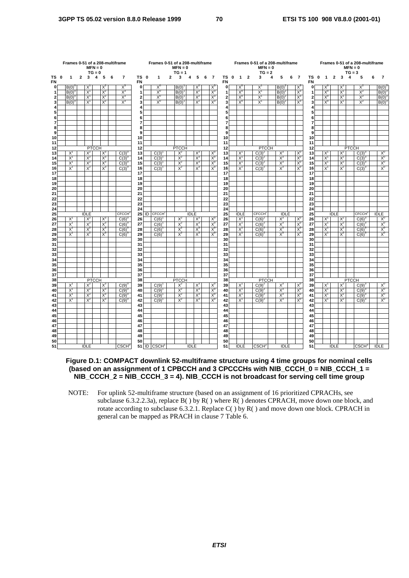|                     | Frames 0-51 of a 208-multiframe |                |             | $MFN = 0$<br>$TG = 0$ |       |   |                    |                   |    | Frames 0-51 of a 208-multiframe |              | $MFN = 0$<br>$TG = 1$ |             |       |   |                |                     |      |                |                         | Frames 0-51 of a 208-multiframe<br>$MFN = 0$<br>$TG = 2$ |   |             |   |                |                     |                |                |       | $MFN = 0$<br>$TG = 3$ | Frames 0-51 of a 208-multiframe |   |                |
|---------------------|---------------------------------|----------------|-------------|-----------------------|-------|---|--------------------|-------------------|----|---------------------------------|--------------|-----------------------|-------------|-------|---|----------------|---------------------|------|----------------|-------------------------|----------------------------------------------------------|---|-------------|---|----------------|---------------------|----------------|----------------|-------|-----------------------|---------------------------------|---|----------------|
| TS 0<br><b>FN</b>   | 1                               | $\overline{2}$ | 3           | 4                     | 5     | 6 | $\overline{7}$     | TS 0<br><b>FN</b> |    | 1                               | $\mathbf{2}$ | 3                     | 4           | 5     | 6 | $\overline{7}$ | <b>FN</b>           | TS 0 | $\overline{1}$ | $\overline{\mathbf{2}}$ | 3                                                        | 4 | 5           | 6 | $\overline{7}$ | TS 0<br>FN          | $\overline{1}$ | $\overline{2}$ | 3     | 4                     | 5                               | 6 | $\overline{7}$ |
| 0                   | B(0)                            |                | X           |                       | $X^2$ |   | $X^3$              | $\bf{0}$          |    | $X^0$                           |              | B(0)                  |             | $X^2$ |   | X              | $\mathbf{0}$        |      | $X_0$          |                         | $X^1$                                                    |   | $B(0)^2$    |   | $X^3$          | $\mathbf 0$         | $X^0$          |                | X     |                       | $X^2$                           |   | B(0)           |
| 1                   | B(0)                            |                | $X^1$       |                       | $X^2$ |   | $X^3$              | $\mathbf{1}$      |    | $X_0$                           |              | B(0)                  |             | $X^2$ |   | $X^3$          | $\mathbf{1}$        |      | $X_0$          |                         | $X^1$                                                    |   | B(0)        |   | $X^3$          | $\mathbf{1}$        | $X_0$          |                | $X^1$ |                       | $X^2$                           |   | B(0)           |
| 2                   | B(0)                            |                | $X^1$       |                       | $X^2$ |   | $X^3$              | $\mathbf{2}$      |    | $X_0$                           |              | B(0)                  |             | $X^2$ |   | $X_3$          | $\mathbf{2}$        |      | $X_0$          |                         | $X^1$                                                    |   | B(0)        |   | $X_3$          | $\mathbf{2}$        | $X^0$          |                | $X^1$ |                       | $X^2$                           |   | B(0)           |
| 3                   | $B(0)^{0}$                      |                | $X^1$       |                       | $X^2$ |   | $X^3$              | 3                 |    | $X_0$                           |              | B(0)                  |             | $X^2$ |   | $X_3$          | 3                   |      | $X_0$          |                         | $X^1$                                                    |   | $B(0)^2$    |   | $X_3$          | 3                   | $X_0$          |                | $X^1$ |                       | $X^2$                           |   | $B(0)^3$       |
| 4                   |                                 |                |             |                       |       |   |                    | 4                 |    |                                 |              |                       |             |       |   |                | 4                   |      |                |                         |                                                          |   |             |   |                | 4                   |                |                |       |                       |                                 |   |                |
| 5                   |                                 |                |             |                       |       |   |                    | 5                 |    |                                 |              |                       |             |       |   |                | 5                   |      |                |                         |                                                          |   |             |   |                | 5                   |                |                |       |                       |                                 |   |                |
| 6                   |                                 |                |             |                       |       |   |                    | 6                 |    |                                 |              |                       |             |       |   |                | 6                   |      |                |                         |                                                          |   |             |   |                | 6                   |                |                |       |                       |                                 |   |                |
| $\overline{7}$<br>8 |                                 |                |             |                       |       |   |                    | 7<br>8            |    |                                 |              |                       |             |       |   |                | $\overline{7}$<br>8 |      |                |                         |                                                          |   |             |   |                | $\overline{7}$<br>8 |                |                |       |                       |                                 |   |                |
| 9                   |                                 |                |             |                       |       |   |                    | 9                 |    |                                 |              |                       |             |       |   |                | 9                   |      |                |                         |                                                          |   |             |   |                | 9                   |                |                |       |                       |                                 |   |                |
| 10                  |                                 |                |             |                       |       |   |                    | 10                |    |                                 |              |                       |             |       |   |                | 10                  |      |                |                         |                                                          |   |             |   |                | 10                  |                |                |       |                       |                                 |   |                |
| 11                  |                                 |                |             |                       |       |   |                    | 11                |    |                                 |              |                       |             |       |   |                | 11                  |      |                |                         |                                                          |   |             |   |                | 11                  |                |                |       |                       |                                 |   |                |
| 12                  |                                 |                |             | <b>PTCCH</b>          |       |   |                    | 12                |    |                                 |              | <b>PTCCH</b>          |             |       |   |                | 12                  |      |                |                         | <b>PTCCH</b>                                             |   |             |   |                | 12                  |                |                |       | <b>PTCCH</b>          |                                 |   |                |
| 13                  | $X^{\prime}$                    |                | X           |                       | $X^3$ |   | C(3)               | 13                |    | C(3)                            |              | $X^2$                 |             | $X^3$ |   | X,             | 13                  |      | $X^1$          |                         | $C(3)^2$                                                 |   | $X^3$       |   | $X^c$          | 13                  | $X^1$          |                | $X^2$ |                       | $C(3)^{3}$                      |   | $X^u$          |
| 14                  | $X^1$                           |                | $X^2$       |                       | $X_3$ |   | C(3)               | 14                |    | C(3)                            |              | $X^2$                 |             | $X^3$ |   | $X_0$          | 14                  |      | $X^1$          |                         | $C(3)^{2}$                                               |   | $X_3$       |   | $X_0$          | 14                  | $X^1$          |                | $X^2$ |                       | C(3)                            |   | $X_0$          |
| 15                  | $X^1$                           |                | $X^2$       |                       | $X_3$ |   | C(3)               | 15                |    | C(3)                            |              | $X^2$                 |             | $X^3$ |   | $X_0$          | 15                  |      | $X^1$          |                         | $C(3)^{2}$                                               |   | $X^3$       |   | $X_0$          | 15                  | $X^1$          |                | $X^2$ |                       | C(3)                            |   | X <sup>0</sup> |
| 16                  | $X^1$                           |                | $X^2$       |                       | $X^3$ |   | $C(3)^{6}$         | 16                |    | C(3)                            |              | $X^2$                 |             | $X^3$ |   | $X^0$          | 16                  |      | $X^1$          |                         | $C(3)^2$                                                 |   | $X^3$       |   | $X^0$          | 16                  | $X^1$          |                | $X^2$ |                       | $C(3)^3$                        |   | $X^0$          |
| 17                  |                                 |                |             |                       |       |   |                    | 17                |    |                                 |              |                       |             |       |   |                | 17                  |      |                |                         |                                                          |   |             |   |                | 17                  |                |                |       |                       |                                 |   |                |
| 18                  |                                 |                |             |                       |       |   |                    | 18                |    |                                 |              |                       |             |       |   |                | 18                  |      |                |                         |                                                          |   |             |   |                | 18                  |                |                |       |                       |                                 |   |                |
| 19                  |                                 |                |             |                       |       |   |                    | 19                |    |                                 |              |                       |             |       |   |                | 19                  |      |                |                         |                                                          |   |             |   |                | 19                  |                |                |       |                       |                                 |   |                |
| 20                  |                                 |                |             |                       |       |   |                    | 20                |    |                                 |              |                       |             |       |   |                | 20                  |      |                |                         |                                                          |   |             |   |                | 20                  |                |                |       |                       |                                 |   |                |
| 21                  |                                 |                |             |                       |       |   |                    | 21<br>22          |    |                                 |              |                       |             |       |   |                | 21<br>22            |      |                |                         |                                                          |   |             |   |                | 21<br>22            |                |                |       |                       |                                 |   |                |
| 22<br>23            |                                 |                |             |                       |       |   |                    | 23                |    |                                 |              |                       |             |       |   |                | 23                  |      |                |                         |                                                          |   |             |   |                | 23                  |                |                |       |                       |                                 |   |                |
| 24                  |                                 |                |             |                       |       |   |                    | 24                |    |                                 |              |                       |             |       |   |                | 24                  |      |                |                         |                                                          |   |             |   |                | 24                  |                |                |       |                       |                                 |   |                |
| 25                  |                                 |                | <b>IDLE</b> |                       |       |   | CFCCH <sup>®</sup> | 25                | ID | <b>CFCCH</b>                    |              |                       | <b>IDLE</b> |       |   |                | 25                  |      | <b>IDLE</b>    |                         | <b>CFCCH</b> <sup>2</sup>                                |   | <b>IDLE</b> |   |                | 25                  |                | <b>IDLE</b>    |       |                       | CFCCH <sup>3</sup>              |   | <b>IDLE</b>    |
| 26                  | $X^1$                           |                | $X^2$       |                       | $X^3$ |   | C(6)               | 26                |    | C(6)                            |              | $X^2$                 |             | $X^3$ |   | $X^0$          | 26                  |      | $X^1$          |                         | $C(6)^{2}$                                               |   | $X^3$       |   | $X^0$          | 26                  | $X^1$          |                | $X^2$ |                       | $C(6)^3$                        |   | $X^0$          |
| 27                  | $X^1$                           |                | $X^2$       |                       | $X^3$ |   | C(6)               | 27                |    | C(6)                            |              | $X^2$                 |             | $X^3$ |   | $X^{\iota}$    | 27                  |      | $X^1$          |                         | $C(6)^2$                                                 |   | $X^3$       |   | $X^0$          | 27                  | $X^1$          |                | $X^2$ |                       | C(6)                            |   | $X^0$          |
| 28                  | $X^1$                           |                | $X^2$       |                       | $X^3$ |   | C(6)               | 28                |    | C(6)                            |              | $X^2$                 |             | $X^3$ |   | $X_0$          | 28                  |      | $X^1$          |                         | C(6)                                                     |   | $X^3$       |   | $X_0$          | 28                  | $X^1$          |                | $X^2$ |                       | C(6)                            |   | $X^0$          |
| 29                  | $X^1$                           |                | $X^2$       |                       | $X^3$ |   | C(6)               | 29                |    | $C(6)$ <sup>1</sup>             |              | $X^2$                 |             | $X^3$ |   | $X^0$          | 29                  |      | $X^1$          |                         | $C(6)^2$                                                 |   | $X^3$       |   | $X_0$          | 29                  | $X^1$          |                | $X^2$ |                       | C(6)                            |   | $X_0$          |
| 30                  |                                 |                |             |                       |       |   |                    | 30                |    |                                 |              |                       |             |       |   |                | 30                  |      |                |                         |                                                          |   |             |   |                | 30                  |                |                |       |                       |                                 |   |                |
| 31                  |                                 |                |             |                       |       |   |                    | 31                |    |                                 |              |                       |             |       |   |                | 31                  |      |                |                         |                                                          |   |             |   |                | 31                  |                |                |       |                       |                                 |   |                |
| 32                  |                                 |                |             |                       |       |   |                    | 32                |    |                                 |              |                       |             |       |   |                | 32                  |      |                |                         |                                                          |   |             |   |                | 32                  |                |                |       |                       |                                 |   |                |
| 33                  |                                 |                |             |                       |       |   |                    | 33                |    |                                 |              |                       |             |       |   |                | 33                  |      |                |                         |                                                          |   |             |   |                | 33                  |                |                |       |                       |                                 |   |                |
| 34<br>35            |                                 |                |             |                       |       |   |                    | 34<br>35          |    |                                 |              |                       |             |       |   |                | 34<br>35            |      |                |                         |                                                          |   |             |   |                | 34<br>35            |                |                |       |                       |                                 |   |                |
| 36                  |                                 |                |             |                       |       |   |                    | 36                |    |                                 |              |                       |             |       |   |                | 36                  |      |                |                         |                                                          |   |             |   |                | 36                  |                |                |       |                       |                                 |   |                |
| 37                  |                                 |                |             |                       |       |   |                    | 37                |    |                                 |              |                       |             |       |   |                | 37                  |      |                |                         |                                                          |   |             |   |                | 37                  |                |                |       |                       |                                 |   |                |
| 38                  |                                 |                |             | <b>PTCCH</b>          |       |   |                    | 38                |    |                                 |              | <b>PTCCH</b>          |             |       |   |                | 38                  |      |                |                         | <b>PTCCH</b>                                             |   |             |   |                | 38                  |                |                |       | <b>PTCCH</b>          |                                 |   |                |
| 39                  | $X^1$                           |                | $X^2$       |                       | $X^3$ |   | C(9)               | 39                |    | C(9)                            |              | $X^2$                 |             | $X^3$ |   | X,             | 39                  |      | $X^1$          |                         | $C(9)^2$                                                 |   | $X^3$       |   | $X^c$          | 39                  | $X^1$          |                | $X^2$ |                       | C(9)                            |   | X              |
| 40                  | $X^1$                           |                | $X^2$       |                       | $X_3$ |   | C(9)               | 40                |    | C(9)                            |              | $X^2$                 |             | $X^3$ |   | $X^U$          | 40                  |      | $X^1$          |                         | $C(9)^2$                                                 |   | $X_3$       |   | $X^0$          | 40                  | $\mathsf{X}^1$ |                | $X^2$ |                       | C(9)                            |   | $X_{c}$        |
| 41                  | $X^1$                           |                | $X^2$       |                       | $X_3$ |   | C(9)               | 41                |    | C(9)                            |              | $X^2$                 |             | $X^3$ |   | $X_0$          | 41                  |      | $X^1$          |                         | $C(9)^2$                                                 |   | $X^3$       |   | $X_0$          | 41                  | $X^1$          |                | $X^2$ |                       | C(9)                            |   | $X_0$          |
| 42                  | $X^1$                           |                | $X^2$       |                       | $X^3$ |   | $C(9)^{6}$         | 42                |    | C(9)                            |              | $X^2$                 |             | $X^3$ |   | $X^0$          | 42                  |      | $X^1$          |                         | $C(9)^{2}$                                               |   | $X^3$       |   | $X^0$          | 42                  | $X^1$          |                | $X^2$ |                       | $C(9)^3$                        |   | $X^0$          |
| 43                  |                                 |                |             |                       |       |   |                    | 43                |    |                                 |              |                       |             |       |   |                | 43                  |      |                |                         |                                                          |   |             |   |                | 43                  |                |                |       |                       |                                 |   |                |
| 44                  |                                 |                |             |                       |       |   |                    | 44                |    |                                 |              |                       |             |       |   |                | 44                  |      |                |                         |                                                          |   |             |   |                | 44                  |                |                |       |                       |                                 |   |                |
| 45                  |                                 |                |             |                       |       |   |                    | 45                |    |                                 |              |                       |             |       |   |                | 45                  |      |                |                         |                                                          |   |             |   |                | 45                  |                |                |       |                       |                                 |   |                |
| 46                  |                                 |                |             |                       |       |   |                    | 46                |    |                                 |              |                       |             |       |   |                | 46                  |      |                |                         |                                                          |   |             |   |                | 46                  |                |                |       |                       |                                 |   |                |
| 47                  |                                 |                |             |                       |       |   |                    | 47                |    |                                 |              |                       |             |       |   |                | 47                  |      |                |                         |                                                          |   |             |   |                | 47                  |                |                |       |                       |                                 |   |                |
| 48<br>49            |                                 |                |             |                       |       |   |                    | 48<br>49          |    |                                 |              |                       |             |       |   |                | 48<br>49            |      |                |                         |                                                          |   |             |   |                | 48<br>49            |                |                |       |                       |                                 |   |                |
| 50                  |                                 |                |             |                       |       |   |                    | 50                |    |                                 |              |                       |             |       |   |                | 50                  |      |                |                         |                                                          |   |             |   |                | 50                  |                |                |       |                       |                                 |   |                |
| 51                  |                                 |                | <b>IDLE</b> |                       |       |   | CSCH <sup>0</sup>  |                   |    | 51 ID CSCH                      |              |                       | <b>IDLE</b> |       |   |                | 51                  |      | <b>IDLE</b>    |                         | CSCH <sup>2</sup>                                        |   | <b>IDLE</b> |   |                | 51                  |                | IDLE           |       |                       | CSCH <sup>3</sup>               |   | <b>IDLE</b>    |

#### **Figure D.1: COMPACT downlink 52-multiframe structure using 4 time groups for nominal cells (based on an assignment of 1 CPBCCH and 3 CPCCCHs with NIB\_CCCH\_0 = NIB\_CCCH\_1 = NIB\_CCCH\_2 = NIB\_CCCH\_3 = 4). NIB\_CCCH is not broadcast for serving cell time group**

NOTE: For uplink 52-multiframe structure (based on an assignment of 16 prioritized CPRACHs, see subclause 6.3.2.2.3a), replace  $B()$  by  $R()$  where  $R()$  denotes CPRACH, move down one block, and rotate according to subclause 6.3.2.1. Replace C( ) by R( ) and move down one block. CPRACH in general can be mapped as PRACH in clause 7 Table 6.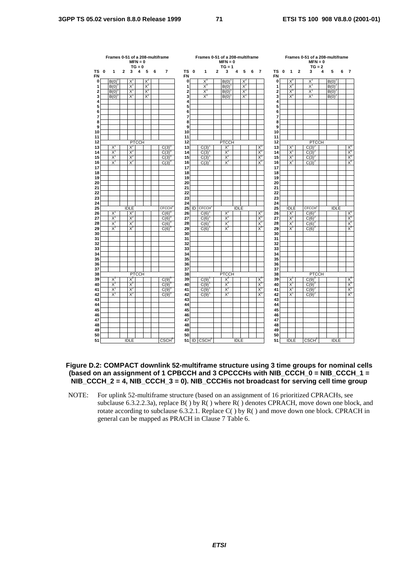|                | Frames 0-51 of a 208-multiframe  |              |                | $MFN = 0$<br>$TG = 0$ |       |   |                   |                      |                   |                | Frames 0-51 of a 208-multiframe<br>$MFN = 0$<br>$TG = 1$ |             |       |   |                |                 |          |                |              | Frames 0-51 of a 208-multiframe<br>$MFN = 0$<br>$TG = 2$ |   |             |   |                          |
|----------------|----------------------------------|--------------|----------------|-----------------------|-------|---|-------------------|----------------------|-------------------|----------------|----------------------------------------------------------|-------------|-------|---|----------------|-----------------|----------|----------------|--------------|----------------------------------------------------------|---|-------------|---|--------------------------|
| ΤS<br>0<br>FN  | 1                                | $\mathbf{2}$ | 3              | 4                     | 5     | 6 | 7                 | ΤS<br>0<br><b>FN</b> | 1                 | $\overline{2}$ | 3                                                        | 4           | 5     | 6 | $\overline{7}$ | ΤS<br><b>FN</b> | $\bf{0}$ | $\mathbf{1}$   | $\mathbf{2}$ | 3                                                        | 4 | 5           | 6 | 7                        |
| $\mathbf 0$    | B(0)                             |              | X              |                       | $X^2$ |   |                   | 0                    | $X^0$             |                | B(0)                                                     |             | $X^2$ |   |                | 0               |          | $X_0$          |              | $X^1$                                                    |   | B(0)        |   |                          |
| 1              | B(0)                             |              | $X^1$          |                       | $X^2$ |   |                   | 1                    | $X^0$             |                | B(0)                                                     |             | $X^2$ |   |                | 1               |          | X <sup>0</sup> |              | $X^1$                                                    |   | $B(0)^2$    |   |                          |
| $\overline{a}$ | $B(0)^{6}$                       |              | $X^1$          |                       | $X^2$ |   |                   | $\overline{2}$       | $X_0$             |                | B(0)                                                     |             | $X^2$ |   |                | $\overline{a}$  |          | $X^0$          |              | $X^1$                                                    |   | $B(0)^2$    |   |                          |
| 3              | B(0)                             |              | X,             |                       | $X^2$ |   |                   | 3                    | $X^0$             |                | B(0)                                                     |             | $X^2$ |   |                | 3               |          | $X^0$          |              | $X^1$                                                    |   | $B(0)^2$    |   |                          |
| 4<br>5         |                                  |              |                |                       |       |   |                   | 4<br>5               |                   |                |                                                          |             |       |   |                | 4<br>5          |          |                |              |                                                          |   |             |   |                          |
| 6              |                                  |              |                |                       |       |   |                   | 6                    |                   |                |                                                          |             |       |   |                | 6               |          |                |              |                                                          |   |             |   |                          |
| 7              |                                  |              |                |                       |       |   |                   | $\overline{7}$       |                   |                |                                                          |             |       |   |                | 7               |          |                |              |                                                          |   |             |   |                          |
| 8              |                                  |              |                |                       |       |   |                   | 8                    |                   |                |                                                          |             |       |   |                | 8               |          |                |              |                                                          |   |             |   |                          |
| 9              |                                  |              |                |                       |       |   |                   | 9                    |                   |                |                                                          |             |       |   |                | 9               |          |                |              |                                                          |   |             |   |                          |
| 10             |                                  |              |                |                       |       |   |                   | 10                   |                   |                |                                                          |             |       |   |                | 10              |          |                |              |                                                          |   |             |   |                          |
| 11             |                                  |              |                |                       |       |   |                   | 11                   |                   |                |                                                          |             |       |   |                | 11              |          |                |              |                                                          |   |             |   |                          |
| 12             |                                  |              |                | <b>PTCCH</b>          |       |   |                   | 12                   |                   |                | <b>PTCCH</b>                                             |             |       |   |                | 12              |          |                |              | <b>PTCCH</b>                                             |   |             |   |                          |
| 13<br>14       | $X^1$<br>$\overline{\mathsf{x}}$ |              | $X^2$<br>$X^2$ |                       |       |   | C(3)<br>C(3)      | 13<br>14             | C(3)              |                | $X^2$<br>$X^2$                                           |             |       |   | $X^0$<br>$X_0$ | 13<br>14        |          | $X^1$<br>X     |              | $C(3)^{2}$<br>C(3)                                       |   |             |   | $\times \frac{X^0}{X^0}$ |
| 15             | $X^1$                            |              | $X^2$          |                       |       |   | C(3)              | 15                   | C(3)<br>C(3)      |                | $X^2$                                                    |             |       |   | $X^0$          | 15              |          | X              |              | C(3)                                                     |   |             |   |                          |
| 16             | $X^1$                            |              | $X^2$          |                       |       |   | $C(3)^{0}$        | 16                   | C(3)              |                | $X^2$                                                    |             |       |   | X <sup>0</sup> | 16              |          | $X^1$          |              | $C(3)^{2}$                                               |   |             |   |                          |
| 17             |                                  |              |                |                       |       |   |                   | 17                   |                   |                |                                                          |             |       |   |                | 17              |          |                |              |                                                          |   |             |   |                          |
| 18             |                                  |              |                |                       |       |   |                   | 18                   |                   |                |                                                          |             |       |   |                | 18              |          |                |              |                                                          |   |             |   |                          |
| 19             |                                  |              |                |                       |       |   |                   | 19                   |                   |                |                                                          |             |       |   |                | 19              |          |                |              |                                                          |   |             |   |                          |
| 20             |                                  |              |                |                       |       |   |                   | 20                   |                   |                |                                                          |             |       |   |                | 20              |          |                |              |                                                          |   |             |   |                          |
| 21             |                                  |              |                |                       |       |   |                   | 21                   |                   |                |                                                          |             |       |   |                | 21              |          |                |              |                                                          |   |             |   |                          |
| 22             |                                  |              |                |                       |       |   |                   | 22                   |                   |                |                                                          |             |       |   |                | 22              |          |                |              |                                                          |   |             |   |                          |
| 23<br>24       |                                  |              |                |                       |       |   |                   | 23<br>24             |                   |                |                                                          |             |       |   |                | 23<br>24        |          |                |              |                                                          |   |             |   |                          |
| 25             |                                  |              | <b>IDLE</b>    |                       |       |   | <b>CFCCH</b>      | 25<br>ID             | <b>CFCCH</b>      |                |                                                          | <b>IDLE</b> |       |   |                | 25              |          | <b>IDLE</b>    |              | <b>CFCCH</b> <sup></sup>                                 |   | <b>IDLE</b> |   |                          |
| 26             | X                                |              | $X^2$          |                       |       |   | C(6)              | 26                   | C(6)              |                | $X^2$                                                    |             |       |   | $X_0$          | 26              |          | $X^1$          |              | C(6)                                                     |   |             |   |                          |
| 27             | $X^1$                            |              | X              |                       |       |   | C(6)              | 27                   | C(6)              |                | $X^2$                                                    |             |       |   | $X^0$          | 27              |          | $X^1$          |              | C(6)                                                     |   |             |   | $\times^6$               |
| 28             | $X^1$                            |              | $X^2$          |                       |       |   | C(6)              | 28                   | C(6)              |                | $X^2$                                                    |             |       |   | X <sup>0</sup> | 28              |          | $X^1$          |              | C(6)                                                     |   |             |   |                          |
| 29             | X,                               |              | $X^2$          |                       |       |   | C(6)              | 29                   | C(6)              |                | $X^2$                                                    |             |       |   | $X_0$          | 29              |          | X              |              | C(6)                                                     |   |             |   |                          |
| 30             |                                  |              |                |                       |       |   |                   | 30                   |                   |                |                                                          |             |       |   |                | 30              |          |                |              |                                                          |   |             |   |                          |
| 31             |                                  |              |                |                       |       |   |                   | 31                   |                   |                |                                                          |             |       |   |                | 31              |          |                |              |                                                          |   |             |   |                          |
| 32<br>33       |                                  |              |                |                       |       |   |                   | 32<br>33             |                   |                |                                                          |             |       |   |                | 32<br>33        |          |                |              |                                                          |   |             |   |                          |
| 34             |                                  |              |                |                       |       |   |                   | 34                   |                   |                |                                                          |             |       |   |                | 34              |          |                |              |                                                          |   |             |   |                          |
| 35             |                                  |              |                |                       |       |   |                   | 35                   |                   |                |                                                          |             |       |   |                | 35              |          |                |              |                                                          |   |             |   |                          |
| 36             |                                  |              |                |                       |       |   |                   | 36                   |                   |                |                                                          |             |       |   |                | 36              |          |                |              |                                                          |   |             |   |                          |
| 37             |                                  |              |                |                       |       |   |                   | 37                   |                   |                |                                                          |             |       |   |                | 37              |          |                |              |                                                          |   |             |   |                          |
| 38             |                                  |              |                | <b>PTCCH</b>          |       |   |                   | 38                   |                   |                | <b>PTCCH</b>                                             |             |       |   |                | 38              |          |                |              | <b>PTCCH</b>                                             |   |             |   |                          |
| 39             | $X^1$                            |              | $X^2$          |                       |       |   | C(9)              | 39                   | C(9)              |                | $X^2$                                                    |             |       |   | X <sup>0</sup> | 39              |          | $X^1$          |              | $C(9)^2$                                                 |   |             |   | $\frac{X^0}{X^0}$        |
| 40             | X                                |              | $X^2$          |                       |       |   | C(9)              | 40                   | C(9)              |                | $X^2$                                                    |             |       |   | $X_0$          | 40              |          | $\overline{X}$ |              | C(9)                                                     |   |             |   |                          |
| 41<br>42       | $X^1$<br>$X^1$                   |              | $X^2$<br>$X^2$ |                       |       |   | C(9)<br>C(9)      | 41<br>42             | C(9)<br>C(9)      |                | $X^2$<br>$X^2$                                           |             |       |   | $X^c$<br>$X^0$ | 41<br>42        |          | X<br>$X^1$     |              | C(9)<br>C(9)                                             |   |             |   | $X^0$                    |
| 43             |                                  |              |                |                       |       |   |                   | 43                   |                   |                |                                                          |             |       |   |                | 43              |          |                |              |                                                          |   |             |   |                          |
| 44             |                                  |              |                |                       |       |   |                   | 44                   |                   |                |                                                          |             |       |   |                | 44              |          |                |              |                                                          |   |             |   |                          |
| 45             |                                  |              |                |                       |       |   |                   | 45                   |                   |                |                                                          |             |       |   |                | 45              |          |                |              |                                                          |   |             |   |                          |
| 46             |                                  |              |                |                       |       |   |                   | 46                   |                   |                |                                                          |             |       |   |                | 46              |          |                |              |                                                          |   |             |   |                          |
| 47             |                                  |              |                |                       |       |   |                   | 47                   |                   |                |                                                          |             |       |   |                | 47              |          |                |              |                                                          |   |             |   |                          |
| 48             |                                  |              |                |                       |       |   |                   | 48                   |                   |                |                                                          |             |       |   |                | 48              |          |                |              |                                                          |   |             |   |                          |
| 49             |                                  |              |                |                       |       |   |                   | 49                   |                   |                |                                                          |             |       |   |                | 49              |          |                |              |                                                          |   |             |   |                          |
| 50<br>51       |                                  |              |                |                       |       |   | CSCH <sup>0</sup> | 50                   |                   |                |                                                          |             |       |   |                | 50<br>51        |          |                |              |                                                          |   |             |   |                          |
|                |                                  |              | <b>IDLE</b>    |                       |       |   |                   | 51 ID                | CSCH <sup>1</sup> |                |                                                          | <b>IDLE</b> |       |   |                |                 |          | <b>IDLE</b>    |              | CSCH <sup>2</sup>                                        |   | <b>IDLE</b> |   |                          |

### **Figure D.2: COMPACT downlink 52-multiframe structure using 3 time groups for nominal cells (based on an assignment of 1 CPBCCH and 3 CPCCCHs with NIB\_CCCH\_0 = NIB\_CCCH\_1 = NIB\_CCCH\_2 = 4, NIB\_CCCH\_3 = 0). NIB\_CCCHis not broadcast for serving cell time group**

NOTE: For uplink 52-multiframe structure (based on an assignment of 16 prioritized CPRACHs, see subclause 6.3.2.2.3a), replace  $B()$  by  $R()$  where  $R()$  denotes CPRACH, move down one block, and rotate according to subclause 6.3.2.1. Replace C( ) by R( ) and move down one block. CPRACH in general can be mapped as PRACH in Clause 7 Table 6.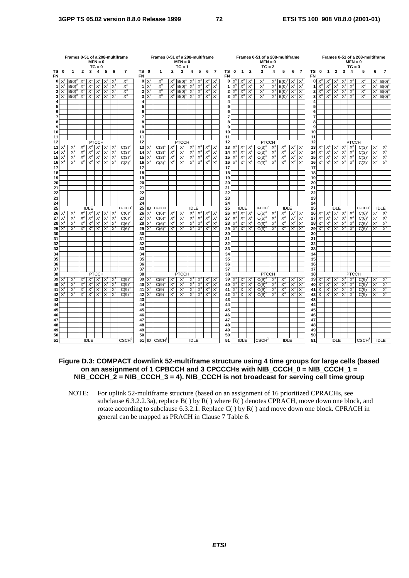|           | Frames 0-51 of a 208-multiframe<br>$MFN = 0$<br>$TG = 0$ |            |                |                |                       |                |                |                   |              |                             | Frames 0-51 of a 208-multiframe |                | $MFN = 0$<br>$TG = 1$ |                |                |                      |                                    |              |                           |                |                | Frames 0-51 of a 208-multiframe<br>$MFN = 0$<br>$TG = 2$ |                         |                |                |                         |              |                         |                                    |                 |                   | $MFN = 0$<br>$TG = 3$ | Frames 0-51 of a 208-multiframe |                |                |
|-----------|----------------------------------------------------------|------------|----------------|----------------|-----------------------|----------------|----------------|-------------------|--------------|-----------------------------|---------------------------------|----------------|-----------------------|----------------|----------------|----------------------|------------------------------------|--------------|---------------------------|----------------|----------------|----------------------------------------------------------|-------------------------|----------------|----------------|-------------------------|--------------|-------------------------|------------------------------------|-----------------|-------------------|-----------------------|---------------------------------|----------------|----------------|
| <b>FN</b> | TS 0                                                     | 1          | $\overline{2}$ | 3              | 4                     | 5              | 6              | $\overline{7}$    | <b>FN</b>    | TS 0                        | 1                               | $\mathbf{2}$   | 3                     | 4              | 5              | 6                    | $\overline{7}$                     | <b>FN</b>    | TS 0 1                    |                | $\overline{2}$ | 3                                                        | $\overline{\mathbf{4}}$ | 5              | 6              | $\overline{7}$          | <b>FN</b>    | TS 0                    | $\overline{1}$                     | $\overline{2}$  | 3                 | 4                     | 5                               |                |                |
| 0         | $X^3$                                                    | B(0)       | X              | X              | X                     | $\times$       | $X^{\circ}$    | $X^3$             |              | $0 \times^0$                | $X^0$                           | $X^0$          | B(0)                  | $X^2$          | $X^2$          | $X^3$                | $X^3$                              | $\mathbf{0}$ | $\mathsf{X}^{\mathsf{u}}$ | $X^0$          | ΙX             | X                                                        | $X^{\prime}$            | $B(0)^2$       | $X^3$          | $X^3$                   |              | $0 \times^0$ $\times^0$ |                                    | ΙX <sup>'</sup> | X'                | X.                    | $X^2$                           | $X^2$          | B(0)           |
| 1         |                                                          | B(0)       | $X^1$          | X              | $X^2$                 | $X^2$          | $X^3$          | $X_3$             | 1            | $X^0$                       | $X_0$                           | $X^0$          | B(0)                  | $X^2$          | $X^2$          | $X^3$                |                                    | 1            |                           | $X^0$          | X              | $X^1$                                                    | $X^1$                   | $B(0)^2$       | $X^3$          | $X^3$                   | 1            |                         |                                    | $X^1$           | $X^1$             | $X^2$                 | $X^2$                           | $X^2$          | B(0)           |
| 2         |                                                          | B(0)       | $X^1$          | X              | $X^2$                 | $X^2$          | $X^3$          | $X_3$             | $\mathbf{2}$ | $X^0$                       | $X_0$                           | $X^0$          | $B(0)$ <sup>1</sup>   | $X^2$          | $X^2$          | $X^3$                | $X^3$                              | 2            |                           | $X^0$          | $X^1$          | $X^1$                                                    | $X^1$                   | $B(0)^2$       | $X^3$          | $X^3$                   | $\mathbf{2}$ |                         | $X^0$                              | $X^1$           | $X^1$             | $X^2$                 | $X^2$                           | $X^2$          | $B(0)^3$       |
| 3<br>4    | $X^3$                                                    | B(0)       | $X^{\prime}$   | $X^{\prime}$   | $X^2$                 | X              | $X^3$          | $X^3$             | 3<br>4       |                             | $X_0$                           | $X^0$          | B(0)                  | $X^2$          | $X^2$          | $X^3$                | $X^3$                              | 3            |                           | $X_0$          | $X^1$          | X,                                                       | $X^1$                   | $B(0)^2$       | $X^3$          | $X^3$                   | 3<br>4       |                         | $X^0$                              | $X^{\prime}$    | $X^1$             | $X^2$                 | $X^2$                           | $X^2$          | $B(0)^3$       |
| 5<br>6    |                                                          |            |                |                |                       |                |                |                   | 5<br>6       |                             |                                 |                |                       |                |                |                      |                                    | 5            |                           |                |                |                                                          |                         |                |                |                         | 5<br>6       |                         |                                    |                 |                   |                       |                                 |                |                |
| 7         |                                                          |            |                |                |                       |                |                |                   | 7            |                             |                                 |                |                       |                |                |                      |                                    |              |                           |                |                |                                                          |                         |                |                |                         | 7            |                         |                                    |                 |                   |                       |                                 |                |                |
| 8<br>9    |                                                          |            |                |                |                       |                |                |                   | 8<br>9       |                             |                                 |                |                       |                |                |                      |                                    | 8<br>9       |                           |                |                |                                                          |                         |                |                |                         | 8<br>9       |                         |                                    |                 |                   |                       |                                 |                |                |
| 10<br>11  |                                                          |            |                |                |                       |                |                |                   | 10<br>11     |                             |                                 |                |                       |                |                |                      |                                    | 10<br>11     |                           |                |                |                                                          |                         |                |                |                         | 10<br>11     |                         |                                    |                 |                   |                       |                                 |                |                |
| 12        |                                                          |            |                |                | PTCCH                 |                |                |                   | 12           |                             |                                 |                | <b>PTCCH</b>          |                |                |                      |                                    | 12           |                           |                |                | <b>PTCCH</b>                                             |                         |                |                |                         | 12           |                         |                                    |                 |                   | <b>PTCCH</b>          |                                 |                |                |
| 13        | X                                                        | $X^1$      | $X^2$          | $X^2$          | $X^3$                 | $X^3$          | $X^3$          | C(3)              | 13           |                             | C(3)                            | $X^2$          | $X^2$                 |                | $X^3$ $X^3$    | $X^0$                |                                    | 13           |                           | $X^1$ $X$      |                | $C(3)^{2}$                                               | $X^3$                   | $X^3$          | $X_0$          | $X^{\circ}$             | 13           |                         | $\mathsf{I} \mathsf{X}^1$          | $X^2$           | $X^2$             | $X^2$                 | $C(3)^3$                        | $X^0$          | $\times^0$     |
| 14        | X                                                        | X          | $X^2$          | $X^2$          | $X^3$                 | $X^3$          | $X^{\circ}$    | C(3)              | 14           |                             | C(3)                            | $X^2$          | $X^2$                 | $X^3$          | $X^3$          | $X^0$                | $X^0$                              | 14           |                           | $X^1$          | X              | C(3)                                                     | $X^3$                   | $X^3$          | $X^0$          | $X^0$                   | 14           |                         | $X^1$                              | $X^2$           | $X^2$             | X                     | C(3)                            | $X^0$          | $X^0$          |
| 15<br>16  | X<br>X                                                   | $X^1$<br>X | $X^2$<br>$X^2$ | $X^2$<br>$X^2$ | $X^3$<br>$X^3$        | $X^3$<br>$X^3$ | $X^3$<br>$X^3$ | C(3)<br>C(3)      | 15<br>16     | $X^{\mathfrak{c}}$<br>$X^C$ | C(3)<br>C(3)                    | $X^2$<br>$X^2$ | $X^2$<br>$X^2$        | $X^3$<br>$X^3$ | $X^3$<br>$X^3$ | $X^0$<br>$X^0$       | $\mathsf{X}^{\mathsf{u}}$<br>$X^0$ | 15<br>16     | $X^1$<br>$X^1$            | $X^1$<br>$X^1$ | X<br>X         | C(3)<br>$C(3)^{2}$                                       | $X^3$<br>$X^3$          | $X^3$<br>$X^3$ | $X^0$<br>$X_0$ | $X^0$<br>X <sup>0</sup> | 15<br>16     | $X^1$<br>$X^1$          | $\mathsf{I} \mathsf{X}^1$<br>$X^1$ | $X^2$<br>$X^2$  | $X^2$<br>$X^2$    | $X^2$<br>$X^2$        | C(3)<br>C(3)                    | $X^0$<br>$X_0$ | $X^0$<br>$X^0$ |
| 17        |                                                          |            |                |                |                       |                |                |                   | 17           |                             |                                 |                |                       |                |                |                      |                                    | 17           |                           |                |                |                                                          |                         |                |                |                         | 17           |                         |                                    |                 |                   |                       |                                 |                |                |
| 18<br>19  |                                                          |            |                |                |                       |                |                |                   | 18<br>19     |                             |                                 |                |                       |                |                |                      |                                    | 18<br>19     |                           |                |                |                                                          |                         |                |                |                         | 18<br>19     |                         |                                    |                 |                   |                       |                                 |                |                |
| 20        |                                                          |            |                |                |                       |                |                |                   | 20           |                             |                                 |                |                       |                |                |                      |                                    | 20           |                           |                |                |                                                          |                         |                |                |                         | 20           |                         |                                    |                 |                   |                       |                                 |                |                |
| 21<br>22  |                                                          |            |                |                |                       |                |                |                   | 21<br>22     |                             |                                 |                |                       |                |                |                      |                                    | 21<br>22     |                           |                |                |                                                          |                         |                |                |                         | 21<br>22     |                         |                                    |                 |                   |                       |                                 |                |                |
| 23        |                                                          |            |                |                |                       |                |                |                   | 23           |                             |                                 |                |                       |                |                |                      |                                    | 23           |                           |                |                |                                                          |                         |                |                |                         | 23           |                         |                                    |                 |                   |                       |                                 |                |                |
| 24        |                                                          |            |                |                |                       |                |                |                   | 24           |                             |                                 |                |                       |                |                |                      |                                    | 24           |                           |                |                |                                                          |                         |                |                |                         | 24           |                         |                                    |                 |                   |                       |                                 |                |                |
| 25        |                                                          |            |                | <b>IDLE</b>    |                       |                |                | <b>CFCCH</b>      | 25           | ID                          | <b>CFCCH</b>                    |                |                       | <b>IDLE</b>    |                |                      |                                    | 25           |                           | <b>IDLE</b>    |                | <b>CFCCH</b>                                             |                         | <b>IDLE</b>    |                |                         | 25           |                         |                                    | <b>IDLE</b>     |                   |                       | <b>CFCCH</b>                    |                | <b>IDLE</b>    |
| 26        | $X^{\prime}$                                             | $X^1$      |                | $X^2$ $X^2$    |                       | $X^3$ $X^3$    | $X^3$          | $C(6)^{6}$        | 26           | $X^0$                       | C(6)                            | $X^2$          | $X^2$                 |                | $X^3$ $X^3$    |                      | $X_0$ $X_0$                        | 26           |                           | $X^1$ X        |                | $C(6)^2$                                                 | $X^3$                   | $X^3$          | $X^0$          | $X^0$                   | 26           | X'                      | $ X^{\perp} $                      |                 | $X^2$ $X^2$ $X^2$ |                       | $C(6)^3$                        | $X_0$          | $X^0$          |
| 27<br>28  | $X^1$                                                    | X<br>$X^1$ | $X^2$<br>$X^2$ | $X^2$<br>$X^2$ | $X^3$<br>$X^3$        | $X^3$<br>$X^3$ | X<br>X         | C(6)<br>C(6)      | 27<br>28     | $X^C$                       | C(6)<br>C(6)                    | $X^2$<br>$X^2$ | $X^2$<br>$X^2$        | $X^3$<br>$X^3$ | $X^3$<br>$X^3$ | $X^{\circ}$<br>$X^0$ | $X^{\mathrm{u}}$<br>$X^0$          | 27<br>28     | $X^1$                     | $X^1$<br>$X^1$ | X<br>X         | C(6)<br>C(6)                                             | $X_3$<br>$X^3$          | $X^3$<br>$X^3$ | $X_0$<br>$X_0$ | $X^0$<br>$X^0$          | 27<br>28     | $X^1$                   | $X^1$                              | X<br>$X^2$      | $X^2$<br>$X^2$    | $X^2$<br>$X^2$        | C(6)<br>C(6)                    | $X^0$<br>$X^0$ | $X_0$<br>$X_0$ |
| 29        | $X^1$                                                    | $X^1$      | $X^2$          | $X^2$          | $X_3$                 | $X^3$          | $X^3$          | C(6)              | 29           | $X^0$                       | C(6)                            | $X^2$          | $X^2$                 | $X^3$          | $X_3$          | $X^0$                | $X^{\mathfrak{c}}$                 | 29           | $X^1$                     | $X^1$          | X              | C(6)                                                     | $X^3$                   | $X_3$          | $X_0$          | $X^{\circ}$             | 29           | $X^1$                   | $X^1$                              | $X^2$           | $X^2$             | $X^2$                 | C(6)                            | $X_0$          | $X^0$          |
| 30        |                                                          |            |                |                |                       |                |                |                   | 30<br>31     |                             |                                 |                |                       |                |                |                      |                                    | 30<br>31     |                           |                |                |                                                          |                         |                |                |                         | 30<br>31     |                         |                                    |                 |                   |                       |                                 |                |                |
| 31<br>32  |                                                          |            |                |                |                       |                |                |                   | 32           |                             |                                 |                |                       |                |                |                      |                                    | 32           |                           |                |                |                                                          |                         |                |                |                         | 32           |                         |                                    |                 |                   |                       |                                 |                |                |
| 33        |                                                          |            |                |                |                       |                |                |                   | 33           |                             |                                 |                |                       |                |                |                      |                                    | 33           |                           |                |                |                                                          |                         |                |                |                         | 33           |                         |                                    |                 |                   |                       |                                 |                |                |
| 34<br>35  |                                                          |            |                |                |                       |                |                |                   | 34<br>35     |                             |                                 |                |                       |                |                |                      |                                    | 34<br>35     |                           |                |                |                                                          |                         |                |                |                         | 34<br>35     |                         |                                    |                 |                   |                       |                                 |                |                |
| 36        |                                                          |            |                |                |                       |                |                |                   | 36           |                             |                                 |                |                       |                |                |                      |                                    | 36           |                           |                |                |                                                          |                         |                |                |                         | 36           |                         |                                    |                 |                   |                       |                                 |                |                |
| 37        |                                                          |            |                |                |                       |                |                |                   | 37           |                             |                                 |                |                       |                |                |                      |                                    | 37           |                           |                |                |                                                          |                         |                |                |                         | 37           |                         |                                    |                 |                   |                       |                                 |                |                |
| 38<br>39  |                                                          | X          | $X^2$          | $X^2$          | <b>PTCCH</b><br>$X_3$ | $X^3$          | $X^3$          | C(9)              | 38<br>39     |                             | C(9)                            | $X^2$          | <b>PTCCH</b><br>$X^2$ |                | $X^3$ $X^3$    | $X^0$                | $X^0$                              | 38<br>39     |                           | $X^1$          | X              | <b>PTCCH</b><br>$C(9)^{2}$                               | $X_3$                   | $X^3$          | $X^0$          | $X^C$                   | 38<br>39     |                         | $\chi^1$                           | $X^2$           | $X^2$             | <b>PTCCH</b><br>$X^2$ | $C(9)^{3}$                      | $X^0$          | $X^C$          |
| 40        | $\times$                                                 | X          | $X^2$          | $X^2$          | $X^3$                 | X,             | $X^{\circ}$    | C(9)              | 40           |                             | C(9)                            | $X^2$          | $X^2$                 | X,             | $X^3$          | $X^{\text{U}}$       | $X^{\circ}$                        | 40           |                           | $X^1$          | X              | C(9)                                                     | $X^3$                   | $X^3$          | $X_0$          | $X_c$                   | 40           | X'                      | $X^1$                              | X               | $X^2$             | $X^2$                 | C(9)                            | $X_0$          | $X^0$          |
| 41        | X                                                        | X          | $X^2$          | $X^2$          | $X_3$                 | $X^3$          | X              | C(9)              | 41           | $X^{\mathfrak{c}}$          | C(9)                            | $X^2$          | $X^2$                 | $X^3$          | $X^3$          | $X^0$                | $X^0$                              | 41           | $X^1$                     | $X^1$          | X              | C(9)                                                     | $X_3$                   | $X^3$          | $X_0$          | $X_0$                   | 41           | $X^1$                   | $X^1$                              | $X^2$           | $X^2$             | $X^2$                 | C(9)                            | $X_0$          | $X_0$          |
| 42<br>43  | X                                                        | X          | $X^2$          | $X^2$          | $X_3$                 | $X_3$          | $X^3$          | C(9)              | 42<br>43     |                             | C(9)                            | $X^2$          | $X^2$                 | $X_3$          | $X_3$          | $X_0$                | $X^0$                              | 42<br>43     | $X^1$                     | $X^1$          | X              | C(9)                                                     | $X_3$                   | $X^3$          | $X_0$          | $X_0$                   | 42<br>43     |                         | $X^1$                              | $X^2$           | $X^2$             | $X^2$                 | C(9)                            | $X_0$          | $X_0$          |
| 44        |                                                          |            |                |                |                       |                |                |                   | 44           |                             |                                 |                |                       |                |                |                      |                                    | 44           |                           |                |                |                                                          |                         |                |                |                         | 44           |                         |                                    |                 |                   |                       |                                 |                |                |
| 45        |                                                          |            |                |                |                       |                |                |                   | 45           |                             |                                 |                |                       |                |                |                      |                                    | 45           |                           |                |                |                                                          |                         |                |                |                         | 45           |                         |                                    |                 |                   |                       |                                 |                |                |
| 46        |                                                          |            |                |                |                       |                |                |                   | 46           |                             |                                 |                |                       |                |                |                      |                                    | 46           |                           |                |                |                                                          |                         |                |                |                         | 46           |                         |                                    |                 |                   |                       |                                 |                |                |
| 47<br>48  |                                                          |            |                |                |                       |                |                |                   | 47<br>48     |                             |                                 |                |                       |                |                |                      |                                    | 47<br>48     |                           |                |                |                                                          |                         |                |                |                         | 47<br>48     |                         |                                    |                 |                   |                       |                                 |                |                |
| 49        |                                                          |            |                |                |                       |                |                |                   | 49           |                             |                                 |                |                       |                |                |                      |                                    | 49           |                           |                |                |                                                          |                         |                |                |                         | 49           |                         |                                    |                 |                   |                       |                                 |                |                |
| 50        |                                                          |            |                |                |                       |                |                |                   | 50           |                             |                                 |                |                       |                |                |                      |                                    | 50           |                           |                |                |                                                          |                         |                |                |                         | 50           |                         |                                    |                 |                   |                       |                                 |                |                |
| 51        |                                                          |            |                | <b>IDLE</b>    |                       |                |                | CSCH <sup>0</sup> |              |                             | $51$ ID CSCH <sup>1</sup>       |                |                       | <b>IDLE</b>    |                |                      |                                    | 51           |                           | <b>IDLE</b>    |                | CSCH <sup>2</sup>                                        |                         | <b>IDLE</b>    |                |                         | 51           |                         |                                    | <b>IDLE</b>     |                   |                       | CSCH <sup>3</sup>               |                | <b>IDLE</b>    |

## **Figure D.3: COMPACT downlink 52-multiframe structure using 4 time groups for large cells (based on an assignment of 1 CPBCCH and 3 CPCCCHs with NIB\_CCCH\_0 = NIB\_CCCH\_1 = NIB\_CCCH\_2 = NIB\_CCCH\_3 = 4). NIB\_CCCH is not broadcast for serving cell time group**

NOTE: For uplink 52-multiframe structure (based on an assignment of 16 prioritized CPRACHs, see subclause 6.3.2.2.3a), replace B( ) by R( ) where R( ) denotes CPRACH, move down one block, and rotate according to subclause 6.3.2.1. Replace C( ) by R( ) and move down one block. CPRACH in general can be mapped as PRACH in Clause 7 Table 6.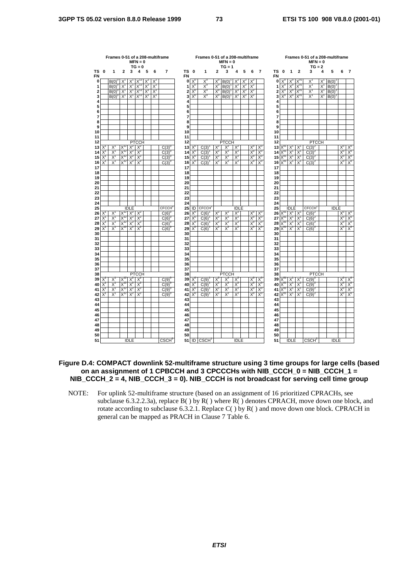|                        |             | Frames 0-51 of a 208-multiframe |                   |             | $MFN = 0$<br>$TG = 0$ |                   |       |                           |                        |                    | Frames 0-51 of a 208-multiframe |              | $MFN = 0$<br>$TG = 1$ |             |       |                  |                |                 |                    |                   |                  | Frames 0-51 of a 208-multiframe<br>$MFN = 0$<br>$TG = 2$ |       |             |                  |                   |
|------------------------|-------------|---------------------------------|-------------------|-------------|-----------------------|-------------------|-------|---------------------------|------------------------|--------------------|---------------------------------|--------------|-----------------------|-------------|-------|------------------|----------------|-----------------|--------------------|-------------------|------------------|----------------------------------------------------------|-------|-------------|------------------|-------------------|
| <b>TS</b><br><b>FN</b> | 0           | 1                               | $\mathbf{2}$      | 3           | 4                     | 5                 | 6     | $\overline{7}$            | <b>TS</b><br><b>FN</b> | $\mathbf{0}$       | 1                               | $\mathbf{2}$ | 3                     | 4           | 5     | 6                | $\overline{7}$ | TS<br><b>FN</b> | 0                  | 1                 | $\overline{2}$   | 3                                                        | 4     | 5           | 6                | 7                 |
| 0                      |             | $B(0)^\circ$                    | X                 |             |                       |                   |       |                           | $\mathbf 0$            | X,                 | $X^0$                           | X            | B(0)                  |             |       |                  |                |                 | $0 \times^{\circ}$ |                   |                  | Χ                                                        | Χ     | $B(0)^2$    |                  |                   |
| 1                      |             | B(0)                            | $X^1$             | $X^1$       | $X^{\mathrm{Tz}}$     | $X^2$             | $X^2$ |                           | 1                      | $X^0$              | $X_0$                           | $X_0$        | B(0)                  | $X^2$       | $X^2$ | $X^2$            |                | 1               | $X^0$              | $\times^0$        | $\mathsf{X}_{0}$ | $X^1$                                                    | $X^1$ | B(0)        |                  |                   |
| $\mathbf 2$            |             | $B(0)^{0}$                      | $X^1$             | $X^1$       | $X^{12}$              | $X^2$             | $X^2$ |                           | 2                      | X <sup>0</sup>     | $X_0$                           | $X_0$        | B(0)                  | $X^2$       | $X^2$ | $X^2$            |                | 2               | $X_0$              | X <sup>0</sup>    | Χ.,              | $X^1$                                                    | $X^1$ | $B(0)^2$    |                  |                   |
| 3                      |             | $B(0)^{0}$                      | $X^1$             | X,          | $X^{12}$              | $X^2$             | $X^2$ |                           | 3                      | $X^0$              | $X^0$                           | $X^0$        | B(0)                  | $X^2$       | $X^2$ | $X^2$            |                | 3               |                    | $X_0$             | $X_0$            | $X^1$                                                    | $X^1$ | $B(0)^2$    |                  |                   |
| 4                      |             |                                 |                   |             |                       |                   |       |                           | 4                      |                    |                                 |              |                       |             |       |                  |                | 4               |                    |                   |                  |                                                          |       |             |                  |                   |
| 5                      |             |                                 |                   |             |                       |                   |       |                           | 5                      |                    |                                 |              |                       |             |       |                  |                | 5               |                    |                   |                  |                                                          |       |             |                  |                   |
| 6                      |             |                                 |                   |             |                       |                   |       |                           | 6                      |                    |                                 |              |                       |             |       |                  |                | 6               |                    |                   |                  |                                                          |       |             |                  |                   |
| 7                      |             |                                 |                   |             |                       |                   |       |                           | 7                      |                    |                                 |              |                       |             |       |                  |                | 7               |                    |                   |                  |                                                          |       |             |                  |                   |
| 8                      |             |                                 |                   |             |                       |                   |       |                           | 8                      |                    |                                 |              |                       |             |       |                  |                | 8               |                    |                   |                  |                                                          |       |             |                  |                   |
| 9                      |             |                                 |                   |             |                       |                   |       |                           | 9                      |                    |                                 |              |                       |             |       |                  |                | 9               |                    |                   |                  |                                                          |       |             |                  |                   |
| 10<br>11               |             |                                 |                   |             |                       |                   |       |                           | 10<br>11               |                    |                                 |              |                       |             |       |                  |                | 10<br>11        |                    |                   |                  |                                                          |       |             |                  |                   |
| 12                     |             |                                 |                   |             | <b>PTCCH</b>          |                   |       |                           | 12                     |                    |                                 |              | <b>PTCCH</b>          |             |       |                  |                | 12              |                    |                   |                  | <b>PTCCH</b>                                             |       |             |                  |                   |
| 13                     | Χ           |                                 | $\mathsf{X}^{12}$ | $X^2$       | $X^2$                 |                   |       | $C(3)^{0}$                | 13                     | $X^0$              | C(3)                            | $X^2$        | $X^2$                 | $X^2$       |       | $X^0$            | $X^0$          | 13              |                    | $X^1$             | Χ                | C(3)                                                     |       |             | $X^0$            | Χ,                |
| 14                     | $X^1$       | Χ                               | $\mathsf{X}^1$    | $X^2$       | $X^2$                 |                   |       | C(3)                      | 14                     | $X^{\mathsf{C}}$   | C(3)                            | $X^2$        | $X^2$                 | $X^2$       |       | $X^0$            | $X^0$          | 14              | $X^0$              | X                 | $X^1$            | C(3)                                                     |       |             | $X^{\mathsf{C}}$ |                   |
| 15                     | $X^1$       | Χ                               | $X_{12}$          | $X^2$       | $X^2$                 |                   |       | C(3)                      | 15                     | $X_c$              | C(3)                            | $X^2$        | $X^2$                 | $X^2$       |       | $X_0$            | $X_0$          | 15              | $X_0$              | X                 | $X^1$            | C(3)                                                     |       |             | $X^0$            | $X_0^{\alpha}$    |
| 16                     | $X^1$       | $X^1$                           | $X^{12}$          | $X^2$       | $X^2$                 |                   |       | $C(3)^{0}$                | 16                     | $X^C$              | C(3)                            | $X^2$        | $X^2$                 | $X^2$       |       | $X^0$            | X <sup>0</sup> | 16              | $X_0$              | $X^1$             | $X^1$            | $C(3)^{2}$                                               |       |             | $X^0$            |                   |
| 17                     |             |                                 |                   |             |                       |                   |       |                           | 17                     |                    |                                 |              |                       |             |       |                  |                | 17              |                    |                   |                  |                                                          |       |             |                  |                   |
| 18                     |             |                                 |                   |             |                       |                   |       |                           | 18                     |                    |                                 |              |                       |             |       |                  |                | 18              |                    |                   |                  |                                                          |       |             |                  |                   |
| 19                     |             |                                 |                   |             |                       |                   |       |                           | 19                     |                    |                                 |              |                       |             |       |                  |                | 19              |                    |                   |                  |                                                          |       |             |                  |                   |
| 20                     |             |                                 |                   |             |                       |                   |       |                           | 20                     |                    |                                 |              |                       |             |       |                  |                | 20              |                    |                   |                  |                                                          |       |             |                  |                   |
| 21                     |             |                                 |                   |             |                       |                   |       |                           | 21                     |                    |                                 |              |                       |             |       |                  |                | 21              |                    |                   |                  |                                                          |       |             |                  |                   |
| 22                     |             |                                 |                   |             |                       |                   |       |                           | 22                     |                    |                                 |              |                       |             |       |                  |                | 22              |                    |                   |                  |                                                          |       |             |                  |                   |
| 23                     |             |                                 |                   |             |                       |                   |       |                           | 23                     |                    |                                 |              |                       |             |       |                  |                | 23              |                    |                   |                  |                                                          |       |             |                  |                   |
| 24                     |             |                                 |                   |             |                       |                   |       |                           | 24                     |                    |                                 |              |                       |             |       |                  |                | 24              |                    |                   |                  |                                                          |       |             |                  |                   |
| 25                     |             |                                 |                   | <b>IDLE</b> |                       |                   |       | <b>CFCCH</b> <sup>C</sup> | 25                     | ID                 | <b>CECCH</b>                    |              |                       | <b>IDLE</b> |       |                  |                | 25              |                    | <b>IDLE</b>       |                  | <b>CECCH</b>                                             |       | <b>IDLE</b> |                  |                   |
| 26                     | $X^1$       | Χ                               | $X^{12}$          | $X^2$       | $X^2$                 |                   |       | C(6)                      | 26                     | $X^{\mathsf{C}}$   | C(6)                            | $X^2$        | $X^2$                 | $X^2$       |       | $X^{\mathsf{C}}$ | $X_c$          | 26              |                    | $X^1$             | $X^1$            | C(6)                                                     |       |             | $X^{\iota}$      | X                 |
| 27                     | $X^1$       | X,                              | $X^{\tau}$        | $X^2$       | $X^2$                 |                   |       | C(6)                      | 27                     | $X_c$              | C(6)                            | $X^2$        | $X^2$                 | $X^2$       |       | $X_0$            | $X_0$          | 27              | $X_0$              | X                 | $X^1$            | C(6)                                                     |       |             | $X_c$            | $\frac{X^0}{X^0}$ |
| 28                     | $X^1$       | $X^1$                           | $X^{12}$          | $X^2$       | $X^2$                 |                   |       | C(6)                      | 28                     | X <sup>0</sup>     | C(6)                            | $X^2$        | $X^2$                 | $X^2$       |       | $X^C$            | $X_0$          | 28              | $X^{01}$           | X                 | $X^1$            | C(6)                                                     |       |             | $X_{c}$          |                   |
| 29                     | $X^1$       | X,                              | $X_1$             | X           | $X^2$                 |                   |       | C(6)                      | 29                     | X,                 | C(6)                            | $X^2$        | $X^2$                 | $X^2$       |       | $X^0$            | $X^0$          | 29              | $X^{\circ}$        | X                 | X,               | C(6)                                                     |       |             | X,               | $X^0$             |
| 30                     |             |                                 |                   |             |                       |                   |       |                           | 30                     |                    |                                 |              |                       |             |       |                  |                | 30              |                    |                   |                  |                                                          |       |             |                  |                   |
| 31                     |             |                                 |                   |             |                       |                   |       |                           | 31                     |                    |                                 |              |                       |             |       |                  |                | 31              |                    |                   |                  |                                                          |       |             |                  |                   |
| 32                     |             |                                 |                   |             |                       |                   |       |                           | 32                     |                    |                                 |              |                       |             |       |                  |                | 32              |                    |                   |                  |                                                          |       |             |                  |                   |
| 33                     |             |                                 |                   |             |                       |                   |       |                           | 33                     |                    |                                 |              |                       |             |       |                  |                | 33              |                    |                   |                  |                                                          |       |             |                  |                   |
| 34<br>35               |             |                                 |                   |             |                       |                   |       |                           | 34<br>35               |                    |                                 |              |                       |             |       |                  |                | 34<br>35        |                    |                   |                  |                                                          |       |             |                  |                   |
| 36                     |             |                                 |                   |             |                       |                   |       |                           | 36                     |                    |                                 |              |                       |             |       |                  |                | 36              |                    |                   |                  |                                                          |       |             |                  |                   |
| 37                     |             |                                 |                   |             |                       |                   |       |                           | 37                     |                    |                                 |              |                       |             |       |                  |                | 37              |                    |                   |                  |                                                          |       |             |                  |                   |
| 38                     |             |                                 |                   |             | <b>PTCCH</b>          |                   |       |                           | 38                     |                    |                                 |              | <b>PTCCH</b>          |             |       |                  |                | 38              |                    |                   |                  | <b>PTCCH</b>                                             |       |             |                  |                   |
| 39                     | $X^1$       | Х                               | $X^{12}$          | $X^2$       | $X^2$                 |                   |       | $C(9)^{0}$                | 39                     | $X^0$              | C(9)                            | $X^2$        | $X^2$                 | $X^2$       |       | $X_0$            | $X_0$          | 39              | $\mathsf{X}_{0}$   | $X^1$             | $X^1$            | C(9)                                                     |       |             | $X^C$            | X,                |
| 40                     | $X^1$       | Х                               | $X^{\mathrm{L}}$  | $X^2$       | $X^2$                 |                   |       | C(9)                      | 40                     | $X^c$              | C(9)                            | $X^2$        | $X^2$                 | $X^2$       |       | $X_0$            | $X^0$          | 40              | $X_0$              | $\overline{X}$    | $X^1$            | C(9)                                                     |       |             | $X^0$            | $X^0$             |
| 41                     | $X^1$       | X,                              | $\vec{X}^1$       | X           | $X^2$                 |                   |       | C(9)                      | 41                     | $X_c$              | C(9)                            | $X^2$        | $X^2$                 | $X^2$       |       | $X_c$            | $X^0$          | 41              | $X_0$              | X                 | $X^1$            | C(9)                                                     |       |             | $X_c$            |                   |
| 42                     | $X^1$       | $\mathsf{X}^1$                  | $X^{12}$          | $X^2$       | $X^2$                 |                   |       | $C(9)^6$                  | 42                     | $X^{\mathfrak{c}}$ | C(9)                            | $X^2$        | $X^2$                 | $X^2$       |       | $X^0$            | $X^0$          | 42              | ∨                  | $X^1$             | $X^1$            | C(9)                                                     |       |             | $X^0$            | $\frac{X^0}{X^0}$ |
| 43                     |             |                                 |                   |             |                       |                   |       |                           | 43                     |                    |                                 |              |                       |             |       |                  |                | 43              |                    |                   |                  |                                                          |       |             |                  |                   |
| 44                     |             |                                 |                   |             |                       |                   |       |                           | 44                     |                    |                                 |              |                       |             |       |                  |                | 44              |                    |                   |                  |                                                          |       |             |                  |                   |
| 45                     |             |                                 |                   |             |                       |                   |       |                           | 45                     |                    |                                 |              |                       |             |       |                  |                | 45              |                    |                   |                  |                                                          |       |             |                  |                   |
| 46                     |             |                                 |                   |             |                       |                   |       |                           | 46                     |                    |                                 |              |                       |             |       |                  |                | 46              |                    |                   |                  |                                                          |       |             |                  |                   |
| 47                     |             |                                 |                   |             |                       |                   |       |                           | 47                     |                    |                                 |              |                       |             |       |                  |                | 47              |                    |                   |                  |                                                          |       |             |                  |                   |
| 48                     |             |                                 |                   |             |                       |                   |       |                           | 48                     |                    |                                 |              |                       |             |       |                  |                | 48              |                    |                   |                  |                                                          |       |             |                  |                   |
| 49                     |             |                                 |                   |             |                       |                   |       |                           | 49                     |                    |                                 |              |                       |             |       |                  |                | 49              |                    |                   |                  |                                                          |       |             |                  |                   |
| 50                     |             |                                 |                   |             |                       |                   |       |                           | 50                     |                    |                                 |              |                       |             |       |                  |                | 50              |                    |                   |                  |                                                          |       |             |                  |                   |
| 51                     | <b>IDLE</b> |                                 |                   |             |                       | CSCH <sup>0</sup> |       |                           | 51 ID CSCH             |                    |                                 | <b>IDLE</b>  |                       |             |       | 51               |                | <b>IDLE</b>     |                    | CSCH <sup>2</sup> |                  | <b>IDLE</b>                                              |       |             |                  |                   |

## **Figure D.4: COMPACT downlink 52-multiframe structure using 3 time groups for large cells (based on an assignment of 1 CPBCCH and 3 CPCCCHs with NIB\_CCCH\_0 = NIB\_CCCH\_1 = NIB\_CCCH\_2 = 4, NIB\_CCCH\_3 = 0). NIB\_CCCH is not broadcast for serving cell time group**

NOTE: For uplink 52-multiframe structure (based on an assignment of 16 prioritized CPRACHs, see subclause 6.3.2.2.3a), replace B( ) by R( ) where R( ) denotes CPRACH, move down one block, and rotate according to subclause 6.3.2.1. Replace C( ) by R( ) and move down one block. CPRACH in general can be mapped as PRACH in Clause 7 Table 6.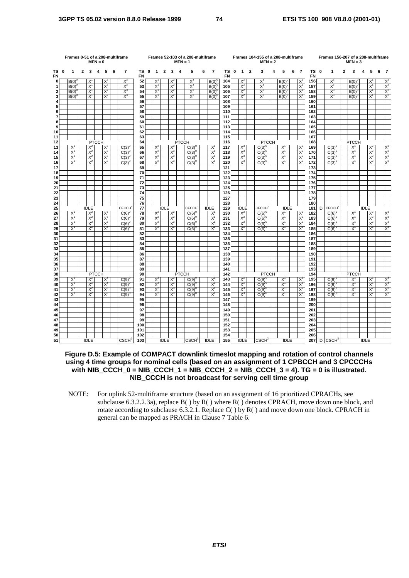|                         |             | Frames 0-51 of a 208-multiframe |                |                | $MFN = 0$    |                |   |                                                         |                 |             |                |                |                | $MFN = 1$    | Frames 52-103 of a 208-multiframe |   |                |            |      |                |                | Frames 104-155 of a 208-multiframe<br>$MFN = 2$ |   |                |   |                |            |      | Frames 156-207 of a 208-multiframe |              | $MFN = 3$      |             |                |   |                |
|-------------------------|-------------|---------------------------------|----------------|----------------|--------------|----------------|---|---------------------------------------------------------|-----------------|-------------|----------------|----------------|----------------|--------------|-----------------------------------|---|----------------|------------|------|----------------|----------------|-------------------------------------------------|---|----------------|---|----------------|------------|------|------------------------------------|--------------|----------------|-------------|----------------|---|----------------|
| ΤS<br>FN                | $\mathbf 0$ | -1                              | $\overline{2}$ | 3              | 4            | 5              | 6 | $\overline{\phantom{a}}$                                | ΤS<br><b>FN</b> | $\mathbf 0$ | $\mathbf{1}$   | $\overline{2}$ | 3              | 4            | 5                                 | 6 | $\overline{7}$ | <b>FN</b>  | TS 0 | $\overline{1}$ | $\overline{2}$ | 3                                               | 4 | 5              | 6 | $\overline{7}$ | <b>FN</b>  | TS 0 | 1                                  | $\mathbf{2}$ | 3              | 4           | 5              | 6 | - 7            |
| οl                      |             | B(0)                            |                | X              |              | X              |   | $X^3$                                                   | 52              |             | X              |                | X              |              | $X_3$                             |   | B(0)           | 104        |      | $X^2$          |                | $X^3$                                           |   | B(0)           |   | $X^1$          | 156        |      | $X^3$                              |              | B(0)           |             | X              |   | X              |
| 1                       |             | B(0)                            |                | $X^1$          |              | $X^2$          |   | $X^3$                                                   | 53              |             | $X^1$          |                | $X^2$          |              | $X^3$                             |   | $B(0)^{6}$     | 105        |      | $X^2$          |                | $X^3$                                           |   | $B(0)^{0}$     |   | $X^1$          | 157        |      | $X^3$                              |              | $B(0)^{0}$     |             | $X^1$          |   | $X^2$          |
| $\overline{\mathbf{2}}$ |             | B(0)                            |                | $X^1$          |              | $X^2$          |   | $X^3$                                                   | 54              |             | $X^1$          |                | $X^2$          |              | $X^3$                             |   | B(0)           | 106        |      | $X^2$          |                | $X^3$                                           |   | $B(0)^{0}$     |   | $X^1$          | 158        |      | $X^3$                              |              | $B(0)^{0}$     |             | $X^1$          |   | $X^2$          |
| 3                       |             | B(0)                            |                | $X^1$          |              | $X^2$          |   | $X^3$                                                   | 55              |             | $X^1$          |                | $X^2$          |              | $X^3$                             |   | $B(0)^{6}$     | 107        |      | $X^2$          |                | $X^3$                                           |   | $B(0)^{0}$     |   | $X^1$          | 159        |      | $X^3$                              |              | B(0)           |             | $X^1$          |   | $X^2$          |
| 4<br>5                  |             |                                 |                |                |              |                |   |                                                         | 56<br>57        |             |                |                |                |              |                                   |   |                | 108<br>109 |      |                |                |                                                 |   |                |   |                | 160<br>161 |      |                                    |              |                |             |                |   |                |
| 6                       |             |                                 |                |                |              |                |   |                                                         | 58              |             |                |                |                |              |                                   |   |                | 110        |      |                |                |                                                 |   |                |   |                | 162        |      |                                    |              |                |             |                |   |                |
| $\overline{7}$          |             |                                 |                |                |              |                |   |                                                         | 59              |             |                |                |                |              |                                   |   |                | 111        |      |                |                |                                                 |   |                |   |                | 163        |      |                                    |              |                |             |                |   |                |
| 8                       |             |                                 |                |                |              |                |   |                                                         | 60              |             |                |                |                |              |                                   |   |                | 112        |      |                |                |                                                 |   |                |   |                | 164        |      |                                    |              |                |             |                |   |                |
| 9                       |             |                                 |                |                |              |                |   |                                                         | 61              |             |                |                |                |              |                                   |   |                | 113        |      |                |                |                                                 |   |                |   |                | 165        |      |                                    |              |                |             |                |   |                |
| 10                      |             |                                 |                |                |              |                |   |                                                         | 62              |             |                |                |                |              |                                   |   |                | 114        |      |                |                |                                                 |   |                |   |                | 166        |      |                                    |              |                |             |                |   |                |
| 11                      |             |                                 |                |                |              |                |   |                                                         | 63              |             |                |                |                |              |                                   |   |                | 115        |      |                |                |                                                 |   |                |   |                | 167        |      |                                    |              |                |             |                |   |                |
| 12                      |             |                                 |                |                | <b>PTCCH</b> |                |   |                                                         | 64              |             |                |                |                | <b>PTCCH</b> |                                   |   |                | 116        |      |                |                | <b>PTCCH</b>                                    |   |                |   |                | 168        |      |                                    |              | <b>PTCCH</b>   |             |                |   |                |
| 13<br>14                |             | $X^1$<br>$X^1$                  |                | $X^2$<br>$X^2$ |              | $X^3$<br>$X^3$ |   | $C(3)^{6}$<br>C(3)                                      | 65<br>66        |             | $X^2$<br>$X^2$ |                | $X^3$<br>$X^3$ |              | $C(3)^{0}$<br>C(3)                |   | $X^1$<br>$X^1$ | 117<br>118 |      | $X^3$<br>$X^3$ |                | $C(3)^{0}$<br>C(3)                              |   | $X^1$<br>$X^1$ |   | $X^2$<br>$X^2$ | 169<br>170 |      | $C(3)^{0}$<br>C(3)                 |              | $X^1$<br>$X^1$ |             | $X^2$<br>$X^2$ |   | $X^3$<br>$X^3$ |
| 15                      |             | $X^1$                           |                | $X^2$          |              | $X_3$          |   | C(3)                                                    | 67              |             | $X^2$          |                | $X^3$          |              | $C(3)^{6}$                        |   | $X^1$          | 119        |      | $X^3$          |                | $C(3)^\circ$                                    |   | $X^1$          |   | $X^2$          | 171        |      | $C(3)^\circ$                       |              | $X^1$          |             | $X^2$          |   | $X^3$          |
| 16                      |             | $X^1$                           |                | $X^2$          |              | $X^3$          |   | $C(3)^{0}$                                              | 68              |             | $X^2$          |                | $X^3$          |              | $C(3)^{0}$                        |   | $X^1$          | 120        |      | $X^3$          |                | $C(3)^{0}$                                      |   | $X^1$          |   | $X^2$          | 172        |      | $C(3)^{0}$                         |              | $X^1$          |             | $X^2$          |   | $X^3$          |
| 17                      |             |                                 |                |                |              |                |   |                                                         | 69              |             |                |                |                |              |                                   |   |                | 121        |      |                |                |                                                 |   |                |   |                | 173        |      |                                    |              |                |             |                |   |                |
| 18                      |             |                                 |                |                |              |                |   |                                                         | 70              |             |                |                |                |              |                                   |   |                | 122        |      |                |                |                                                 |   |                |   |                | 174        |      |                                    |              |                |             |                |   |                |
| 19                      |             |                                 |                |                |              |                |   |                                                         | 71              |             |                |                |                |              |                                   |   |                | 123        |      |                |                |                                                 |   |                |   |                | 175        |      |                                    |              |                |             |                |   |                |
| 20<br>21                |             |                                 |                |                |              |                |   |                                                         | 72              |             |                |                |                |              |                                   |   |                | 124        |      |                |                |                                                 |   |                |   |                | 176        |      |                                    |              |                |             |                |   |                |
| 22                      |             |                                 |                |                |              |                |   |                                                         | 73<br>74        |             |                |                |                |              |                                   |   |                | 125<br>126 |      |                |                |                                                 |   |                |   |                | 177<br>178 |      |                                    |              |                |             |                |   |                |
| 23                      |             |                                 |                |                |              |                |   |                                                         | 75              |             |                |                |                |              |                                   |   |                | 127        |      |                |                |                                                 |   |                |   |                | 179        |      |                                    |              |                |             |                |   |                |
| 24                      |             |                                 |                |                |              |                |   |                                                         | 76              |             |                |                |                |              |                                   |   |                | 128        |      |                |                |                                                 |   |                |   |                | 180        |      |                                    |              |                |             |                |   |                |
| 25                      |             |                                 |                | <b>IDLE</b>    |              |                |   | <b>CECCH</b>                                            | 77              |             |                | <b>IDLE</b>    |                |              | <b>CECCH</b>                      |   | <b>IDLE</b>    | 129        |      | <b>IDLE</b>    |                | <b>CECCH</b>                                    |   | <b>IDLE</b>    |   |                | 181        | ID   | <b>CECCH</b>                       |              |                | <b>IDLE</b> |                |   |                |
| 26                      |             | $X^1$                           |                | $X^2$          |              | $X^3$          |   | C(6)                                                    | 78              |             | $X^2$          |                | $X^3$          |              | $C(6)^{6}$                        |   | $X^1$          | 130        |      | $X^3$          |                | $C(6)^{0}$                                      |   | $X^1$          |   | $X^2$          | 182        |      | $C(6)^{6}$                         |              | $X^1$          |             | $X^2$          |   | $X^3$          |
| 27                      |             | $X^1$                           |                | $X^2$          |              | $X_3$          |   | C(6)                                                    | 79<br>80        |             | $X^2$          |                | $X_3$          |              | C(6)                              |   | $X^1$          | 131        |      | $X^3$          |                | C(6)                                            |   | X <sup>1</sup> |   | $X^2$          | 183        |      | C(6)                               |              | X              |             | $X^2$          |   | $X^3$          |
| 28<br>29                |             | $X^1$<br>$X^1$                  |                | $X^2$<br>$X^2$ |              | $X^3$<br>$X_3$ |   | C(6)<br>C(6)                                            | 81              |             | $X^2$<br>$X^2$ |                | $X^3$<br>$X_3$ |              | $C(6)^{6}$<br>C(6)                |   | $X^1$<br>$X^1$ | 132<br>133 |      | $X^3$<br>$X^3$ |                | $C(6)^{0}$<br>C(6)                              |   | $X^1$<br>$X^1$ |   | $X^2$<br>$X^2$ | 184<br>185 |      | C(6)<br>C(6)                       |              | $X^1$<br>$X^1$ |             | $X^2$<br>$X^2$ |   | $X^3$<br>$X_3$ |
| 30                      |             |                                 |                |                |              |                |   |                                                         | 82              |             |                |                |                |              |                                   |   |                | 134        |      |                |                |                                                 |   |                |   |                | 186        |      |                                    |              |                |             |                |   |                |
| 31                      |             |                                 |                |                |              |                |   |                                                         | 83              |             |                |                |                |              |                                   |   |                | 135        |      |                |                |                                                 |   |                |   |                | 187        |      |                                    |              |                |             |                |   |                |
| 32                      |             |                                 |                |                |              |                |   |                                                         | 84              |             |                |                |                |              |                                   |   |                | 136        |      |                |                |                                                 |   |                |   |                | 188        |      |                                    |              |                |             |                |   |                |
| 33                      |             |                                 |                |                |              |                |   |                                                         | 85              |             |                |                |                |              |                                   |   |                | 137        |      |                |                |                                                 |   |                |   |                | 189        |      |                                    |              |                |             |                |   |                |
| 34                      |             |                                 |                |                |              |                |   |                                                         | 86              |             |                |                |                |              |                                   |   |                | 138        |      |                |                |                                                 |   |                |   |                | 190        |      |                                    |              |                |             |                |   |                |
| 35<br>36                |             |                                 |                |                |              |                |   |                                                         | 87<br>88        |             |                |                |                |              |                                   |   |                | 139<br>140 |      |                |                |                                                 |   |                |   |                | 191<br>192 |      |                                    |              |                |             |                |   |                |
| 37                      |             |                                 |                |                |              |                |   |                                                         | 89              |             |                |                |                |              |                                   |   |                | 141        |      |                |                |                                                 |   |                |   |                | 193        |      |                                    |              |                |             |                |   |                |
| 38                      |             |                                 |                |                | <b>PTCCH</b> |                |   |                                                         | 90              |             |                |                |                | <b>PTCCH</b> |                                   |   |                | 142        |      |                |                | <b>PTCCH</b>                                    |   |                |   |                | 194        |      |                                    |              | <b>PTCCH</b>   |             |                |   |                |
| 39                      |             | $X^1$                           |                | $X^2$          |              | $X^3$          |   | $C(9)^{0}$                                              | 91              |             | $X^2$          |                | $X^3$          |              | $C(9)^{0}$                        |   | $X^1$          | 143        |      | $X^3$          |                | $C(9)^{0}$                                      |   | $X^1$          |   | $X^2$          | 195        |      | $C(9)^{0}$                         |              | $X^1$          |             | $X^2$          |   | $X^3$          |
| 40                      |             | $X^1$                           |                | $X^2$          |              | $X_3$          |   | C(9)                                                    | 92              |             | $X^2$          |                | $X^3$          |              | C(9)                              |   | $X^1$          | 144        |      | $X^3$          |                | C(9)                                            |   | $X^1$          |   | $X^2$          | 196        |      | C(9)                               |              | $X^1$          |             | $X^2$          |   | $X^3$          |
| 41                      |             | $X^1$                           |                | $X^2$          |              | $X_3$          |   | C(9)                                                    | 93              |             | $X^2$          |                | $X^3$          |              | C(9)                              |   | $X^1$          | 145        |      | $X^3$          |                | C(9)                                            |   | X <sup>1</sup> |   | $X^2$          | 197        |      | C(9)                               |              | X <sup>1</sup> |             | $X^2$          |   | $X^3$          |
| 42                      |             | $X^1$                           |                | $X^2$          |              | $X^3$          |   | $C(9)^{0}$                                              | 94              |             | $X^2$          |                | $X^3$          |              | $C(9)^{0}$                        |   | $X^1$          | 146        |      | $X^3$          |                | $C(9)^{0}$                                      |   | $X^1$          |   | $X^2$          | 198        |      | $C(9)^\circ$                       |              | $X^1$          |             | $X^2$          |   | $X^3$          |
| 43<br>44                |             |                                 |                |                |              |                |   |                                                         | 95<br>96        |             |                |                |                |              |                                   |   |                | 147<br>148 |      |                |                |                                                 |   |                |   |                | 199<br>200 |      |                                    |              |                |             |                |   |                |
| 45                      |             |                                 |                |                |              |                |   |                                                         | 97              |             |                |                |                |              |                                   |   |                | 149        |      |                |                |                                                 |   |                |   |                | 201        |      |                                    |              |                |             |                |   |                |
| 46                      |             |                                 |                |                |              |                |   |                                                         | 98              |             |                |                |                |              |                                   |   |                | 150        |      |                |                |                                                 |   |                |   |                | 202        |      |                                    |              |                |             |                |   |                |
| 47                      |             |                                 |                |                |              |                |   |                                                         | 99              |             |                |                |                |              |                                   |   |                | 151        |      |                |                |                                                 |   |                |   |                | 203        |      |                                    |              |                |             |                |   |                |
| 48                      |             |                                 |                |                |              |                |   |                                                         | 100             |             |                |                |                |              |                                   |   |                | 152        |      |                |                |                                                 |   |                |   |                | 204        |      |                                    |              |                |             |                |   |                |
| 49                      |             |                                 |                |                |              |                |   |                                                         | 101             |             |                |                |                |              |                                   |   |                | 153        |      |                |                |                                                 |   |                |   |                | 205        |      |                                    |              |                |             |                |   |                |
| 50<br>51                |             |                                 |                |                |              |                |   |                                                         | 102             |             |                |                |                |              |                                   |   |                | 154        |      |                |                |                                                 |   |                |   |                | 206        |      |                                    |              |                |             |                |   |                |
|                         |             |                                 |                | <b>IDLE</b>    |              |                |   | $\mathsf{C}\mathsf{S}\mathsf{C}\mathsf{H}^{\mathsf{C}}$ | 103             |             |                | <b>IDLE</b>    |                |              | CSCH <sup>1</sup>                 |   | <b>IDLE</b>    | 155        |      | <b>IDLE</b>    |                | CSCH <sup>2</sup>                               |   | <b>IDLE</b>    |   |                |            |      | $207$ ID $CSCH3$                   |              |                | <b>IDLE</b> |                |   |                |

**Figure D.5: Example of COMPACT downlink timeslot mapping and rotation of control channels using 4 time groups for nominal cells (based on an assignment of 1 CPBCCH and 3 CPCCCHs with NIB\_CCCH\_0 = NIB\_CCCH\_1 = NIB\_CCCH\_2 = NIB\_CCCH\_3 = 4). TG = 0 is illustrated. NIB\_CCCH is not broadcast for serving cell time group**

NOTE: For uplink 52-multiframe structure (based on an assignment of 16 prioritized CPRACHs, see subclause 6.3.2.2.3a), replace  $B()$  by  $R()$  where  $R()$  denotes CPRACH, move down one block, and rotate according to subclause 6.3.2.1. Replace  $C()$  by  $R()$  and move down one block. CPRACH in general can be mapped as PRACH in Clause 7 Table 6.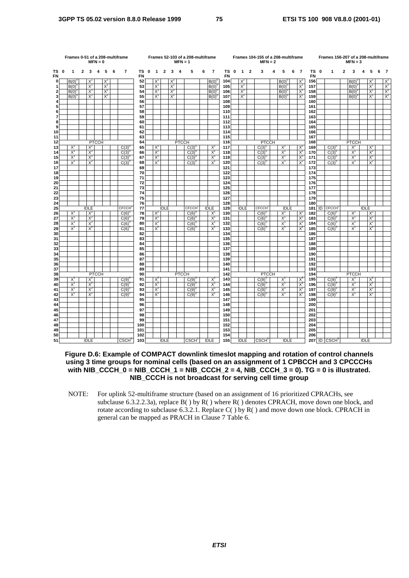|                         |   | Frames 0-51 of a 208-multiframe<br>$MFN = 0$<br>$\mathbf{2}$<br>3<br>5<br>6<br>1<br>4 |  |                |              |       |  |                          |          |             |                |                |       | $MFN = 1$    | Frames 52-103 of a 208-multiframe |   |                     |            |             |              |                | Frames 104-155 of a 208-multiframe<br>$MFN = 2$ |   |                |   |                |                   | Frames 156-207 of a 208-multiframe |              | $MFN = 3$               |             |                |   |       |
|-------------------------|---|---------------------------------------------------------------------------------------|--|----------------|--------------|-------|--|--------------------------|----------|-------------|----------------|----------------|-------|--------------|-----------------------------------|---|---------------------|------------|-------------|--------------|----------------|-------------------------------------------------|---|----------------|---|----------------|-------------------|------------------------------------|--------------|-------------------------|-------------|----------------|---|-------|
| ΤS<br>FN                | 0 |                                                                                       |  |                |              |       |  | $\overline{\phantom{a}}$ | ΤS<br>FN | $\mathbf 0$ | $\mathbf{1}$   | $\overline{2}$ | 3     | 4            | 5                                 | 6 | $\overline{7}$      | ΤS<br>FN   | $\mathbf 0$ | $\mathbf{1}$ | $\overline{2}$ | 3                                               | 4 | 5              | 6 | $\overline{7}$ | TS 0<br><b>FN</b> | $\mathbf{1}$                       | $\mathbf{2}$ | 3                       | 4           | 5              | 6 | - 7   |
| $\mathbf{0}$            |   | B(0)                                                                                  |  | $X^1$          |              | $X^2$ |  |                          | 52       |             | X              |                | X     |              |                                   |   | B(0)                | 104        |             | $X^2$        |                |                                                 |   | B(0)           |   | $X^1$          | 156               |                                    |              | B(0)                    |             | X              |   | $X^2$ |
| 1                       |   | $B(0)^{0}$                                                                            |  | $X^1$          |              | $X^2$ |  |                          | 53       |             | $X^1$          |                | $X^2$ |              |                                   |   | $B(0)^{6}$          | 105        |             | $X^2$        |                |                                                 |   | $B(0)^{6}$     |   | $X^1$          | 157               |                                    |              | $B(0)^{0}$              |             | $X^1$          |   | $X^2$ |
| $\overline{\mathbf{2}}$ |   | $B(0)^{0}$                                                                            |  | $X^1$          |              | $X^2$ |  |                          | 54       |             | $X^1$          |                | $X^2$ |              |                                   |   | $B(0)$ <sup>(</sup> | 106        |             | $X^2$        |                |                                                 |   | $B(0)^{0}$     |   | $X^1$          | 158               |                                    |              | $B(0)^{0}$              |             | $X^1$          |   | $X^2$ |
| 3                       |   | B(0)                                                                                  |  | $X^1$          |              | $X^2$ |  |                          | 55       |             | $X^1$          |                | $X^2$ |              |                                   |   | $B(0)$ <sup>c</sup> | 107        |             | $X^2$        |                |                                                 |   | $B(0)^{6}$     |   | $X^1$          | 159               |                                    |              | $B(0)^{6}$              |             | $X^1$          |   | $X^2$ |
| 4<br>5                  |   |                                                                                       |  |                |              |       |  |                          | 56<br>57 |             |                |                |       |              |                                   |   |                     | 108<br>109 |             |              |                |                                                 |   |                |   |                | 160<br>161        |                                    |              |                         |             |                |   |       |
| 6                       |   |                                                                                       |  |                |              |       |  |                          | 58       |             |                |                |       |              |                                   |   |                     | 110        |             |              |                |                                                 |   |                |   |                | 162               |                                    |              |                         |             |                |   |       |
| $\overline{7}$          |   |                                                                                       |  |                |              |       |  |                          | 59       |             |                |                |       |              |                                   |   |                     | 111        |             |              |                |                                                 |   |                |   |                | 163               |                                    |              |                         |             |                |   |       |
| 8                       |   |                                                                                       |  |                |              |       |  |                          | 60       |             |                |                |       |              |                                   |   |                     | 112        |             |              |                |                                                 |   |                |   |                | 164               |                                    |              |                         |             |                |   |       |
| 9                       |   |                                                                                       |  |                |              |       |  |                          | 61       |             |                |                |       |              |                                   |   |                     | 113        |             |              |                |                                                 |   |                |   |                | 165               |                                    |              |                         |             |                |   |       |
| 10                      |   |                                                                                       |  |                |              |       |  |                          | 62       |             |                |                |       |              |                                   |   |                     | 114        |             |              |                |                                                 |   |                |   |                | 166               |                                    |              |                         |             |                |   |       |
| 11                      |   |                                                                                       |  |                |              |       |  |                          | 63       |             |                |                |       |              |                                   |   |                     | 115        |             |              |                |                                                 |   |                |   |                | 167               |                                    |              |                         |             |                |   |       |
| 12                      |   |                                                                                       |  |                | <b>PTCCH</b> |       |  |                          | 64       |             |                |                |       | <b>PTCCH</b> |                                   |   |                     | 116        |             |              |                | <b>PTCCH</b>                                    |   |                |   |                | 168               |                                    |              | <b>PTCCH</b>            |             |                |   |       |
| 13                      |   | $X^1$                                                                                 |  | $X^2$          |              |       |  | $C(3)^{6}$               | 65       |             | $X^2$          |                |       |              | $C(3)^{0}$                        |   | $X^1$               | 117        |             |              |                | $C(3)^{0}$                                      |   | $X^1$          |   | $X^2$          | 169               | $C(3)^{0}$                         |              | $X^1$                   |             | $X^2$          |   |       |
| 14                      |   | $X^1$                                                                                 |  | $X^2$          |              |       |  | C(3)                     | 66       |             | $X^2$          |                |       |              | C(3)                              |   | X                   | 118        |             |              |                | $C(3)^{6}$                                      |   | $X^1$          |   | $X^2$          | 170               | $C(3)^{6}$                         |              | $X^1$                   |             | $X^2$          |   |       |
| 15                      |   | $X^1$                                                                                 |  | $X^2$          |              |       |  | $C(3)^{6}$               | 67       |             | $X^2$          |                |       |              | C(3)                              |   | $X^1$               | 119        |             |              |                | C(3)                                            |   | $X^1$          |   | $X^2$          | 171               | $C(3)^{6}$                         |              | $X^1$                   |             | $X^2$          |   |       |
| 16<br>17                |   | $X^1$                                                                                 |  | $X^2$          |              |       |  | $C(3)^{0}$               | 68<br>69 |             | $X^2$          |                |       |              | $C(3)^{0}$                        |   | $X^1$               | 120        |             |              |                | $C(3)^{0}$                                      |   | $X^1$          |   | $X^2$          | 172<br>173        | $C(3)^{0}$                         |              | $X^1$                   |             | $X^2$          |   |       |
| 18                      |   |                                                                                       |  |                |              |       |  |                          | 70       |             |                |                |       |              |                                   |   |                     | 121<br>122 |             |              |                |                                                 |   |                |   |                | 174               |                                    |              |                         |             |                |   |       |
| 19                      |   |                                                                                       |  |                |              |       |  |                          | 71       |             |                |                |       |              |                                   |   |                     | 123        |             |              |                |                                                 |   |                |   |                | 175               |                                    |              |                         |             |                |   |       |
| 20                      |   |                                                                                       |  |                |              |       |  |                          | 72       |             |                |                |       |              |                                   |   |                     | 124        |             |              |                |                                                 |   |                |   |                | 176               |                                    |              |                         |             |                |   |       |
| 21                      |   |                                                                                       |  |                |              |       |  |                          | 73       |             |                |                |       |              |                                   |   |                     | 125        |             |              |                |                                                 |   |                |   |                | 177               |                                    |              |                         |             |                |   |       |
| 22                      |   |                                                                                       |  |                |              |       |  |                          | 74       |             |                |                |       |              |                                   |   |                     | 126        |             |              |                |                                                 |   |                |   |                | 178               |                                    |              |                         |             |                |   |       |
| 23                      |   |                                                                                       |  |                |              |       |  |                          | 75       |             |                |                |       |              |                                   |   |                     | 127        |             |              |                |                                                 |   |                |   |                | 179               |                                    |              |                         |             |                |   |       |
| 24                      |   |                                                                                       |  |                |              |       |  |                          | 76       |             |                |                |       |              |                                   |   |                     | 128        |             |              |                |                                                 |   |                |   |                | 180               |                                    |              |                         |             |                |   |       |
| 25                      |   |                                                                                       |  | IDLE           |              |       |  | <b>CECCH</b>             | 77       |             |                | <b>IDLE</b>    |       |              | <b>CECCH</b>                      |   | <b>IDLE</b>         | 129        |             | <b>IDLE</b>  |                | <b>CECCH</b>                                    |   | <b>IDLE</b>    |   |                | 181               | ID CFCCH                           |              |                         | <b>IDLE</b> |                |   |       |
| 26                      |   | $X^1$                                                                                 |  | $X^2$          |              |       |  | $C(6)^{0}$               | 78       |             | $X^2$          |                |       |              | $C(6)^{0}$                        |   | $X^1$               | 130        |             |              |                | C(6)                                            |   | $X^1$          |   | $X^2$          | 182               | $C(6)^{0}$                         |              | $X^1$                   |             | X              |   |       |
| 27<br>28                |   | $X^1$                                                                                 |  | $X^2$<br>$X^2$ |              |       |  | C(6)                     | 79       |             | $X^2$<br>$X^2$ |                |       |              | C(6)                              |   | X,                  | 131        |             |              |                | C(6)                                            |   | $X^1$          |   | $X^2$          | 183               | C(6)                               |              | $X^1$                   |             | $X^2$<br>$X^2$ |   |       |
| 29                      |   | $X^1$<br>$X^1$                                                                        |  | $X^2$          |              |       |  | $C(6)^{0}$<br>C(6)       | 80<br>81 |             | $X^2$          |                |       |              | $C(6)^{0}$                        |   | $X^1$<br>$X^1$      | 132<br>133 |             |              |                | $C(6)^{6}$                                      |   | $X^1$<br>$X^1$ |   | $X^2$<br>$X^2$ | 184<br>185        | $C(6)^{0}$                         |              | $X^1$<br>$X^1$          |             | $X^2$          |   |       |
| 30                      |   |                                                                                       |  |                |              |       |  |                          | 82       |             |                |                |       |              | C(6)                              |   |                     | 134        |             |              |                | C(6)                                            |   |                |   |                | 186               | C(6)                               |              |                         |             |                |   |       |
| 31                      |   |                                                                                       |  |                |              |       |  |                          | 83       |             |                |                |       |              |                                   |   |                     | 135        |             |              |                |                                                 |   |                |   |                | 187               |                                    |              |                         |             |                |   |       |
| 32                      |   |                                                                                       |  |                |              |       |  |                          | 84       |             |                |                |       |              |                                   |   |                     | 136        |             |              |                |                                                 |   |                |   |                | 188               |                                    |              |                         |             |                |   |       |
| 33                      |   |                                                                                       |  |                |              |       |  |                          | 85       |             |                |                |       |              |                                   |   |                     | 137        |             |              |                |                                                 |   |                |   |                | 189               |                                    |              |                         |             |                |   |       |
| 34                      |   |                                                                                       |  |                |              |       |  |                          | 86       |             |                |                |       |              |                                   |   |                     | 138        |             |              |                |                                                 |   |                |   |                | 190               |                                    |              |                         |             |                |   |       |
| 35                      |   |                                                                                       |  |                |              |       |  |                          | 87       |             |                |                |       |              |                                   |   |                     | 139        |             |              |                |                                                 |   |                |   |                | 191               |                                    |              |                         |             |                |   |       |
| 36                      |   |                                                                                       |  |                |              |       |  |                          | 88       |             |                |                |       |              |                                   |   |                     | 140        |             |              |                |                                                 |   |                |   |                | 192               |                                    |              |                         |             |                |   |       |
| 37                      |   |                                                                                       |  |                |              |       |  |                          | 89       |             |                |                |       |              |                                   |   |                     | 141        |             |              |                |                                                 |   |                |   |                | 193               |                                    |              |                         |             |                |   |       |
| 38<br>39                |   |                                                                                       |  |                | <b>PTCCH</b> |       |  |                          | 90       |             |                |                |       | <b>PTCCH</b> |                                   |   |                     | 142        |             |              |                | <b>PTCCH</b>                                    |   |                |   |                | 194               |                                    |              | <b>PTCCH</b>            |             |                |   |       |
| 40                      |   | $X^1$<br>$X^1$                                                                        |  | $X^2$<br>$X^2$ |              |       |  | $C(9)^{0}$<br>C(9)       | 91<br>92 |             | $X^2$<br>$X^2$ |                |       |              | $C(9)^{0}$<br>C(9)                |   | $X^1$<br>$X^1$      | 143<br>144 |             |              |                | $C(9)^{0}$<br>C(9)                              |   | $X^1$<br>$X^1$ |   | $X^2$<br>$X^2$ | 195<br>196        | $C(9)^{0}$<br>C(9)                 |              | $X^1$<br>X <sup>1</sup> |             | $X^2$<br>$X^2$ |   |       |
| 41                      |   | $X^1$                                                                                 |  | $X^2$          |              |       |  | C(9)                     | 93       |             | $X^2$          |                |       |              | $C(9)^6$                          |   | $X^1$               | 145        |             |              |                | C(9)                                            |   | $X^1$          |   | $X^2$          | 197               | $C(9)^6$                           |              | $X^1$                   |             | $X^2$          |   |       |
| 42                      |   | $X^1$                                                                                 |  | $X^2$          |              |       |  | $C(9)^{6}$               | 94       |             | $X^2$          |                |       |              | C(9)                              |   | $X^1$               | 146        |             |              |                | C(9)                                            |   | $X^1$          |   | $X^2$          | 198               | $C(9)^{0}$                         |              | $X^1$                   |             | $X^2$          |   |       |
| 43                      |   |                                                                                       |  |                |              |       |  |                          | 95       |             |                |                |       |              |                                   |   |                     | 147        |             |              |                |                                                 |   |                |   |                | 199               |                                    |              |                         |             |                |   |       |
| 44                      |   |                                                                                       |  |                |              |       |  |                          | 96       |             |                |                |       |              |                                   |   |                     | 148        |             |              |                |                                                 |   |                |   |                | 200               |                                    |              |                         |             |                |   |       |
| 45                      |   |                                                                                       |  |                |              |       |  |                          | 97       |             |                |                |       |              |                                   |   |                     | 149        |             |              |                |                                                 |   |                |   |                | 201               |                                    |              |                         |             |                |   |       |
| 46                      |   |                                                                                       |  |                |              |       |  |                          | 98       |             |                |                |       |              |                                   |   |                     | 150        |             |              |                |                                                 |   |                |   |                | 202               |                                    |              |                         |             |                |   |       |
| 47                      |   |                                                                                       |  |                |              |       |  |                          | 99       |             |                |                |       |              |                                   |   |                     | 151        |             |              |                |                                                 |   |                |   |                | 203               |                                    |              |                         |             |                |   |       |
| 48                      |   |                                                                                       |  |                |              |       |  |                          | 100      |             |                |                |       |              |                                   |   |                     | 152        |             |              |                |                                                 |   |                |   |                | 204               |                                    |              |                         |             |                |   |       |
| 49                      |   |                                                                                       |  |                |              |       |  |                          | 101      |             |                |                |       |              |                                   |   |                     | 153        |             |              |                |                                                 |   |                |   |                | 205               |                                    |              |                         |             |                |   |       |
| 50                      |   |                                                                                       |  |                |              |       |  |                          | 102      |             |                |                |       |              |                                   |   |                     | 154        |             |              |                |                                                 |   |                |   |                | 206               |                                    |              |                         |             |                |   |       |
| 51                      |   |                                                                                       |  | <b>IDLE</b>    |              |       |  | CSCH <sup>0</sup>        | 103      |             |                | <b>IDLE</b>    |       |              | CSCH <sup>1</sup>                 |   | <b>IDLE</b>         | 155        |             | <b>IDLE</b>  |                | CSCH <sup>2</sup>                               |   | <b>IDLE</b>    |   |                |                   | $207$ ID CSCH <sup>3</sup>         |              |                         | <b>IDLE</b> |                |   |       |

**Figure D.6: Example of COMPACT downlink timeslot mapping and rotation of control channels using 3 time groups for nominal cells (based on an assignment of 1 CPBCCH and 3 CPCCCHs with NIB\_CCCH\_0 = NIB\_CCCH\_1 = NIB\_CCCH\_2 = 4, NIB\_CCCH\_3 = 0). TG = 0 is illustrated. NIB\_CCCH is not broadcast for serving cell time group**

NOTE: For uplink 52-multiframe structure (based on an assignment of 16 prioritized CPRACHs, see subclause 6.3.2.2.3a), replace B() by R() where R() denotes CPRACH, move down one block, and rotate according to subclause 6.3.2.1. Replace  $C()$  by  $R()$  and move down one block. CPRACH in general can be mapped as PRACH in Clause 7 Table 6.

**ETSI**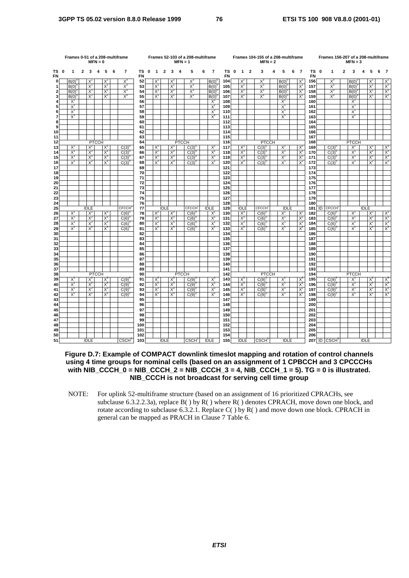|                | Frames 0-51 of a 208-multiframe<br>$MFN = 0$<br>5<br>$\mathbf{1}$<br>$\mathbf{2}$<br>4<br>6 |                |  |                |              |                |  |                   |          |             |                |                | $MFN = 1$      | Frames 52-103 of a 208-multiframe |                          |   |                |                        |             |                | Frames 104-155 of a 208-multiframe<br>$MFN = 2$ |                   |   |                |   |                | Frames 156-207 of a 208-multiframe |                            | $MFN = 3$ |                |             |                |   |                |
|----------------|---------------------------------------------------------------------------------------------|----------------|--|----------------|--------------|----------------|--|-------------------|----------|-------------|----------------|----------------|----------------|-----------------------------------|--------------------------|---|----------------|------------------------|-------------|----------------|-------------------------------------------------|-------------------|---|----------------|---|----------------|------------------------------------|----------------------------|-----------|----------------|-------------|----------------|---|----------------|
| ΤS<br>FN       | $\pmb{0}$                                                                                   |                |  | 3              |              |                |  | $\overline{7}$    | TS<br>FN | $\mathbf 0$ | $\mathbf{1}$   | $\overline{2}$ | $\mathbf{3}$   | $\overline{\mathbf{4}}$           | 5                        | 6 | $\overline{7}$ | <b>TS</b><br><b>FN</b> | $\mathbf 0$ | $\overline{1}$ | $\overline{2}$                                  | 3                 | 4 | 5              | 6 | $\overline{7}$ | TS 0<br><b>FN</b>                  | 1                          | 2         | 3              | 4           | 5              | 6 | -7             |
| $\mathbf{0}$   |                                                                                             | B(0)           |  | $X^1$          |              | $X^2$          |  | $X^3$             | 52       |             | X              |                | $X^2$          |                                   | $X_3$                    |   | B(0)           | 104                    |             | $X^2$          |                                                 | $X_3$             |   | B(0)           |   | $X^1$          | 156                                | $X^3$                      |           | B(0)           |             | $X^1$          |   | $X^2$          |
| 1              |                                                                                             | B(0)           |  | $X^1$          |              | $X^2$          |  | $X^3$             | 53       |             | $X^1$          |                | $X^2$          |                                   | $X^3$                    |   | B(0)           | 105                    |             | $X^2$          |                                                 | $X^3$             |   | $B(0)^{0}$     |   | $X^1$          | 157                                | $X^3$                      |           | B(0)           |             | $X^1$          |   | $X^2$          |
| $\mathbf{2}$   |                                                                                             | $B(0)^{0}$     |  | $X^1$          |              | $X^2$          |  | $X^3$             | 54       |             | $X^1$          |                | $X^2$<br>$X^2$ |                                   | $X^3$                    |   | B(0)           | 106                    |             | $X^2$          |                                                 | $X^3$             |   | $B(0)^{0}$     |   | $X^1$          | 158                                | $X^3$                      |           | $B(0)^{0}$     |             | $X^1$          |   | $X^2$<br>$X^2$ |
| 3<br>4         |                                                                                             | B(0)<br>$X^1$  |  | $X^1$          |              | $X^2$          |  | $X^3$             | 55<br>56 |             | $X^1$          |                |                |                                   | $X^3$                    |   | B(0)<br>$X^1$  | 107<br>108             |             | $X^2$          |                                                 | $X_3$             |   | B(0)<br>$X^1$  |   | $X^1$          | 159<br>160                         | $X^3$                      |           | B(0)<br>$X^1$  |             | $X^1$          |   |                |
| 5              |                                                                                             | $X^1$          |  |                |              |                |  |                   | 57       |             |                |                |                |                                   |                          |   | $X^1$          | 109                    |             |                |                                                 |                   |   | $X^1$          |   |                | 161                                |                            |           | $X^1$          |             |                |   |                |
| 6              |                                                                                             | $X^1$          |  |                |              |                |  |                   | 58       |             |                |                |                |                                   |                          |   | X,             | 110                    |             |                |                                                 |                   |   | $X^1$          |   |                | 162                                |                            |           | $X^1$          |             |                |   |                |
| $\overline{7}$ |                                                                                             | $X^1$          |  |                |              |                |  |                   | 59       |             |                |                |                |                                   |                          |   | $X^1$          | 111                    |             |                |                                                 |                   |   | $X^1$          |   |                | 163                                |                            |           | $X^1$          |             |                |   |                |
| 8              |                                                                                             |                |  |                |              |                |  |                   | 60       |             |                |                |                |                                   |                          |   |                | 112                    |             |                |                                                 |                   |   |                |   |                | 164                                |                            |           |                |             |                |   |                |
| 9              |                                                                                             |                |  |                |              |                |  |                   | 61       |             |                |                |                |                                   |                          |   |                | 113                    |             |                |                                                 |                   |   |                |   |                | 165                                |                            |           |                |             |                |   |                |
| 10             |                                                                                             |                |  |                |              |                |  |                   | 62       |             |                |                |                |                                   |                          |   |                | 114                    |             |                |                                                 |                   |   |                |   |                | 166                                |                            |           |                |             |                |   |                |
| 11             |                                                                                             |                |  |                |              |                |  |                   | 63       |             |                |                |                |                                   |                          |   |                | 115                    |             |                |                                                 |                   |   |                |   |                | 167                                |                            |           |                |             |                |   |                |
| 12             |                                                                                             |                |  |                | <b>PTCCH</b> |                |  |                   | 64       |             |                |                |                | <b>PTCCH</b>                      |                          |   |                | 116                    |             |                |                                                 | <b>PTCCH</b>      |   |                |   |                | 168                                |                            |           | <b>PTCCH</b>   |             |                |   |                |
| 13<br>14       |                                                                                             | $X^1$<br>$X^1$ |  | $X^2$          |              | $X^3$<br>$X_3$ |  | $C(3)^{6}$        | 65       |             | $X^2$<br>$X^2$ |                | $X^3$          |                                   | $C(3)^{0}$               |   | $X^1$<br>$X^1$ | 117                    |             | $X^3$<br>$X^3$ |                                                 | $C(3)^{0}$        |   | $X^1$<br>$X^1$ |   | $X^2$          | 169<br>170                         | $C(3)^{0}$                 |           | $X^1$<br>$X^1$ |             | $X^2$          |   | $X^3$<br>$X^3$ |
| 15             |                                                                                             | $X^1$          |  | $X^2$<br>$X^2$ |              | $X_3$          |  | C(3)<br>C(3)      | 66<br>67 |             | $X^2$          |                | $X^3$<br>$X_3$ |                                   | $C(3)^{6}$<br>$C(3)^{6}$ |   | $X^1$          | 118<br>119             |             | $X^3$          |                                                 | C(3)<br>C(3)      |   | $X^1$          |   | $X^2$<br>$X^2$ | 171                                | C(3)<br>$C(3)^{6}$         |           | $X^1$          |             | $X^2$<br>$X^2$ |   | $X^3$          |
| 16             |                                                                                             | $X^1$          |  | $X^2$          |              | $X^3$          |  | $C(3)^{6}$        | 68       |             | $X^2$          |                | $X^3$          |                                   | $C(3)^{0}$               |   | $X^1$          | 120                    |             | $X^3$          |                                                 | $C(3)^{6}$        |   | $X^1$          |   | $X^2$          | 172                                | $C(3)^{0}$                 |           | $X^1$          |             | $X^2$          |   | $X^3$          |
| 17             |                                                                                             |                |  |                |              |                |  |                   | 69       |             |                |                |                |                                   |                          |   |                | 121                    |             |                |                                                 |                   |   |                |   |                | 173                                |                            |           |                |             |                |   |                |
| 18             |                                                                                             |                |  |                |              |                |  |                   | 70       |             |                |                |                |                                   |                          |   |                | 122                    |             |                |                                                 |                   |   |                |   |                | 174                                |                            |           |                |             |                |   |                |
| 19             |                                                                                             |                |  |                |              |                |  |                   | 71       |             |                |                |                |                                   |                          |   |                | 123                    |             |                |                                                 |                   |   |                |   |                | 175                                |                            |           |                |             |                |   |                |
| 20             |                                                                                             |                |  |                |              |                |  |                   | 72       |             |                |                |                |                                   |                          |   |                | 124                    |             |                |                                                 |                   |   |                |   |                | 176                                |                            |           |                |             |                |   |                |
| 21             |                                                                                             |                |  |                |              |                |  |                   | 73       |             |                |                |                |                                   |                          |   |                | 125                    |             |                |                                                 |                   |   |                |   |                | 177                                |                            |           |                |             |                |   |                |
| 22             |                                                                                             |                |  |                |              |                |  |                   | 74       |             |                |                |                |                                   |                          |   |                | 126                    |             |                |                                                 |                   |   |                |   |                | 178                                |                            |           |                |             |                |   |                |
| 23<br>24       |                                                                                             |                |  |                |              |                |  |                   | 75       |             |                |                |                |                                   |                          |   |                | 127                    |             |                |                                                 |                   |   |                |   |                | 179<br>180                         |                            |           |                |             |                |   |                |
| 25             |                                                                                             |                |  | <b>IDLE</b>    |              |                |  | <b>CECCH</b>      | 76<br>77 |             |                | <b>IDLE</b>    |                |                                   | <b>CECCH</b>             |   | <b>IDLE</b>    | 128<br>129             |             | <b>IDLE</b>    |                                                 | <b>CECCH</b>      |   | <b>IDLE</b>    |   |                | 181                                | <b>ID CFCCH</b>            |           |                | <b>IDLE</b> |                |   |                |
| 26             |                                                                                             | X <sup>1</sup> |  | $X^2$          |              | $X_3$          |  | C(6)              | 78       |             | $X^2$          |                | $X^3$          |                                   | C(6)                     |   | X              | 130                    |             | $X_3$          |                                                 | C(6)              |   | $X^1$          |   | $X^2$          | 182                                | C(6)                       |           | $X^1$          |             | $X^2$          |   | $X^3$          |
| 27             |                                                                                             | $X^1$          |  | $X^2$          |              | $X_3$          |  | C(6)              | 79       |             | $X^2$          |                | $X^3$          |                                   | $C(6)^{0}$               |   | $X^1$          | 131                    |             | $X_3$          |                                                 | $C(6)^{6}$        |   | X <sup>1</sup> |   | $X^2$          | 183                                | C(6)                       |           | $X^1$          |             | $X^2$          |   | $X^3$          |
| 28             |                                                                                             | $X^1$          |  | $X^2$          |              | $X_3$          |  | C(6)              | 80       |             | $X^2$          |                | $X^3$          |                                   | $C(6)^{0}$               |   | $X^1$          | 132                    |             | $X^3$          |                                                 | $C(6)^{6}$        |   | $X^1$          |   | $X^2$          | 184                                | $C(6)^{0}$                 |           | $X^1$          |             | $X^2$          |   | $X^3$          |
| 29             |                                                                                             | $X^1$          |  | $X^2$          |              | $X^3$          |  | C(6)              | 81       |             | $X^2$          |                | $X^3$          |                                   | $C(6)^{6}$               |   | $X^1$          | 133                    |             | $X^3$          |                                                 | C(6)              |   | $X^1$          |   | $X^2$          | 185                                | C(6)                       |           | X <sup>1</sup> |             | $X^2$          |   | $X_3$          |
| 30             |                                                                                             |                |  |                |              |                |  |                   | 82       |             |                |                |                |                                   |                          |   |                | 134                    |             |                |                                                 |                   |   |                |   |                | 186                                |                            |           |                |             |                |   |                |
| 31             |                                                                                             |                |  |                |              |                |  |                   | 83       |             |                |                |                |                                   |                          |   |                | 135                    |             |                |                                                 |                   |   |                |   |                | 187                                |                            |           |                |             |                |   |                |
| 32             |                                                                                             |                |  |                |              |                |  |                   | 84       |             |                |                |                |                                   |                          |   |                | 136                    |             |                |                                                 |                   |   |                |   |                | 188                                |                            |           |                |             |                |   |                |
| 33<br>34       |                                                                                             |                |  |                |              |                |  |                   | 85<br>86 |             |                |                |                |                                   |                          |   |                | 137<br>138             |             |                |                                                 |                   |   |                |   |                | 189<br>190                         |                            |           |                |             |                |   |                |
| 35             |                                                                                             |                |  |                |              |                |  |                   | 87       |             |                |                |                |                                   |                          |   |                | 139                    |             |                |                                                 |                   |   |                |   |                | 191                                |                            |           |                |             |                |   |                |
| 36             |                                                                                             |                |  |                |              |                |  |                   | 88       |             |                |                |                |                                   |                          |   |                | 140                    |             |                |                                                 |                   |   |                |   |                | 192                                |                            |           |                |             |                |   |                |
| 37             |                                                                                             |                |  |                |              |                |  |                   | 89       |             |                |                |                |                                   |                          |   |                | 141                    |             |                |                                                 |                   |   |                |   |                | 193                                |                            |           |                |             |                |   |                |
| 38             |                                                                                             |                |  |                | <b>PTCCH</b> |                |  |                   | 90       |             |                |                |                | <b>PTCCH</b>                      |                          |   |                | 142                    |             |                |                                                 | <b>PTCCH</b>      |   |                |   |                | 194                                |                            |           | <b>PTCCH</b>   |             |                |   |                |
| 39             |                                                                                             | $X^1$          |  | $X^2$          |              | $X^3$          |  | C(9)              | 91       |             | $X^2$          |                | $X^3$          |                                   | $C(9)^{0}$               |   | $X^1$          | 143                    |             | $X^3$          |                                                 | $C(9)^{0}$        |   | $X^1$          |   | $X^2$          | 195                                | $C(9)$ <sup>(</sup>        |           | $X^1$          |             | $X^2$          |   | $X^3$          |
| 40             |                                                                                             | $X^1$          |  | $X^2$          |              | $X^3$          |  | C(9)              | 92       |             | $X^2$          |                | $X^3$          |                                   | C(9)                     |   | $X^1$          | 144                    |             | $X^3$          |                                                 | C(9)              |   | $X^1$          |   | $X^2$          | 196                                | C(9)                       |           | $X^1$          |             | $X^2$          |   | $X^3$          |
| 41             |                                                                                             | $X^1$          |  | $X^2$          |              | $X_3$          |  | C(9)              | 93       |             | $X^2$          |                | $X_3$          |                                   | C(9)                     |   | X,             | 145                    |             | $X^3$          |                                                 | C(9)              |   | $X^1$          |   | $X^2$          | 197                                | C(9)                       |           | $X^1$          |             | $X^2$          |   |                |
| 42             |                                                                                             | $X^1$          |  | $X^2$          |              | $X^3$          |  | C(9)              | 94       |             | $X^2$          |                | $X^3$          |                                   | C(9)                     |   | X              | 146                    |             | $X^3$          |                                                 | C(9)              |   | $X^1$          |   | $X^2$          | 198                                | $C(9)^{6}$                 |           | $X^1$          |             | $X^2$          |   | $X^3$          |
| 43<br>44       |                                                                                             |                |  |                |              |                |  |                   | 95       |             |                |                |                |                                   |                          |   |                | 147                    |             |                |                                                 |                   |   |                |   |                | 199                                |                            |           |                |             |                |   |                |
| 45             |                                                                                             |                |  |                |              |                |  |                   | 96<br>97 |             |                |                |                |                                   |                          |   |                | 148<br>149             |             |                |                                                 |                   |   |                |   |                | 200<br>201                         |                            |           |                |             |                |   |                |
| 46             |                                                                                             |                |  |                |              |                |  |                   | 98       |             |                |                |                |                                   |                          |   |                | 150                    |             |                |                                                 |                   |   |                |   |                | 202                                |                            |           |                |             |                |   |                |
| 47             |                                                                                             |                |  |                |              |                |  |                   | 99       |             |                |                |                |                                   |                          |   |                | 151                    |             |                |                                                 |                   |   |                |   |                | 203                                |                            |           |                |             |                |   |                |
| 48             |                                                                                             |                |  |                |              |                |  |                   | 100      |             |                |                |                |                                   |                          |   |                | 152                    |             |                |                                                 |                   |   |                |   |                | 204                                |                            |           |                |             |                |   |                |
| 49             |                                                                                             |                |  |                |              |                |  |                   | 101      |             |                |                |                |                                   |                          |   |                | 153                    |             |                |                                                 |                   |   |                |   |                | 205                                |                            |           |                |             |                |   |                |
| 50             |                                                                                             |                |  |                |              |                |  |                   | 102      |             |                |                |                |                                   |                          |   |                | 154                    |             |                |                                                 |                   |   |                |   |                | 206                                |                            |           |                |             |                |   |                |
| 51             |                                                                                             |                |  | <b>IDLE</b>    |              |                |  | CSCH <sup>0</sup> | 103      |             |                | <b>IDLE</b>    |                |                                   | CSCH <sup>1</sup>        |   | <b>IDLE</b>    | 155                    |             | <b>IDLE</b>    |                                                 | CSCH <sup>2</sup> |   | <b>IDLE</b>    |   |                |                                    | $207$ ID CSCH <sup>3</sup> |           |                | <b>IDLE</b> |                |   |                |

**Figure D.7: Example of COMPACT downlink timeslot mapping and rotation of control channels using 4 time groups for nominal cells (based on an assignment of 1 CPBCCH and 3 CPCCCHs with NIB\_CCCH\_0 = NIB\_CCCH\_2 = NIB\_CCCH\_3 = 4, NIB\_CCCH\_1 = 5). TG = 0 is illustrated. NIB\_CCCH is not broadcast for serving cell time group**

NOTE: For uplink 52-multiframe structure (based on an assignment of 16 prioritized CPRACHs, see subclause 6.3.2.2.3a), replace B() by R() where R() denotes CPRACH, move down one block, and rotate according to subclause 6.3.2.1. Replace  $C()$  by  $R()$  and move down one block. CPRACH in general can be mapped as PRACH in Clause 7 Table 6.

**ETSI**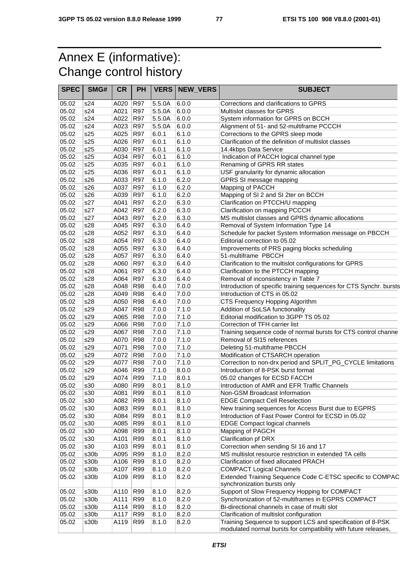## Annex E (informative): Change control history

| <b>SPEC</b> | SMG# | <b>CR</b> | <b>PH</b>  |        |       | <b>VERS NEW VERS</b> | <b>SUBJECT</b>                                                                           |
|-------------|------|-----------|------------|--------|-------|----------------------|------------------------------------------------------------------------------------------|
| 05.02       | s24  | A020      | <b>R97</b> | 5.5.0A | 6.0.0 |                      | Corrections and clarifications to GPRS                                                   |
| 05.02       | s24  | A021      | <b>R97</b> | 5.5.0A | 6.0.0 |                      | Multislot classes for GPRS                                                               |
| 05.02       | s24  | A022      | R97        | 5.5.0A | 6.0.0 |                      | System information for GPRS on BCCH                                                      |
| 05.02       | s24  | A023      | <b>R97</b> | 5.5.0A | 6.0.0 |                      | Alignment of 51- and 52-multiframe PCCCH                                                 |
| 05.02       | s25  | A025      | <b>R97</b> | 6.0.1  | 6.1.0 |                      | Corrections to the GPRS sleep mode                                                       |
| 05.02       | s25  | A026      | <b>R97</b> | 6.0.1  | 6.1.0 |                      | Clarification of the definition of multislot classes                                     |
| 05.02       | s25  | A030      | <b>R97</b> | 6.0.1  | 6.1.0 |                      | 14.4kbps Data Service                                                                    |
| 05.02       | s25  | A034      | <b>R97</b> | 6.0.1  | 6.1.0 |                      | Indication of PACCH logical channel type                                                 |
| 05.02       | s25  | A035      | R97        | 6.0.1  | 6.1.0 |                      | Renaming of GPRS RR states                                                               |
| 05.02       | s25  | A036      | R97        | 6.0.1  | 6.1.0 |                      | USF granularity for dynamic allocation                                                   |
| 05.02       | s26  | A033      | <b>R97</b> | 6.1.0  | 6.2.0 |                      | GPRS SI message mapping                                                                  |
| 05.02       | s26  | A037      | <b>R97</b> | 6.1.0  | 6.2.0 |                      | Mapping of PACCH                                                                         |
| 05.02       | s26  | A039      | R97        | 6.1.0  | 6.2.0 |                      | Mapping of SI 2 and SI 2ter on BCCH                                                      |
| 05.02       | s27  | A041      | <b>R97</b> | 6.2.0  | 6.3.0 |                      | Clarification on PTCCH/U mapping                                                         |
| 05.02       | s27  | A042      | <b>R97</b> | 6.2.0  | 6.3.0 |                      | Clarification on mapping PCCCH                                                           |
| 05.02       | s27  | A043      | <b>R97</b> | 6.2.0  | 6.3.0 |                      | MS multislot classes and GPRS dynamic allocations                                        |
| 05.02       | s28  | A045      | R97        | 6.3.0  | 6.4.0 |                      | Removal of System Information Type 14                                                    |
| 05.02       | s28  | A052      | <b>R97</b> | 6.3.0  | 6.4.0 |                      | Schedule for packet System Information message on PBCCH                                  |
| 05.02       | s28  | A054      | R97        | 6.3.0  | 6.4.0 |                      | Editorial correction to 05.02                                                            |
| 05.02       | s28  | A055      | <b>R97</b> | 6.3.0  | 6.4.0 |                      | Improvements of PRS paging blocks scheduling                                             |
| 05.02       | s28  | A057      | <b>R97</b> | 6.3.0  | 6.4.0 |                      | 51-multiframe PBCCH                                                                      |
| 05.02       | s28  | A060      | <b>R97</b> | 6.3.0  | 6.4.0 |                      | Clarification to the multislot configurations for GPRS                                   |
| 05.02       | s28  | A061      | R97        | 6.3.0  | 6.4.0 |                      | Clarification to the PTCCH mapping                                                       |
| 05.02       | s28  | A064      | <b>R97</b> | 6.3.0  | 6.4.0 |                      | Removal of inconsistency in Table 7                                                      |
| 05.02       | s28  | A048      | <b>R98</b> | 6.4.0  | 7.0.0 |                      | Introduction of specific training sequences for CTS Synchr. bursts                       |
| 05.02       | s28  | A049      | <b>R98</b> | 6.4.0  | 7.0.0 |                      | Introduction of CTS in 05.02                                                             |
| 05.02       | s28  | A050      | <b>R98</b> | 6.4.0  | 7.0.0 |                      | CTS Frequency Hopping Algorithm                                                          |
| 05.02       | s29  | A047      | <b>R98</b> | 7.0.0  | 7.1.0 |                      | Addition of SoLSA functionality                                                          |
| 05.02       | s29  | A065      | <b>R98</b> | 7.0.0  | 7.1.0 |                      | Editorial modification to 3GPP TS 05.02                                                  |
| 05.02       | s29  | A066      | <b>R98</b> | 7.0.0  | 7.1.0 |                      | Correction of TFH carrier list                                                           |
| 05.02       | s29  | A067      | <b>R98</b> | 7.0.0  | 7.1.0 |                      | Training sequence code of normal bursts for CTS control channe                           |
| 05.02       | s29  | A070      | <b>R98</b> | 7.0.0  | 7.1.0 |                      | Removal of SI15 references                                                               |
| 05.02       | s29  | A071      | <b>R98</b> | 7.0.0  | 7.1.0 |                      | Deleting 51-multiframe PBCCH                                                             |
| 05.02       | s29  | A072      | <b>R98</b> | 7.0.0  | 7.1.0 |                      | Modification of CTSARCH operation                                                        |
| 05.02       | s29  | A077      | <b>R98</b> | 7.0.0  | 7.1.0 |                      | Correction to non-drx period and SPLIT_PG_CYCLE limitations                              |
| 05.02       | s29  | A046      | R99        | 7.1.0  | 8.0.0 |                      | Introduction of 8-PSK burst format                                                       |
| 05.02       | s29  | A074      | R99        | 7.1.0  | 8.0.1 |                      | 05.02 changes for ECSD FACCH                                                             |
| 05.02       | s30  | A080      | R99        | 8.0.1  | 8.1.0 |                      | Introduction of AMR and EFR Traffic Channels                                             |
| 05.02       | s30  | A081      | <b>R99</b> | 8.0.1  | 8.1.0 |                      | Non-GSM Broadcast Information                                                            |
| 05.02       | s30  | A082      | R99        | 8.0.1  | 8.1.0 |                      | <b>EDGE Compact Cell Reselection</b>                                                     |
| 05.02       | s30  | A083      | R99        | 8.0.1  | 8.1.0 |                      | New training sequences for Access Burst due to EGPRS                                     |
| 05.02       | s30  | A084      | R99        | 8.0.1  | 8.1.0 |                      | Introduction of Fast Power Control for ECSD in 05.02                                     |
| 05.02       | s30  | A085      | R99        | 8.0.1  | 8.1.0 |                      | <b>EDGE Compact logical channels</b>                                                     |
| 05.02       | s30  | A098      | R99        | 8.0.1  | 8.1.0 |                      | Mapping of PAGCH                                                                         |
| 05.02       | s30  | A101      | R99        | 8.0.1  | 8.1.0 |                      | Clarification pf DRX                                                                     |
| 05.02       | s30  | A103      | R99        | 8.0.1  | 8.1.0 |                      | Correction when sending SI 16 and 17                                                     |
| 05.02       | s30b | A095      | R99        | 8.1.0  | 8.2.0 |                      | MS multislot resource restriction in extended TA cells                                   |
| 05.02       | s30b | A106      | R99        | 8.1.0  | 8.2.0 |                      | Clarification of fixed allocated PRACH                                                   |
| 05.02       | s30b | A107      | R99        | 8.1.0  | 8.2.0 |                      | <b>COMPACT Logical Channels</b>                                                          |
| 05.02       | s30b | A109      | R99        | 8.1.0  | 8.2.0 |                      | Extended Training Sequence Code C-ETSC specific to COMPAC<br>synchronization bursts only |
| 05.02       | s30b | A110      | R99        | 8.1.0  | 8.2.0 |                      | Support of Slow Frequency Hopping for COMPACT                                            |
| 05.02       | s30b | A111      | R99        | 8.1.0  | 8.2.0 |                      | Synchronization of 52-multiframes in EGPRS COMPACT                                       |
| 05.02       | s30b | A114      | R99        | 8.1.0  | 8.2.0 |                      | Bi-directional channels in case of multi slot                                            |
| 05.02       | s30b | A117      | R99        | 8.1.0  | 8.2.0 |                      | Clarification of multislot configuration                                                 |
| 05.02       | s30b | A119      | R99        | 8.1.0  | 8.2.0 |                      | Training Sequence to support LCS and specification of 8-PSK                              |
|             |      |           |            |        |       |                      | modulated normal bursts for compatibility with future releases,                          |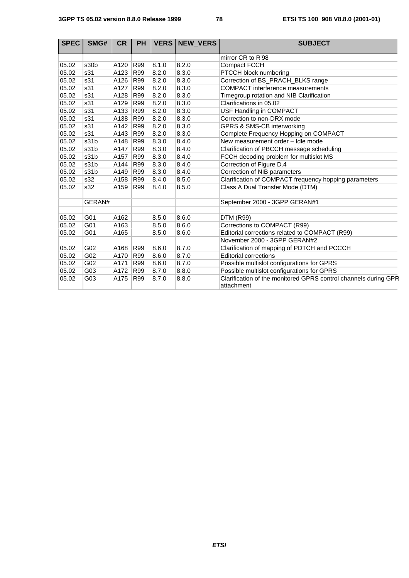| <b>SPEC</b> | SMG#   | <b>CR</b> | <b>PH</b>  | <b>VERS</b> | <b>NEW VERS</b> | <b>SUBJECT</b>                                                                |
|-------------|--------|-----------|------------|-------------|-----------------|-------------------------------------------------------------------------------|
|             |        |           |            |             |                 | mirror CR to R'98                                                             |
| 05.02       | s30b   | A120      | R99        | 8.1.0       | 8.2.0           | <b>Compact FCCH</b>                                                           |
| 05.02       | s31    | A123      | R99        | 8.2.0       | 8.3.0           | PTCCH block numbering                                                         |
| 05.02       | s31    | A126      | R99        | 8.2.0       | 8.3.0           | Correction of BS_PRACH_BLKS range                                             |
| 05.02       | s31    | A127      | R99        | 8.2.0       | 8.3.0           | <b>COMPACT</b> interference measurements                                      |
| 05.02       | s31    | A128      | R99        | 8.2.0       | 8.3.0           | Timegroup rotation and NIB Clarification                                      |
| 05.02       | s31    | A129      | R99        | 8.2.0       | 8.3.0           | Clarifications in 05.02                                                       |
| 05.02       | s31    | A133      | R99        | 8.2.0       | 8.3.0           | USF Handling in COMPACT                                                       |
| 05.02       | s31    | A138      | R99        | 8.2.0       | 8.3.0           | Correction to non-DRX mode                                                    |
| 05.02       | s31    | A142      | R99        | 8.2.0       | 8.3.0           | GPRS & SMS-CB interworking                                                    |
| 05.02       | s31    | A143      | R99        | 8.2.0       | 8.3.0           | Complete Frequency Hopping on COMPACT                                         |
| 05.02       | s31b   | A148      | R99        | 8.3.0       | 8.4.0           | New measurement order - Idle mode                                             |
| 05.02       | s31b   | A147      | R99        | 8.3.0       | 8.4.0           | Clarification of PBCCH message scheduling                                     |
| 05.02       | s31b   | A157      | R99        | 8.3.0       | 8.4.0           | FCCH decoding problem for multislot MS                                        |
| 05.02       | s31b   | A144      | R99        | 8.3.0       | 8.4.0           | Correction of Figure D.4                                                      |
| 05.02       | s31b   | A149      | R99        | 8.3.0       | 8.4.0           | Correction of NIB parameters                                                  |
| 05.02       | s32    | A158      | R99        | 8.4.0       | 8.5.0           | Clarification of COMPACT frequency hopping parameters                         |
| 05.02       | s32    | A159      | R99        | 8.4.0       | 8.5.0           | Class A Dual Transfer Mode (DTM)                                              |
|             |        |           |            |             |                 |                                                                               |
|             | GERAN# |           |            |             |                 | September 2000 - 3GPP GERAN#1                                                 |
|             |        |           |            |             |                 |                                                                               |
| 05.02       | G01    | A162      |            | 8.5.0       | 8.6.0           | <b>DTM (R99)</b>                                                              |
| 05.02       | G01    | A163      |            | 8.5.0       | 8.6.0           | Corrections to COMPACT (R99)                                                  |
| 05.02       | G01    | A165      |            | 8.5.0       | 8.6.0           | Editorial corrections related to COMPACT (R99)                                |
|             |        |           |            |             |                 | November 2000 - 3GPP GERAN#2                                                  |
| 05.02       | G02    | A168      | <b>R99</b> | 8.6.0       | 8.7.0           | Clarification of mapping of PDTCH and PCCCH                                   |
| 05.02       | G02    | A170      | R99        | 8.6.0       | 8.7.0           | <b>Editorial corrections</b>                                                  |
| 05.02       | G02    | A171      | R99        | 8.6.0       | 8.7.0           | Possible multislot configurations for GPRS                                    |
| 05.02       | G03    | A172      | R99        | 8.7.0       | 8.8.0           | Possible multislot configurations for GPRS                                    |
| 05.02       | G03    | A175      | R99        | 8.7.0       | 8.8.0           | Clarification of the monitored GPRS control channels during GPR<br>attachment |